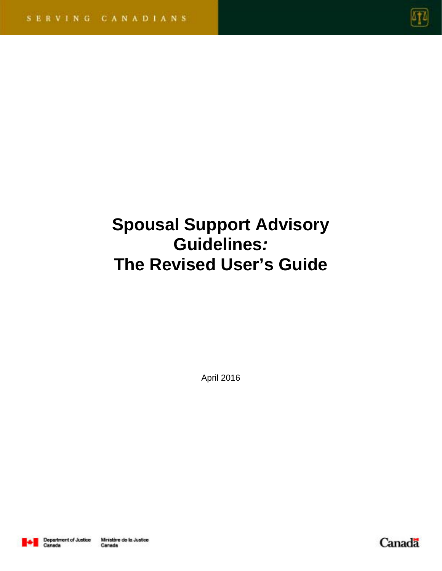

# **Spousal Support Advisory Guidelines***:* **The Revised User's Guide**

April 2016



Canada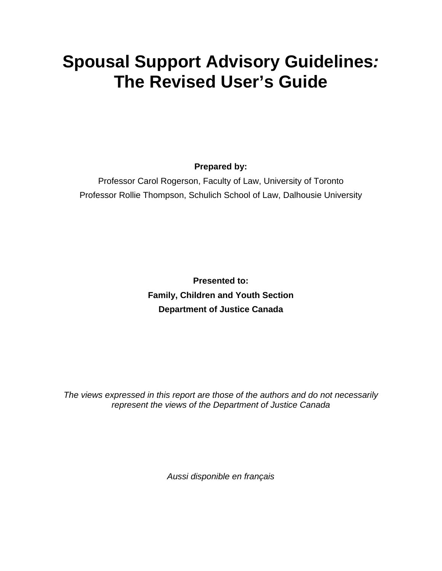# **Spousal Support Advisory Guidelines***:* **The Revised User's Guide**

**Prepared by:** 

Professor Carol Rogerson, Faculty of Law, University of Toronto Professor Rollie Thompson, Schulich School of Law, Dalhousie University

> **Presented to: Family, Children and Youth Section Department of Justice Canada**

*The views expressed in this report are those of the authors and do not necessarily represent the views of the Department of Justice Canada* 

*Aussi disponible en français*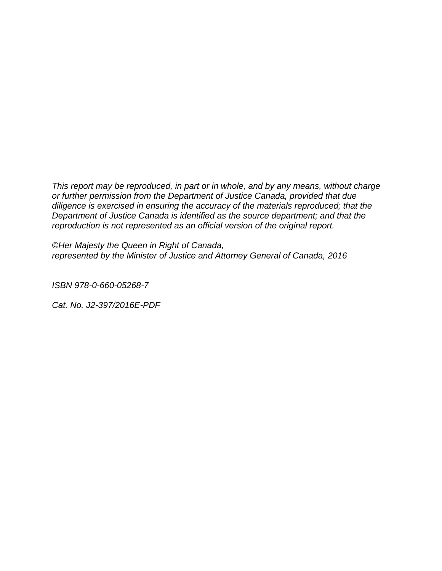*This report may be reproduced, in part or in whole, and by any means, without charge or further permission from the Department of Justice Canada, provided that due diligence is exercised in ensuring the accuracy of the materials reproduced; that the Department of Justice Canada is identified as the source department; and that the reproduction is not represented as an official version of the original report.*

*©Her Majesty the Queen in Right of Canada, represented by the Minister of Justice and Attorney General of Canada, 2016* 

*ISBN 978-0-660-05268-7* 

*Cat. No. J2-397/2016E-PDF*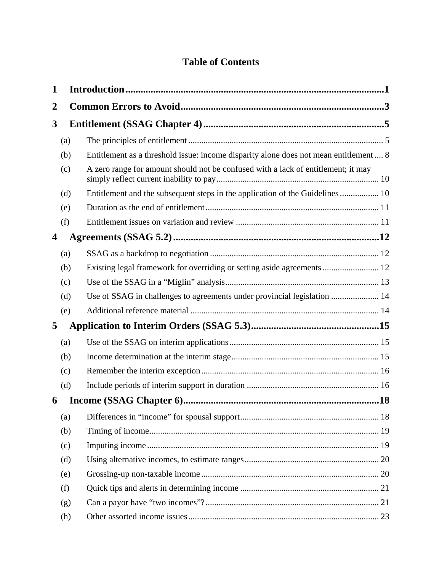## **Table of Contents**

| 1 |     |                                                                                       |  |
|---|-----|---------------------------------------------------------------------------------------|--|
| 2 |     |                                                                                       |  |
| 3 |     |                                                                                       |  |
|   | (a) |                                                                                       |  |
|   | (b) | Entitlement as a threshold issue: income disparity alone does not mean entitlement  8 |  |
|   | (c) | A zero range for amount should not be confused with a lack of entitlement; it may     |  |
|   | (d) | Entitlement and the subsequent steps in the application of the Guidelines  10         |  |
|   | (e) |                                                                                       |  |
|   | (f) |                                                                                       |  |
| 4 |     |                                                                                       |  |
|   | (a) |                                                                                       |  |
|   | (b) |                                                                                       |  |
|   | (c) |                                                                                       |  |
|   | (d) | Use of SSAG in challenges to agreements under provincial legislation  14              |  |
|   | (e) |                                                                                       |  |
| 5 |     |                                                                                       |  |
|   | (a) |                                                                                       |  |
|   | (b) |                                                                                       |  |
|   | (c) |                                                                                       |  |
|   | (d) |                                                                                       |  |
| 6 |     |                                                                                       |  |
|   | (a) |                                                                                       |  |
|   | (b) |                                                                                       |  |
|   | (c) |                                                                                       |  |
|   | (d) |                                                                                       |  |
|   | (e) |                                                                                       |  |
|   | (f) |                                                                                       |  |
|   | (g) |                                                                                       |  |
|   | (h) |                                                                                       |  |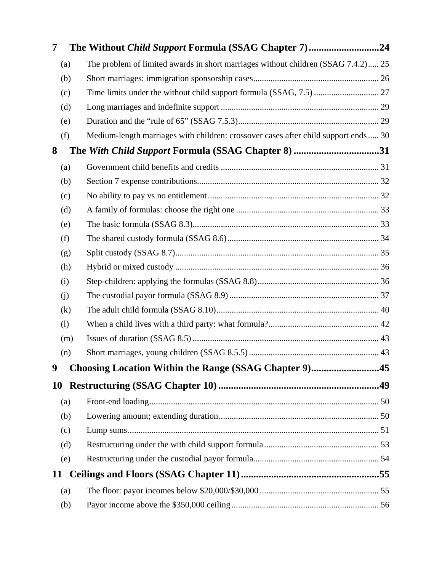| 7         |     | The Without Child Support Formula (SSAG Chapter 7)24                                |  |
|-----------|-----|-------------------------------------------------------------------------------------|--|
|           | (a) | The problem of limited awards in short marriages without children (SSAG 7.4.2) 25   |  |
|           | (b) |                                                                                     |  |
|           | (c) |                                                                                     |  |
|           | (d) |                                                                                     |  |
|           | (e) |                                                                                     |  |
|           | (f) | Medium-length marriages with children: crossover cases after child support ends  30 |  |
| 8         |     | The With Child Support Formula (SSAG Chapter 8) 31                                  |  |
|           | (a) |                                                                                     |  |
|           | (b) |                                                                                     |  |
|           | (c) |                                                                                     |  |
|           | (d) |                                                                                     |  |
|           | (e) |                                                                                     |  |
|           | (f) |                                                                                     |  |
|           | (g) |                                                                                     |  |
|           | (h) |                                                                                     |  |
|           | (i) |                                                                                     |  |
|           | (j) |                                                                                     |  |
|           | (k) |                                                                                     |  |
|           | (1) |                                                                                     |  |
|           | (m) |                                                                                     |  |
|           | (n) |                                                                                     |  |
| 9         |     | Choosing Location Within the Range (SSAG Chapter 9)45                               |  |
| <b>10</b> |     |                                                                                     |  |
|           | (a) |                                                                                     |  |
|           | (b) |                                                                                     |  |
|           | (c) |                                                                                     |  |
|           | (d) |                                                                                     |  |
|           | (e) |                                                                                     |  |
| 11        |     |                                                                                     |  |
|           | (a) |                                                                                     |  |
|           | (b) |                                                                                     |  |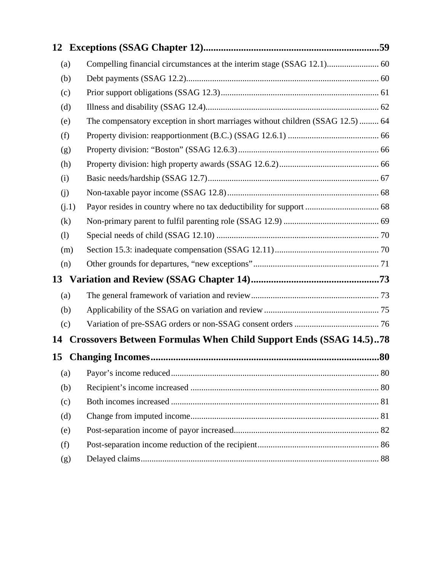| 12    |                                                                                |     |
|-------|--------------------------------------------------------------------------------|-----|
| (a)   | Compelling financial circumstances at the interim stage (SSAG 12.1) 60         |     |
| (b)   |                                                                                |     |
| (c)   |                                                                                |     |
| (d)   |                                                                                |     |
| (e)   | The compensatory exception in short marriages without children (SSAG 12.5)  64 |     |
| (f)   |                                                                                |     |
| (g)   |                                                                                |     |
| (h)   |                                                                                |     |
| (i)   |                                                                                |     |
| (j)   |                                                                                |     |
| (i.1) |                                                                                |     |
| (k)   |                                                                                |     |
| (1)   |                                                                                |     |
| (m)   |                                                                                |     |
| (n)   |                                                                                |     |
| 13    |                                                                                |     |
| (a)   |                                                                                |     |
| (b)   |                                                                                |     |
| (c)   |                                                                                |     |
| 14    | <b>Crossovers Between Formulas When Child Support Ends (SSAG 14.5)78</b>       |     |
| 15    |                                                                                | .80 |
| (a)   |                                                                                |     |
| (b)   |                                                                                |     |
| (c)   |                                                                                |     |
| (d)   |                                                                                |     |
| (e)   |                                                                                |     |
| (f)   |                                                                                |     |
| (g)   |                                                                                |     |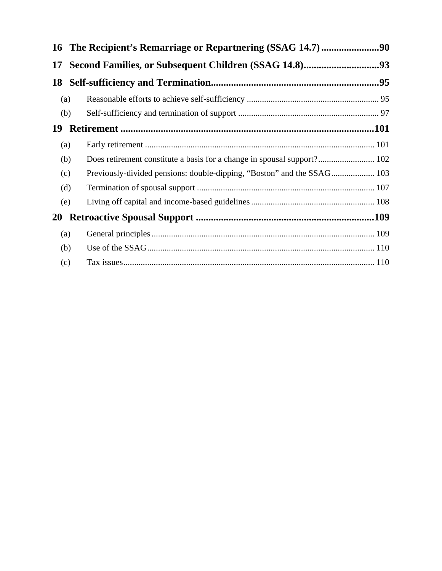|           | (a) |                                                                         |
|-----------|-----|-------------------------------------------------------------------------|
|           | (b) |                                                                         |
| 19        |     |                                                                         |
|           | (a) |                                                                         |
|           | (b) | Does retirement constitute a basis for a change in spousal support? 102 |
|           | (c) |                                                                         |
|           | (d) |                                                                         |
|           | (e) |                                                                         |
| <b>20</b> |     |                                                                         |
|           | (a) |                                                                         |
|           | (b) |                                                                         |
|           | (c) |                                                                         |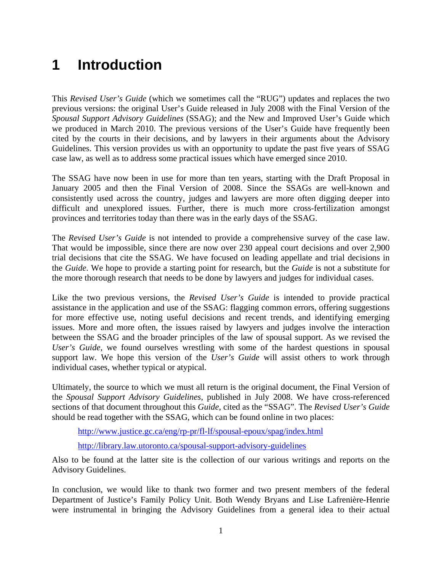## **1 Introduction**

This *Revised User's Guide* (which we sometimes call the "RUG") updates and replaces the two previous versions: the original User's Guide released in July 2008 with the Final Version of the *Spousal Support Advisory Guidelines* (SSAG); and the New and Improved User's Guide which we produced in March 2010. The previous versions of the User's Guide have frequently been cited by the courts in their decisions, and by lawyers in their arguments about the Advisory Guidelines. This version provides us with an opportunity to update the past five years of SSAG case law, as well as to address some practical issues which have emerged since 2010.

The SSAG have now been in use for more than ten years, starting with the Draft Proposal in January 2005 and then the Final Version of 2008. Since the SSAGs are well-known and consistently used across the country, judges and lawyers are more often digging deeper into difficult and unexplored issues. Further, there is much more cross-fertilization amongst provinces and territories today than there was in the early days of the SSAG.

The *Revised User's Guide* is not intended to provide a comprehensive survey of the case law. That would be impossible, since there are now over 230 appeal court decisions and over 2,900 trial decisions that cite the SSAG. We have focused on leading appellate and trial decisions in the *Guide*. We hope to provide a starting point for research, but the *Guide* is not a substitute for the more thorough research that needs to be done by lawyers and judges for individual cases.

Like the two previous versions, the *Revised User's Guide* is intended to provide practical assistance in the application and use of the SSAG: flagging common errors, offering suggestions for more effective use, noting useful decisions and recent trends, and identifying emerging issues. More and more often, the issues raised by lawyers and judges involve the interaction between the SSAG and the broader principles of the law of spousal support. As we revised the *User's Guide*, we found ourselves wrestling with some of the hardest questions in spousal support law. We hope this version of the *User's Guide* will assist others to work through individual cases, whether typical or atypical.

Ultimately, the source to which we must all return is the original document, the Final Version of the *Spousal Support Advisory Guidelines*, published in July 2008. We have cross-referenced sections of that document throughout this *Guide*, cited as the "SSAG". The *Revised User's Guide* should be read together with the SSAG, which can be found online in two places:

http://www.justice.gc.ca/eng/rp-pr/fl-lf/spousal-epoux/spag/index.html

http://library.law.utoronto.ca/spousal-support-advisory-guidelines

Also to be found at the latter site is the collection of our various writings and reports on the Advisory Guidelines.

In conclusion, we would like to thank two former and two present members of the federal Department of Justice's Family Policy Unit. Both Wendy Bryans and Lise Lafrenière-Henrie were instrumental in bringing the Advisory Guidelines from a general idea to their actual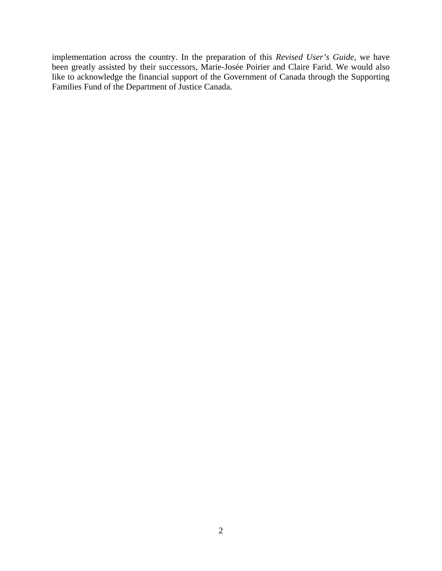implementation across the country. In the preparation of this *Revised User's Guide*, we have been greatly assisted by their successors, Marie-Josée Poirier and Claire Farid. We would also like to acknowledge the financial support of the Government of Canada through the Supporting Families Fund of the Department of Justice Canada.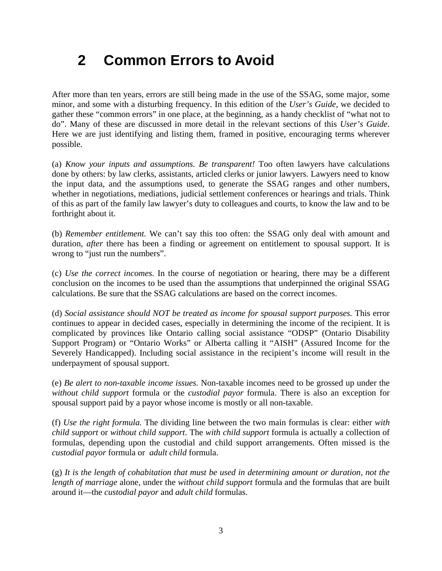## **2 Common Errors to Avoid**

After more than ten years, errors are still being made in the use of the SSAG, some major, some minor, and some with a disturbing frequency. In this edition of the *User's Guide*, we decided to gather these "common errors" in one place, at the beginning, as a handy checklist of "what not to do". Many of these are discussed in more detail in the relevant sections of this *User's Guide*. Here we are just identifying and listing them, framed in positive, encouraging terms wherever possible.

(a) *Know your inputs and assumptions. Be transparent!* Too often lawyers have calculations done by others: by law clerks, assistants, articled clerks or junior lawyers. Lawyers need to know the input data, and the assumptions used, to generate the SSAG ranges and other numbers, whether in negotiations, mediations, judicial settlement conferences or hearings and trials. Think of this as part of the family law lawyer's duty to colleagues and courts, to know the law and to be forthright about it.

(b) *Remember entitlement.* We can't say this too often: the SSAG only deal with amount and duration, *after* there has been a finding or agreement on entitlement to spousal support. It is wrong to "just run the numbers".

(c) *Use the correct incomes.* In the course of negotiation or hearing, there may be a different conclusion on the incomes to be used than the assumptions that underpinned the original SSAG calculations. Be sure that the SSAG calculations are based on the correct incomes.

(d) *Social assistance should NOT be treated as income for spousal support purposes.* This error continues to appear in decided cases, especially in determining the income of the recipient. It is complicated by provinces like Ontario calling social assistance "ODSP" (Ontario Disability Support Program) or "Ontario Works" or Alberta calling it "AISH" (Assured Income for the Severely Handicapped). Including social assistance in the recipient's income will result in the underpayment of spousal support.

(e) *Be alert to non-taxable income issues.* Non-taxable incomes need to be grossed up under the *without child support* formula or the *custodial payor* formula. There is also an exception for spousal support paid by a payor whose income is mostly or all non-taxable.

(f) *Use the right formula.* The dividing line between the two main formulas is clear: either *with child support* or *without child support*. The *with child support* formula is actually a collection of formulas, depending upon the custodial and child support arrangements. Often missed is the *custodial payor* formula or *adult child* formula.

(g) *It is the length of cohabitation that must be used in determining amount or duration, not the length of marriage* alone, under the *without child support* formula and the formulas that are built around it—the *custodial payor* and *adult child* formulas.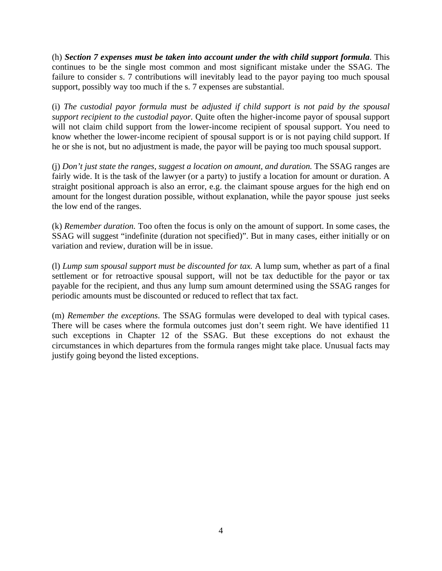(h) *Section 7 expenses must be taken into account under the with child support formula*. This continues to be the single most common and most significant mistake under the SSAG. The failure to consider s. 7 contributions will inevitably lead to the payor paying too much spousal support, possibly way too much if the s. 7 expenses are substantial.

(i) *The custodial payor formula must be adjusted if child support is not paid by the spousal support recipient to the custodial payor.* Quite often the higher-income payor of spousal support will not claim child support from the lower-income recipient of spousal support. You need to know whether the lower-income recipient of spousal support is or is not paying child support. If he or she is not, but no adjustment is made, the payor will be paying too much spousal support.

(j) *Don't just state the ranges, suggest a location on amount, and duration.* The SSAG ranges are fairly wide. It is the task of the lawyer (or a party) to justify a location for amount or duration. A straight positional approach is also an error, e.g. the claimant spouse argues for the high end on amount for the longest duration possible, without explanation, while the payor spouse just seeks the low end of the ranges.

(k) *Remember duration.* Too often the focus is only on the amount of support. In some cases, the SSAG will suggest "indefinite (duration not specified)". But in many cases, either initially or on variation and review, duration will be in issue.

(l) *Lump sum spousal support must be discounted for tax.* A lump sum, whether as part of a final settlement or for retroactive spousal support, will not be tax deductible for the payor or tax payable for the recipient, and thus any lump sum amount determined using the SSAG ranges for periodic amounts must be discounted or reduced to reflect that tax fact.

(m) *Remember the exceptions*. The SSAG formulas were developed to deal with typical cases. There will be cases where the formula outcomes just don't seem right. We have identified 11 such exceptions in Chapter 12 of the SSAG. But these exceptions do not exhaust the circumstances in which departures from the formula ranges might take place. Unusual facts may justify going beyond the listed exceptions.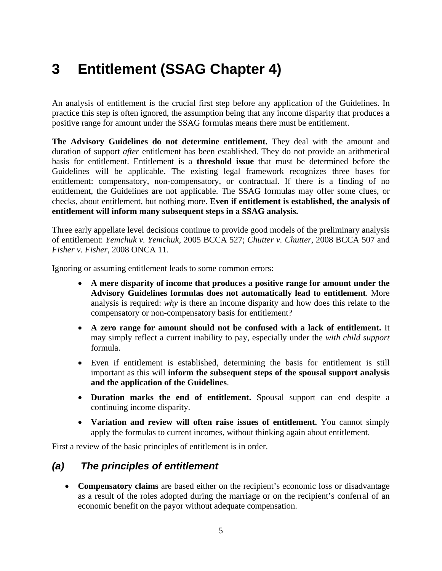## **3 Entitlement (SSAG Chapter 4)**

An analysis of entitlement is the crucial first step before any application of the Guidelines. In practice this step is often ignored, the assumption being that any income disparity that produces a positive range for amount under the SSAG formulas means there must be entitlement.

**The Advisory Guidelines do not determine entitlement.** They deal with the amount and duration of support *after* entitlement has been established. They do not provide an arithmetical basis for entitlement. Entitlement is a **threshold issue** that must be determined before the Guidelines will be applicable. The existing legal framework recognizes three bases for entitlement: compensatory, non-compensatory, or contractual. If there is a finding of no entitlement, the Guidelines are not applicable. The SSAG formulas may offer some clues, or checks, about entitlement, but nothing more. **Even if entitlement is established, the analysis of entitlement will inform many subsequent steps in a SSAG analysis.**

Three early appellate level decisions continue to provide good models of the preliminary analysis of entitlement: *Yemchuk v. Yemchuk*, 2005 BCCA 527; *Chutter v. Chutter*, 2008 BCCA 507 and *Fisher v. Fisher*, 2008 ONCA 11.

Ignoring or assuming entitlement leads to some common errors:

- **A mere disparity of income that produces a positive range for amount under the Advisory Guidelines formulas does not automatically lead to entitlement**. More analysis is required: *why* is there an income disparity and how does this relate to the compensatory or non-compensatory basis for entitlement?
- **A zero range for amount should not be confused with a lack of entitlement.** It may simply reflect a current inability to pay, especially under the *with child support* formula.
- Even if entitlement is established, determining the basis for entitlement is still important as this will **inform the subsequent steps of the spousal support analysis and the application of the Guidelines**.
- **Duration marks the end of entitlement.** Spousal support can end despite a continuing income disparity.
- **Variation and review will often raise issues of entitlement.** You cannot simply apply the formulas to current incomes, without thinking again about entitlement.

First a review of the basic principles of entitlement is in order.

#### *(a) The principles of entitlement*

 **Compensatory claims** are based either on the recipient's economic loss or disadvantage as a result of the roles adopted during the marriage or on the recipient's conferral of an economic benefit on the payor without adequate compensation.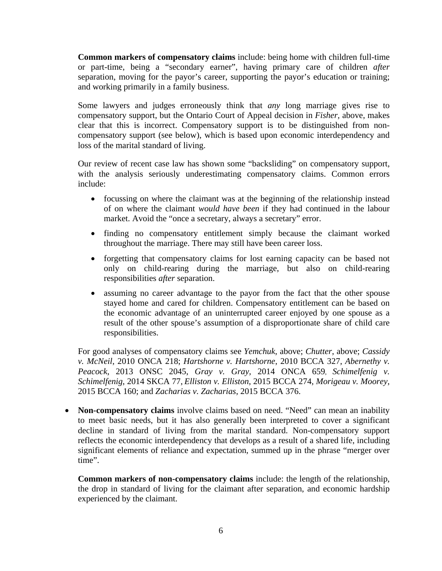**Common markers of compensatory claims** include: being home with children full-time or part-time, being a "secondary earner", having primary care of children *after* separation, moving for the payor's career, supporting the payor's education or training; and working primarily in a family business.

Some lawyers and judges erroneously think that *any* long marriage gives rise to compensatory support, but the Ontario Court of Appeal decision in *Fisher,* above, makes clear that this is incorrect. Compensatory support is to be distinguished from noncompensatory support (see below), which is based upon economic interdependency and loss of the marital standard of living.

Our review of recent case law has shown some "backsliding" on compensatory support, with the analysis seriously underestimating compensatory claims. Common errors include:

- focussing on where the claimant was at the beginning of the relationship instead of on where the claimant *would have been* if they had continued in the labour market. Avoid the "once a secretary, always a secretary" error.
- finding no compensatory entitlement simply because the claimant worked throughout the marriage. There may still have been career loss.
- forgetting that compensatory claims for lost earning capacity can be based not only on child-rearing during the marriage, but also on child-rearing responsibilities *after* separation.
- assuming no career advantage to the payor from the fact that the other spouse stayed home and cared for children. Compensatory entitlement can be based on the economic advantage of an uninterrupted career enjoyed by one spouse as a result of the other spouse's assumption of a disproportionate share of child care responsibilities.

For good analyses of compensatory claims see *Yemchuk*, above; *Chutter*, above; *Cassidy v. McNeil*, 2010 ONCA 218; *Hartshorne v. Hartshorne*, 2010 BCCA 327, *Abernethy v. Peacock*, 2013 ONSC 2045, *Gray v. Gray,* 2014 ONCA 659, *Schimelfenig v. Schimelfenig*, 2014 SKCA 77, *Elliston v. Elliston*, 2015 BCCA 274, *Morigeau v. Moorey*, 2015 BCCA 160; and *Zacharias v. Zacharias*, 2015 BCCA 376.

 **Non-compensatory claims** involve claims based on need. "Need" can mean an inability to meet basic needs, but it has also generally been interpreted to cover a significant decline in standard of living from the marital standard. Non-compensatory support reflects the economic interdependency that develops as a result of a shared life, including significant elements of reliance and expectation, summed up in the phrase "merger over time".

**Common markers of non-compensatory claims** include: the length of the relationship, the drop in standard of living for the claimant after separation, and economic hardship experienced by the claimant.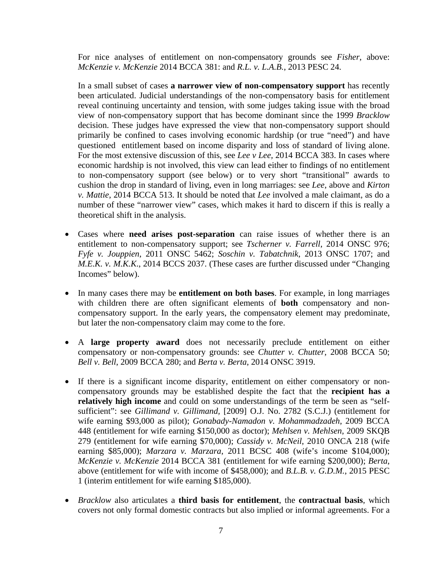For nice analyses of entitlement on non-compensatory grounds see *Fisher*, above: *McKenzie v. McKenzie* 2014 BCCA 381: and *R.L. v. L.A.B.*, 2013 PESC 24.

In a small subset of cases **a narrower view of non-compensatory support** has recently been articulated. Judicial understandings of the non-compensatory basis for entitlement reveal continuing uncertainty and tension, with some judges taking issue with the broad view of non-compensatory support that has become dominant since the 1999 *Bracklow*  decision. These judges have expressed the view that non-compensatory support should primarily be confined to cases involving economic hardship (or true "need") and have questioned entitlement based on income disparity and loss of standard of living alone. For the most extensive discussion of this, see *Lee v Lee,* 2014 BCCA 383. In cases where economic hardship is not involved, this view can lead either to findings of no entitlement to non-compensatory support (see below) or to very short "transitional" awards to cushion the drop in standard of living, even in long marriages: see *Lee*, above and *Kirton v. Mattie*, 2014 BCCA 513. It should be noted that *Lee* involved a male claimant, as do a number of these "narrower view" cases, which makes it hard to discern if this is really a theoretical shift in the analysis.

- Cases where **need arises post-separation** can raise issues of whether there is an entitlement to non-compensatory support; see *Tscherner v. Farrell*, 2014 ONSC 976; *Fyfe v. Jouppien*, 2011 ONSC 5462; *Soschin v. Tabatchnik*, 2013 ONSC 1707; and *M.E.K. v. M.K.K.*, 2014 BCCS 2037. (These cases are further discussed under "Changing" Incomes" below).
- In many cases there may be **entitlement on both bases**. For example, in long marriages with children there are often significant elements of **both** compensatory and noncompensatory support. In the early years, the compensatory element may predominate, but later the non-compensatory claim may come to the fore.
- A **large property award** does not necessarily preclude entitlement on either compensatory or non-compensatory grounds: see *Chutter v. Chutter*, 2008 BCCA 50; *Bell v. Bell*, 2009 BCCA 280; and *Berta v. Berta*, 2014 ONSC 3919.
- If there is a significant income disparity, entitlement on either compensatory or noncompensatory grounds may be established despite the fact that the **recipient has a relatively high income** and could on some understandings of the term be seen as "selfsufficient": see *Gillimand v. Gillimand,* [2009] O.J. No. 2782 (S.C.J.) (entitlement for wife earning \$93,000 as pilot); *Gonabady-Namadon v. Mohammadzadeh*, 2009 BCCA 448 (entitlement for wife earning \$150,000 as doctor); *Mehlsen v. Mehlsen*, 2009 SKQB 279 (entitlement for wife earning \$70,000); *Cassidy v. McNeil*, 2010 ONCA 218 (wife earning \$85,000); *Marzara v. Marzara*, 2011 BCSC 408 (wife's income \$104,000); *McKenzie v. McKenzie* 2014 BCCA 381 (entitlement for wife earning \$200,000); *Berta*, above (entitlement for wife with income of \$458,000); and *B.L.B. v. G.D.M.*, 2015 PESC 1 (interim entitlement for wife earning \$185,000).
- *Bracklow* also articulates a **third basis for entitlement**, the **contractual basis**, which covers not only formal domestic contracts but also implied or informal agreements. For a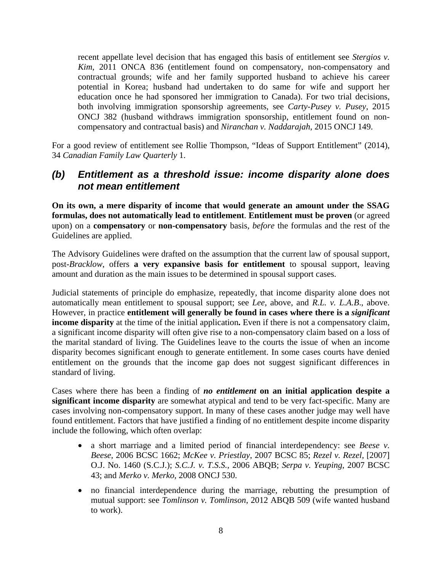recent appellate level decision that has engaged this basis of entitlement see *Stergios v. Kim*, 2011 ONCA 836 (entitlement found on compensatory, non-compensatory and contractual grounds; wife and her family supported husband to achieve his career potential in Korea; husband had undertaken to do same for wife and support her education once he had sponsored her immigration to Canada). For two trial decisions, both involving immigration sponsorship agreements, see *Carty-Pusey v. Pusey*, 2015 ONCJ 382 (husband withdraws immigration sponsorship, entitlement found on noncompensatory and contractual basis) and *Niranchan v. Naddarajah*, 2015 ONCJ 149.

For a good review of entitlement see Rollie Thompson, "Ideas of Support Entitlement" (2014), 34 *Canadian Family Law Quarterly* 1.

#### *(b) Entitlement as a threshold issue: income disparity alone does not mean entitlement*

**On its own, a mere disparity of income that would generate an amount under the SSAG formulas, does not automatically lead to entitlement**. **Entitlement must be proven** (or agreed upon) on a **compensatory** or **non-compensatory** basis, *before* the formulas and the rest of the Guidelines are applied.

The Advisory Guidelines were drafted on the assumption that the current law of spousal support, post-*Bracklow*, offers **a very expansive basis for entitlement** to spousal support, leaving amount and duration as the main issues to be determined in spousal support cases.

Judicial statements of principle do emphasize, repeatedly, that income disparity alone does not automatically mean entitlement to spousal support; see *Lee*, above, and *R.L. v. L.A.B*., above. However, in practice **entitlement will generally be found in cases where there is a** *significant* **income disparity** at the time of the initial application**.** Even if there is not a compensatory claim, a significant income disparity will often give rise to a non-compensatory claim based on a loss of the marital standard of living. The Guidelines leave to the courts the issue of when an income disparity becomes significant enough to generate entitlement. In some cases courts have denied entitlement on the grounds that the income gap does not suggest significant differences in standard of living.

Cases where there has been a finding of *no entitlement* **on an initial application despite a significant income disparity** are somewhat atypical and tend to be very fact-specific. Many are cases involving non-compensatory support. In many of these cases another judge may well have found entitlement. Factors that have justified a finding of no entitlement despite income disparity include the following, which often overlap:

- a short marriage and a limited period of financial interdependency: see *Beese v. Beese*, 2006 BCSC 1662; *McKee v. Priestlay*, 2007 BCSC 85; *Rezel v. Rezel,* [2007] O.J. No. 1460 (S.C.J.); *S.C.J. v. T.S.S.*, 2006 ABQB; *Serpa v. Yeuping*, 2007 BCSC 43; and *Merko v. Merko*, 2008 ONCJ 530.
- no financial interdependence during the marriage, rebutting the presumption of mutual support: see *Tomlinson v. Tomlinson*, 2012 ABQB 509 (wife wanted husband to work).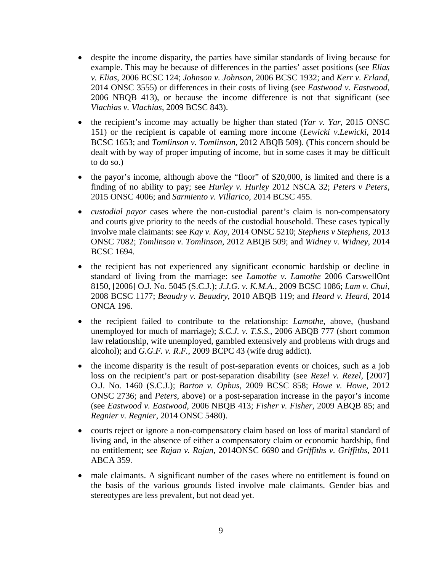- despite the income disparity, the parties have similar standards of living because for example. This may be because of differences in the parties' asset positions (see *Elias v. Elias*, 2006 BCSC 124; *Johnson v. Johnson*, 2006 BCSC 1932; and *Kerr v. Erland*, 2014 ONSC 3555) or differences in their costs of living (see *Eastwood v. Eastwood*, 2006 NBQB 413), or because the income difference is not that significant (see *Vlachias v. Vlachias*, 2009 BCSC 843).
- the recipient's income may actually be higher than stated (*Yar v. Yar,* 2015 ONSC 151) or the recipient is capable of earning more income (*Lewicki v.Lewicki*, 2014 BCSC 1653; and *Tomlinson v. Tomlinson*, 2012 ABQB 509). (This concern should be dealt with by way of proper imputing of income, but in some cases it may be difficult to do so.)
- the payor's income, although above the "floor" of \$20,000, is limited and there is a finding of no ability to pay; see *Hurley v. Hurley* 2012 NSCA 32; *Peters v Peters,* 2015 ONSC 4006; and *Sarmiento v. Villarico,* 2014 BCSC 455.
- *custodial payor* cases where the non-custodial parent's claim is non-compensatory and courts give priority to the needs of the custodial household. These cases typically involve male claimants: see *Kay v. Kay*, 2014 ONSC 5210; *Stephens v Stephens*, 2013 ONSC 7082; *Tomlinson v. Tomlinson*, 2012 ABQB 509; and *Widney v. Widney*, 2014 BCSC 1694.
- the recipient has not experienced any significant economic hardship or decline in standard of living from the marriage: see *Lamothe v. Lamothe* 2006 CarswellOnt 8150, [2006] O.J. No. 5045 (S.C.J.); *J.J.G. v. K.M.A.*, 2009 BCSC 1086; *Lam v. Chui*, 2008 BCSC 1177; *Beaudry v. Beaudry*, 2010 ABQB 119; and *Heard v. Heard*, 2014 ONCA 196.
- the recipient failed to contribute to the relationship: *Lamothe*, above, (husband unemployed for much of marriage); *S.C.J. v. T.S.S.*, 2006 ABQB 777 (short common law relationship, wife unemployed, gambled extensively and problems with drugs and alcohol); and *G.G.F. v. R.F.*, 2009 BCPC 43 (wife drug addict).
- the income disparity is the result of post-separation events or choices, such as a job loss on the recipient's part or post-separation disability (see *Rezel v. Rezel,* [2007] O.J. No. 1460 (S.C.J.); *Barton v. Ophus*, 2009 BCSC 858; *Howe v. Howe*, 2012 ONSC 2736; and *Peters*, above) or a post-separation increase in the payor's income (see *Eastwood v. Eastwood*, 2006 NBQB 413; *Fisher v. Fisher,* 2009 ABQB 85; and *Regnier v. Regnier*, 2014 ONSC 5480).
- courts reject or ignore a non-compensatory claim based on loss of marital standard of living and, in the absence of either a compensatory claim or economic hardship, find no entitlement; see *Rajan v. Rajan*, 2014ONSC 6690 and *Griffiths v. Griffiths*, 2011 ABCA 359.
- male claimants. A significant number of the cases where no entitlement is found on the basis of the various grounds listed involve male claimants. Gender bias and stereotypes are less prevalent, but not dead yet.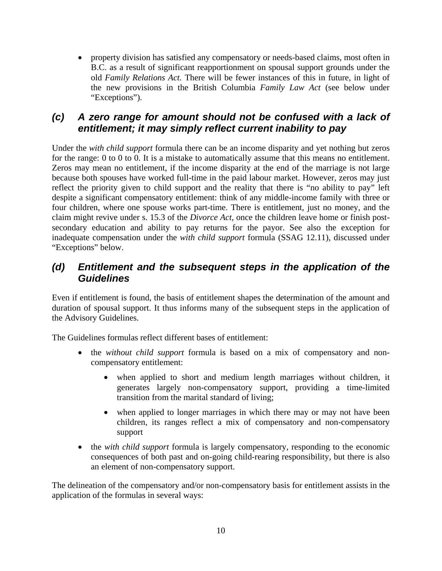property division has satisfied any compensatory or needs-based claims, most often in B.C. as a result of significant reapportionment on spousal support grounds under the old *Family Relations Act.* There will be fewer instances of this in future, in light of the new provisions in the British Columbia *Family Law Act* (see below under "Exceptions").

#### *(c) A zero range for amount should not be confused with a lack of entitlement; it may simply reflect current inability to pay*

Under the *with child support* formula there can be an income disparity and yet nothing but zeros for the range: 0 to 0 to 0. It is a mistake to automatically assume that this means no entitlement. Zeros may mean no entitlement, if the income disparity at the end of the marriage is not large because both spouses have worked full-time in the paid labour market. However, zeros may just reflect the priority given to child support and the reality that there is "no ability to pay" left despite a significant compensatory entitlement: think of any middle-income family with three or four children, where one spouse works part-time. There is entitlement, just no money, and the claim might revive under s. 15.3 of the *Divorce Act*, once the children leave home or finish postsecondary education and ability to pay returns for the payor. See also the exception for inadequate compensation under the *with child support* formula (SSAG 12.11), discussed under "Exceptions" below.

#### *(d) Entitlement and the subsequent steps in the application of the Guidelines*

Even if entitlement is found, the basis of entitlement shapes the determination of the amount and duration of spousal support. It thus informs many of the subsequent steps in the application of the Advisory Guidelines.

The Guidelines formulas reflect different bases of entitlement:

- the *without child support* formula is based on a mix of compensatory and noncompensatory entitlement:
	- when applied to short and medium length marriages without children, it generates largely non-compensatory support, providing a time-limited transition from the marital standard of living;
	- when applied to longer marriages in which there may or may not have been children, its ranges reflect a mix of compensatory and non-compensatory support
- the *with child support* formula is largely compensatory, responding to the economic consequences of both past and on-going child-rearing responsibility, but there is also an element of non-compensatory support.

The delineation of the compensatory and/or non-compensatory basis for entitlement assists in the application of the formulas in several ways: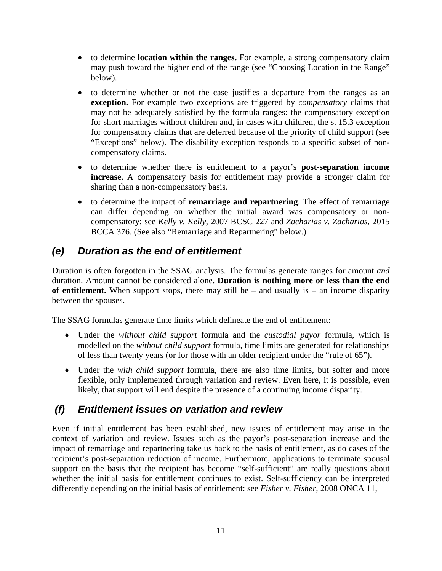- to determine **location within the ranges.** For example, a strong compensatory claim may push toward the higher end of the range (see "Choosing Location in the Range" below).
- to determine whether or not the case justifies a departure from the ranges as an **exception.** For example two exceptions are triggered by *compensatory* claims that may not be adequately satisfied by the formula ranges: the compensatory exception for short marriages without children and, in cases with children, the s. 15.3 exception for compensatory claims that are deferred because of the priority of child support (see "Exceptions" below). The disability exception responds to a specific subset of noncompensatory claims.
- to determine whether there is entitlement to a payor's **post-separation income increase.** A compensatory basis for entitlement may provide a stronger claim for sharing than a non-compensatory basis.
- to determine the impact of **remarriage and repartnering**. The effect of remarriage can differ depending on whether the initial award was compensatory or noncompensatory; see *Kelly v. Kelly*, 2007 BCSC 227 and *Zacharias v. Zacharias*, 2015 BCCA 376. (See also "Remarriage and Repartnering" below.)

## *(e) Duration as the end of entitlement*

Duration is often forgotten in the SSAG analysis. The formulas generate ranges for amount *and*  duration. Amount cannot be considered alone. **Duration is nothing more or less than the end of entitlement.** When support stops, there may still be – and usually is – an income disparity between the spouses.

The SSAG formulas generate time limits which delineate the end of entitlement:

- Under the *without child support* formula and the *custodial payor* formula, which is modelled on the *without child support* formula, time limits are generated for relationships of less than twenty years (or for those with an older recipient under the "rule of 65").
- Under the *with child support* formula, there are also time limits, but softer and more flexible, only implemented through variation and review. Even here, it is possible, even likely, that support will end despite the presence of a continuing income disparity.

## *(f) Entitlement issues on variation and review*

Even if initial entitlement has been established, new issues of entitlement may arise in the context of variation and review. Issues such as the payor's post-separation increase and the impact of remarriage and repartnering take us back to the basis of entitlement, as do cases of the recipient's post-separation reduction of income. Furthermore, applications to terminate spousal support on the basis that the recipient has become "self-sufficient" are really questions about whether the initial basis for entitlement continues to exist. Self-sufficiency can be interpreted differently depending on the initial basis of entitlement: see *Fisher v. Fisher*, 2008 ONCA 11,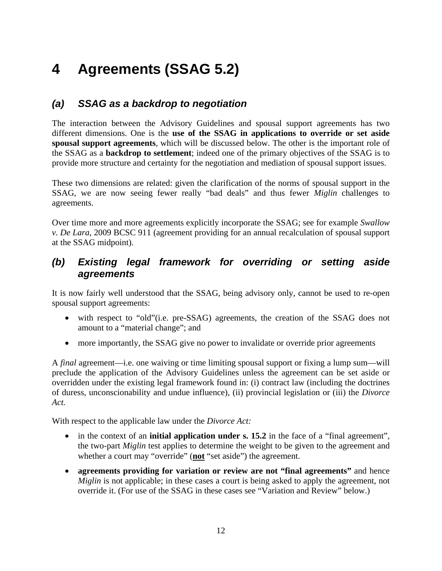## **4 Agreements (SSAG 5.2)**

### *(a) SSAG as a backdrop to negotiation*

The interaction between the Advisory Guidelines and spousal support agreements has two different dimensions. One is the **use of the SSAG in applications to override or set aside spousal support agreements**, which will be discussed below. The other is the important role of the SSAG as a **backdrop to settlement**; indeed one of the primary objectives of the SSAG is to provide more structure and certainty for the negotiation and mediation of spousal support issues.

These two dimensions are related: given the clarification of the norms of spousal support in the SSAG, we are now seeing fewer really "bad deals" and thus fewer *Miglin* challenges to agreements.

Over time more and more agreements explicitly incorporate the SSAG; see for example *Swallow v. De Lara*, 2009 BCSC 911 (agreement providing for an annual recalculation of spousal support at the SSAG midpoint).

#### *(b) Existing legal framework for overriding or setting aside agreements*

It is now fairly well understood that the SSAG, being advisory only, cannot be used to re-open spousal support agreements:

- with respect to "old"(i.e. pre-SSAG) agreements, the creation of the SSAG does not amount to a "material change"; and
- more importantly, the SSAG give no power to invalidate or override prior agreements

A *final* agreement—i.e. one waiving or time limiting spousal support or fixing a lump sum—will preclude the application of the Advisory Guidelines unless the agreement can be set aside or overridden under the existing legal framework found in: (i) contract law (including the doctrines of duress, unconscionability and undue influence), (ii) provincial legislation or (iii) the *Divorce Act.*

With respect to the applicable law under the *Divorce Act:*

- in the context of an **initial application under s. 15.2** in the face of a "final agreement", the two-part *Miglin* test applies to determine the weight to be given to the agreement and whether a court may "override" (**not** "set aside") the agreement.
- **agreements providing for variation or review are not "final agreements"** and hence *Miglin* is not applicable; in these cases a court is being asked to apply the agreement, not override it. (For use of the SSAG in these cases see "Variation and Review" below.)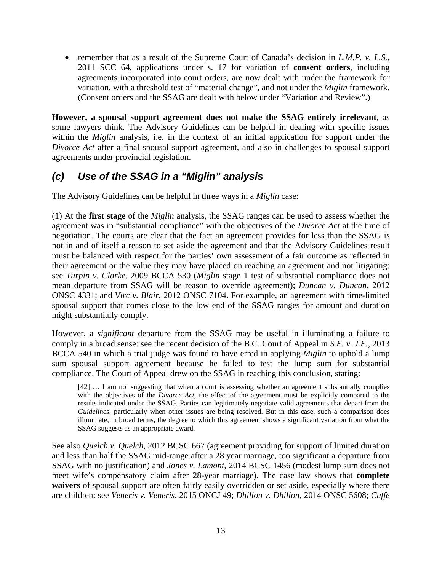• remember that as a result of the Supreme Court of Canada's decision in *L.M.P. v. L.S.*, 2011 SCC 64, applications under s. 17 for variation of **consent orders**, including agreements incorporated into court orders, are now dealt with under the framework for variation, with a threshold test of "material change", and not under the *Miglin* framework. (Consent orders and the SSAG are dealt with below under "Variation and Review".)

**However, a spousal support agreement does not make the SSAG entirely irrelevant**, as some lawyers think. The Advisory Guidelines can be helpful in dealing with specific issues within the *Miglin* analysis, i.e. in the context of an initial application for support under the *Divorce Act* after a final spousal support agreement, and also in challenges to spousal support agreements under provincial legislation.

## *(c) Use of the SSAG in a "Miglin" analysis*

The Advisory Guidelines can be helpful in three ways in a *Miglin* case:

(1) At the **first stage** of the *Miglin* analysis, the SSAG ranges can be used to assess whether the agreement was in "substantial compliance" with the objectives of the *Divorce Act* at the time of negotiation. The courts are clear that the fact an agreement provides for less than the SSAG is not in and of itself a reason to set aside the agreement and that the Advisory Guidelines result must be balanced with respect for the parties' own assessment of a fair outcome as reflected in their agreement or the value they may have placed on reaching an agreement and not litigating: see *Turpin v. Clarke*, 2009 BCCA 530 (*Miglin* stage 1 test of substantial compliance does not mean departure from SSAG will be reason to override agreement); *Duncan v. Duncan*, 2012 ONSC 4331; and *Virc v. Blair*, 2012 ONSC 7104. For example, an agreement with time-limited spousal support that comes close to the low end of the SSAG ranges for amount and duration might substantially comply.

However, a *significant* departure from the SSAG may be useful in illuminating a failure to comply in a broad sense: see the recent decision of the B.C. Court of Appeal in *S.E. v. J.E.*, 2013 BCCA 540 in which a trial judge was found to have erred in applying *Miglin* to uphold a lump sum spousal support agreement because he failed to test the lump sum for substantial compliance. The Court of Appeal drew on the SSAG in reaching this conclusion, stating:

[42] … I am not suggesting that when a court is assessing whether an agreement substantially complies with the objectives of the *Divorce Act,* the effect of the agreement must be explicitly compared to the results indicated under the SSAG. Parties can legitimately negotiate valid agreements that depart from the *Guidelines*, particularly when other issues are being resolved. But in this case, such a comparison does illuminate, in broad terms, the degree to which this agreement shows a significant variation from what the SSAG suggests as an appropriate award.

See also *Quelch v. Quelch*, 2012 BCSC 667 (agreement providing for support of limited duration and less than half the SSAG mid-range after a 28 year marriage, too significant a departure from SSAG with no justification) and *Jones v. Lamont*, 2014 BCSC 1456 (modest lump sum does not meet wife's compensatory claim after 28-year marriage). The case law shows that **complete waivers** of spousal support are often fairly easily overridden or set aside, especially where there are children: see *Veneris v. Veneris*, 2015 ONCJ 49; *Dhillon v. Dhillon*, 2014 ONSC 5608; *Cuffe*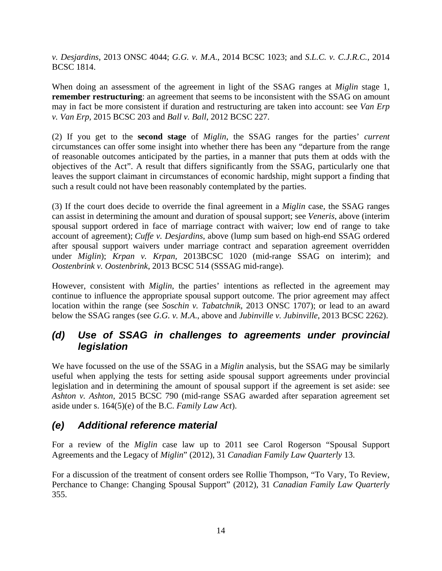*v. Desjardins*, 2013 ONSC 4044; *G.G. v. M.A*., 2014 BCSC 1023; and *S.L.C. v. C.J.R.C.*, 2014 BCSC 1814.

When doing an assessment of the agreement in light of the SSAG ranges at *Miglin* stage 1, **remember restructuring**: an agreement that seems to be inconsistent with the SSAG on amount may in fact be more consistent if duration and restructuring are taken into account: see *Van Erp v. Van Erp,* 2015 BCSC 203 and *Ball v. Ball*, 2012 BCSC 227.

(2) If you get to the **second stage** of *Miglin*, the SSAG ranges for the parties' *current*  circumstances can offer some insight into whether there has been any "departure from the range of reasonable outcomes anticipated by the parties, in a manner that puts them at odds with the objectives of the Act". A result that differs significantly from the SSAG, particularly one that leaves the support claimant in circumstances of economic hardship, might support a finding that such a result could not have been reasonably contemplated by the parties.

(3) If the court does decide to override the final agreement in a *Miglin* case, the SSAG ranges can assist in determining the amount and duration of spousal support; see *Veneris,* above (interim spousal support ordered in face of marriage contract with waiver; low end of range to take account of agreement); *Cuffe v. Desjardins*, above (lump sum based on high-end SSAG ordered after spousal support waivers under marriage contract and separation agreement overridden under *Miglin*); *Krpan v. Krpan,* 2013BCSC 1020 (mid-range SSAG on interim); and *Oostenbrink v. Oostenbrink*, 2013 BCSC 514 (SSSAG mid-range).

However, consistent with *Miglin*, the parties' intentions as reflected in the agreement may continue to influence the appropriate spousal support outcome. The prior agreement may affect location within the range (see *Soschin v. Tabatchnik*, 2013 ONSC 1707); or lead to an award below the SSAG ranges (see *G.G. v. M.A*., above and *Jubinville v. Jubinville*, 2013 BCSC 2262).

#### *(d) Use of SSAG in challenges to agreements under provincial legislation*

We have focussed on the use of the SSAG in a *Miglin* analysis, but the SSAG may be similarly useful when applying the tests for setting aside spousal support agreements under provincial legislation and in determining the amount of spousal support if the agreement is set aside: see *Ashton v. Ashton*, 2015 BCSC 790 (mid-range SSAG awarded after separation agreement set aside under s. 164(5)(e) of the B.C. *Family Law Act*).

#### *(e) Additional reference material*

For a review of the *Miglin* case law up to 2011 see Carol Rogerson "Spousal Support Agreements and the Legacy of *Miglin*" (2012), 31 *Canadian Family Law Quarterly* 13.

For a discussion of the treatment of consent orders see Rollie Thompson, "To Vary, To Review, Perchance to Change: Changing Spousal Support" (2012), 31 *Canadian Family Law Quarterly* 355.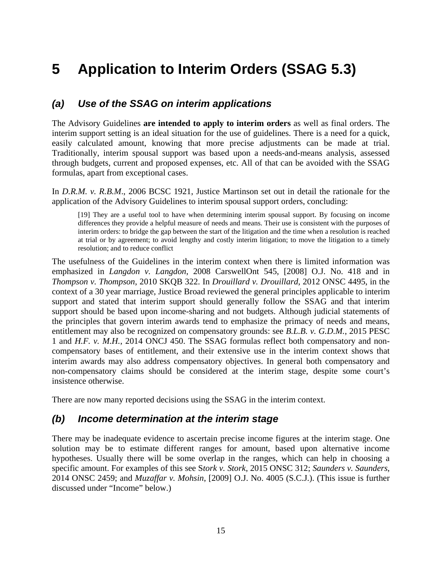## **5 Application to Interim Orders (SSAG 5.3)**

#### *(a) Use of the SSAG on interim applications*

The Advisory Guidelines **are intended to apply to interim orders** as well as final orders. The interim support setting is an ideal situation for the use of guidelines. There is a need for a quick, easily calculated amount, knowing that more precise adjustments can be made at trial. Traditionally, interim spousal support was based upon a needs-and-means analysis, assessed through budgets, current and proposed expenses, etc. All of that can be avoided with the SSAG formulas, apart from exceptional cases.

In *D.R.M. v. R.B.M*., 2006 BCSC 1921, Justice Martinson set out in detail the rationale for the application of the Advisory Guidelines to interim spousal support orders, concluding:

[19] They are a useful tool to have when determining interim spousal support. By focusing on income differences they provide a helpful measure of needs and means. Their use is consistent with the purposes of interim orders: to bridge the gap between the start of the litigation and the time when a resolution is reached at trial or by agreement; to avoid lengthy and costly interim litigation; to move the litigation to a timely resolution; and to reduce conflict

The usefulness of the Guidelines in the interim context when there is limited information was emphasized in *Langdon v. Langdon*, 2008 CarswellOnt 545, [2008] O.J. No. 418 and in *Thompson v. Thompson*, 2010 SKQB 322. In *Drouillard v. Drouillard*, 2012 ONSC 4495, in the context of a 30 year marriage, Justice Broad reviewed the general principles applicable to interim support and stated that interim support should generally follow the SSAG and that interim support should be based upon income-sharing and not budgets. Although judicial statements of the principles that govern interim awards tend to emphasize the primacy of needs and means, entitlement may also be recognized on compensatory grounds: see *B.L.B. v. G.D.M.*, 2015 PESC 1 and *H.F. v. M.H.*, 2014 ONCJ 450. The SSAG formulas reflect both compensatory and noncompensatory bases of entitlement, and their extensive use in the interim context shows that interim awards may also address compensatory objectives. In general both compensatory and non-compensatory claims should be considered at the interim stage, despite some court's insistence otherwise.

There are now many reported decisions using the SSAG in the interim context.

#### *(b) Income determination at the interim stage*

There may be inadequate evidence to ascertain precise income figures at the interim stage. One solution may be to estimate different ranges for amount, based upon alternative income hypotheses. Usually there will be some overlap in the ranges, which can help in choosing a specific amount. For examples of this see S*tork v. Stork*, 2015 ONSC 312; *Saunders v. Saunders*, 2014 ONSC 2459; and *Muzaffar v. Mohsin*, [2009] O.J. No. 4005 (S.C.J.). (This issue is further discussed under "Income" below.)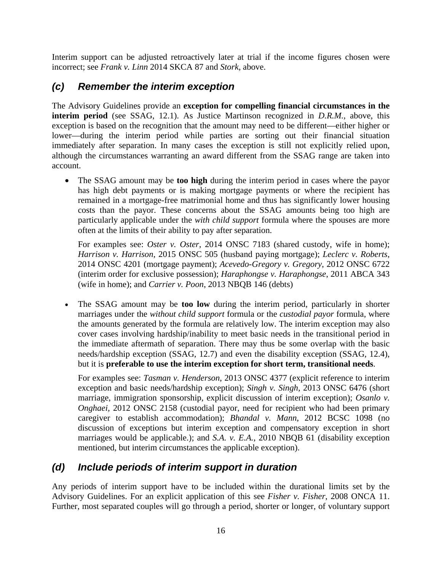Interim support can be adjusted retroactively later at trial if the income figures chosen were incorrect; see *Frank v. Linn* 2014 SKCA 87 and *Stork*, above.

#### *(c) Remember the interim exception*

The Advisory Guidelines provide an **exception for compelling financial circumstances in the interim period** (see SSAG, 12.1). As Justice Martinson recognized in *D.R.M.*, above, this exception is based on the recognition that the amount may need to be different—either higher or lower—during the interim period while parties are sorting out their financial situation immediately after separation. In many cases the exception is still not explicitly relied upon, although the circumstances warranting an award different from the SSAG range are taken into account.

 The SSAG amount may be **too high** during the interim period in cases where the payor has high debt payments or is making mortgage payments or where the recipient has remained in a mortgage-free matrimonial home and thus has significantly lower housing costs than the payor. These concerns about the SSAG amounts being too high are particularly applicable under the *with child support* formula where the spouses are more often at the limits of their ability to pay after separation.

For examples see: *Oster v. Oster*, 2014 ONSC 7183 (shared custody, wife in home); *Harrison v. Harrison*, 2015 ONSC 505 (husband paying mortgage); *Leclerc v. Roberts*, 2014 ONSC 4201 (mortgage payment); *Acevedo-Gregory v. Gregory*, 2012 ONSC 6722 (interim order for exclusive possession); *Haraphongse v. Haraphongse*, 2011 ABCA 343 (wife in home); and *Carrier v. Poon*, 2013 NBQB 146 (debts)

 The SSAG amount may be **too low** during the interim period, particularly in shorter marriages under the *without child support* formula or the *custodial payor* formula, where the amounts generated by the formula are relatively low. The interim exception may also cover cases involving hardship/inability to meet basic needs in the transitional period in the immediate aftermath of separation. There may thus be some overlap with the basic needs/hardship exception (SSAG, 12.7) and even the disability exception (SSAG, 12.4), but it is **preferable to use the interim exception for short term, transitional needs**.

For examples see: *Tasman v. Henderson*, 2013 ONSC 4377 (explicit reference to interim exception and basic needs/hardship exception); *Singh v. Singh*, 2013 ONSC 6476 (short marriage, immigration sponsorship, explicit discussion of interim exception); *Osanlo v. Onghaei,* 2012 ONSC 2158 (custodial payor, need for recipient who had been primary caregiver to establish accommodation); *Bhandal v. Mann*, 2012 BCSC 1098 (no discussion of exceptions but interim exception and compensatory exception in short marriages would be applicable.); and *S.A. v. E.A.*, 2010 NBQB 61 (disability exception mentioned, but interim circumstances the applicable exception).

## *(d) Include periods of interim support in duration*

Any periods of interim support have to be included within the durational limits set by the Advisory Guidelines. For an explicit application of this see *Fisher v. Fisher*, 2008 ONCA 11. Further, most separated couples will go through a period, shorter or longer, of voluntary support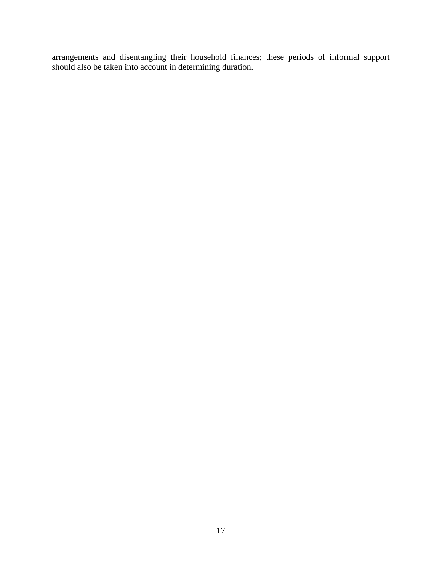arrangements and disentangling their household finances; these periods of informal support should also be taken into account in determining duration.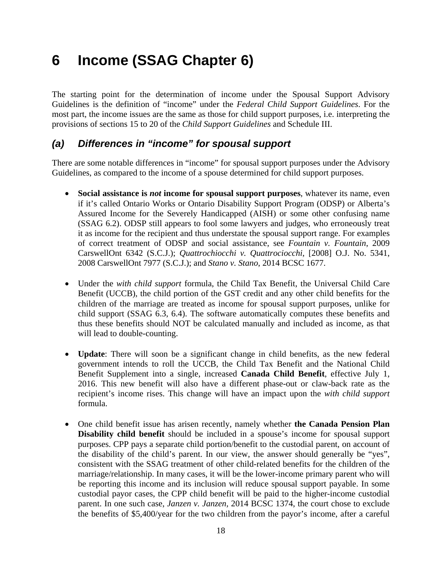## **6 Income (SSAG Chapter 6)**

The starting point for the determination of income under the Spousal Support Advisory Guidelines is the definition of "income" under the *Federal Child Support Guidelines*. For the most part, the income issues are the same as those for child support purposes, i.e. interpreting the provisions of sections 15 to 20 of the *Child Support Guidelines* and Schedule III.

#### *(a) Differences in "income" for spousal support*

There are some notable differences in "income" for spousal support purposes under the Advisory Guidelines, as compared to the income of a spouse determined for child support purposes.

- **Social assistance is** *not* **income for spousal support purposes**, whatever its name, even if it's called Ontario Works or Ontario Disability Support Program (ODSP) or Alberta's Assured Income for the Severely Handicapped (AISH) or some other confusing name (SSAG 6.2). ODSP still appears to fool some lawyers and judges, who erroneously treat it as income for the recipient and thus understate the spousal support range. For examples of correct treatment of ODSP and social assistance, see *Fountain v. Fountain*, 2009 CarswellOnt 6342 (S.C.J.); *Quattrochiocchi v. Quattrociocchi*, [2008] O.J. No. 5341, 2008 CarswellOnt 7977 (S.C.J.); and *Stano v. Stano*, 2014 BCSC 1677.
- Under the *with child support* formula, the Child Tax Benefit, the Universal Child Care Benefit (UCCB), the child portion of the GST credit and any other child benefits for the children of the marriage are treated as income for spousal support purposes, unlike for child support (SSAG 6.3, 6.4). The software automatically computes these benefits and thus these benefits should NOT be calculated manually and included as income, as that will lead to double-counting.
- **Update**: There will soon be a significant change in child benefits, as the new federal government intends to roll the UCCB, the Child Tax Benefit and the National Child Benefit Supplement into a single, increased **Canada Child Benefit**, effective July 1, 2016. This new benefit will also have a different phase-out or claw-back rate as the recipient's income rises. This change will have an impact upon the *with child support*  formula.
- One child benefit issue has arisen recently, namely whether **the Canada Pension Plan Disability child benefit** should be included in a spouse's income for spousal support purposes. CPP pays a separate child portion/benefit to the custodial parent, on account of the disability of the child's parent. In our view, the answer should generally be "yes", consistent with the SSAG treatment of other child-related benefits for the children of the marriage/relationship. In many cases, it will be the lower-income primary parent who will be reporting this income and its inclusion will reduce spousal support payable. In some custodial payor cases, the CPP child benefit will be paid to the higher-income custodial parent. In one such case, *Janzen v. Janzen,* 2014 BCSC 1374, the court chose to exclude the benefits of \$5,400/year for the two children from the payor's income, after a careful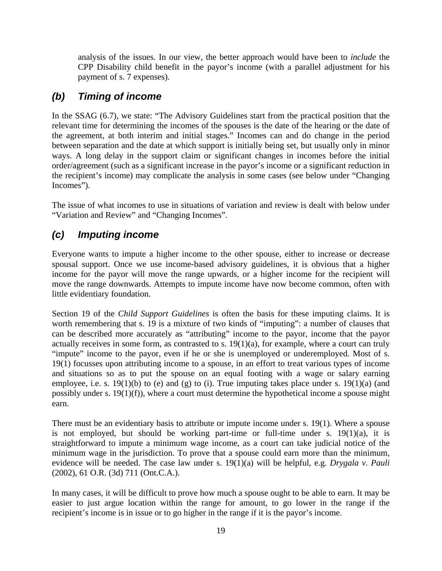analysis of the issues. In our view, the better approach would have been to *include* the CPP Disability child benefit in the payor's income (with a parallel adjustment for his payment of s. 7 expenses).

#### *(b) Timing of income*

In the SSAG (6.7), we state: "The Advisory Guidelines start from the practical position that the relevant time for determining the incomes of the spouses is the date of the hearing or the date of the agreement, at both interim and initial stages." Incomes can and do change in the period between separation and the date at which support is initially being set, but usually only in minor ways. A long delay in the support claim or significant changes in incomes before the initial order/agreement (such as a significant increase in the payor's income or a significant reduction in the recipient's income) may complicate the analysis in some cases (see below under "Changing Incomes").

The issue of what incomes to use in situations of variation and review is dealt with below under "Variation and Review" and "Changing Incomes".

## *(c) Imputing income*

Everyone wants to impute a higher income to the other spouse, either to increase or decrease spousal support. Once we use income-based advisory guidelines, it is obvious that a higher income for the payor will move the range upwards, or a higher income for the recipient will move the range downwards. Attempts to impute income have now become common, often with little evidentiary foundation.

Section 19 of the *Child Support Guidelines* is often the basis for these imputing claims. It is worth remembering that s. 19 is a mixture of two kinds of "imputing": a number of clauses that can be described more accurately as "attributing" income to the payor, income that the payor actually receives in some form, as contrasted to s. 19(1)(a), for example, where a court can truly "impute" income to the payor, even if he or she is unemployed or underemployed. Most of s. 19(1) focusses upon attributing income to a spouse, in an effort to treat various types of income and situations so as to put the spouse on an equal footing with a wage or salary earning employee, i.e. s. 19(1)(b) to (e) and (g) to (i). True imputing takes place under s. 19(1)(a) (and possibly under s. 19(1)(f)), where a court must determine the hypothetical income a spouse might earn.

There must be an evidentiary basis to attribute or impute income under s. 19(1). Where a spouse is not employed, but should be working part-time or full-time under s.  $19(1)(a)$ , it is straightforward to impute a minimum wage income, as a court can take judicial notice of the minimum wage in the jurisdiction. To prove that a spouse could earn more than the minimum, evidence will be needed. The case law under s. 19(1)(a) will be helpful, e.g. *Drygala v. Pauli* (2002), 61 O.R. (3d) 711 (Ont.C.A.).

In many cases, it will be difficult to prove how much a spouse ought to be able to earn. It may be easier to just argue location within the range for amount, to go lower in the range if the recipient's income is in issue or to go higher in the range if it is the payor's income.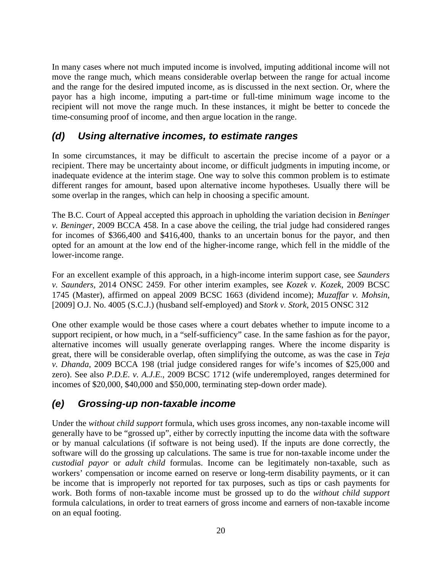In many cases where not much imputed income is involved, imputing additional income will not move the range much, which means considerable overlap between the range for actual income and the range for the desired imputed income, as is discussed in the next section. Or, where the payor has a high income, imputing a part-time or full-time minimum wage income to the recipient will not move the range much. In these instances, it might be better to concede the time-consuming proof of income, and then argue location in the range.

### *(d) Using alternative incomes, to estimate ranges*

In some circumstances, it may be difficult to ascertain the precise income of a payor or a recipient. There may be uncertainty about income, or difficult judgments in imputing income, or inadequate evidence at the interim stage. One way to solve this common problem is to estimate different ranges for amount, based upon alternative income hypotheses. Usually there will be some overlap in the ranges, which can help in choosing a specific amount.

The B.C. Court of Appeal accepted this approach in upholding the variation decision in *Beninger v. Beninger*, 2009 BCCA 458. In a case above the ceiling, the trial judge had considered ranges for incomes of \$366,400 and \$416,400, thanks to an uncertain bonus for the payor, and then opted for an amount at the low end of the higher-income range, which fell in the middle of the lower-income range.

For an excellent example of this approach, in a high-income interim support case, see *Saunders v. Saunders*, 2014 ONSC 2459. For other interim examples, see *Kozek v. Kozek*, 2009 BCSC 1745 (Master), affirmed on appeal 2009 BCSC 1663 (dividend income); *Muzaffar v. Mohsin*, [2009] O.J. No. 4005 (S.C.J.) (husband self-employed) and S*tork v. Stork*, 2015 ONSC 312

One other example would be those cases where a court debates whether to impute income to a support recipient, or how much, in a "self-sufficiency" case. In the same fashion as for the payor, alternative incomes will usually generate overlapping ranges. Where the income disparity is great, there will be considerable overlap, often simplifying the outcome, as was the case in *Teja v. Dhanda*, 2009 BCCA 198 (trial judge considered ranges for wife's incomes of \$25,000 and zero). See also *P.D.E. v. A.J.E.*, 2009 BCSC 1712 (wife underemployed, ranges determined for incomes of \$20,000, \$40,000 and \$50,000, terminating step-down order made).

#### *(e) Grossing-up non-taxable income*

Under the *without child support* formula, which uses gross incomes, any non-taxable income will generally have to be "grossed up", either by correctly inputting the income data with the software or by manual calculations (if software is not being used). If the inputs are done correctly, the software will do the grossing up calculations. The same is true for non-taxable income under the *custodial payor* or *adult child* formulas. Income can be legitimately non-taxable, such as workers' compensation or income earned on reserve or long-term disability payments, or it can be income that is improperly not reported for tax purposes, such as tips or cash payments for work. Both forms of non-taxable income must be grossed up to do the *without child support* formula calculations, in order to treat earners of gross income and earners of non-taxable income on an equal footing.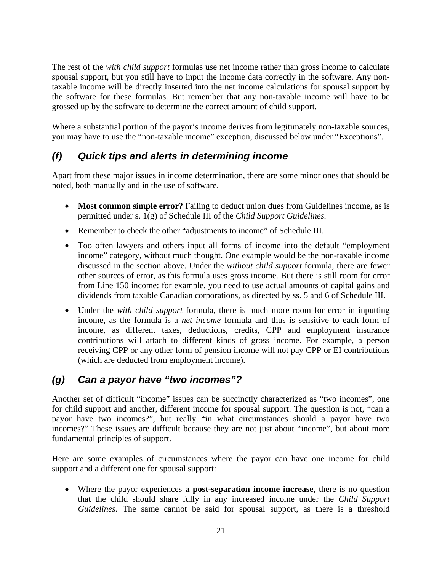The rest of the *with child support* formulas use net income rather than gross income to calculate spousal support, but you still have to input the income data correctly in the software. Any nontaxable income will be directly inserted into the net income calculations for spousal support by the software for these formulas. But remember that any non-taxable income will have to be grossed up by the software to determine the correct amount of child support.

Where a substantial portion of the payor's income derives from legitimately non-taxable sources, you may have to use the "non-taxable income" exception, discussed below under "Exceptions".

## *(f) Quick tips and alerts in determining income*

Apart from these major issues in income determination, there are some minor ones that should be noted, both manually and in the use of software.

- **Most common simple error?** Failing to deduct union dues from Guidelines income, as is permitted under s. 1(g) of Schedule III of the *Child Support Guidelines.*
- Remember to check the other "adjustments to income" of Schedule III.
- Too often lawyers and others input all forms of income into the default "employment income" category, without much thought. One example would be the non-taxable income discussed in the section above. Under the *without child support* formula, there are fewer other sources of error, as this formula uses gross income. But there is still room for error from Line 150 income: for example, you need to use actual amounts of capital gains and dividends from taxable Canadian corporations, as directed by ss. 5 and 6 of Schedule III.
- Under the *with child support* formula, there is much more room for error in inputting income, as the formula is a *net income* formula and thus is sensitive to each form of income, as different taxes, deductions, credits, CPP and employment insurance contributions will attach to different kinds of gross income. For example, a person receiving CPP or any other form of pension income will not pay CPP or EI contributions (which are deducted from employment income).

## *(g) Can a payor have "two incomes"?*

Another set of difficult "income" issues can be succinctly characterized as "two incomes", one for child support and another, different income for spousal support. The question is not, "can a payor have two incomes?", but really "in what circumstances should a payor have two incomes?" These issues are difficult because they are not just about "income", but about more fundamental principles of support.

Here are some examples of circumstances where the payor can have one income for child support and a different one for spousal support:

 Where the payor experiences **a post-separation income increase**, there is no question that the child should share fully in any increased income under the *Child Support Guidelines*. The same cannot be said for spousal support, as there is a threshold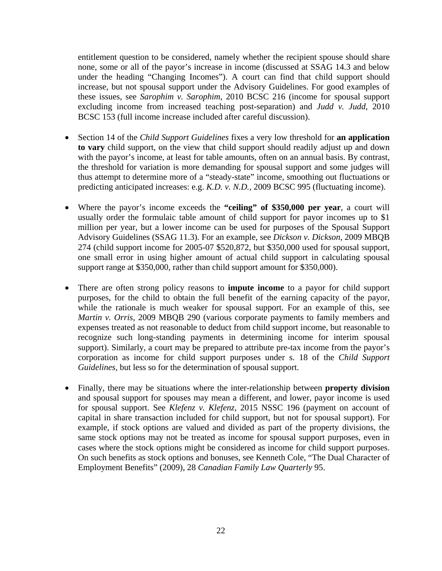entitlement question to be considered, namely whether the recipient spouse should share none, some or all of the payor's increase in income (discussed at SSAG 14.3 and below under the heading "Changing Incomes"). A court can find that child support should increase, but not spousal support under the Advisory Guidelines. For good examples of these issues, see *Sarophim v. Sarophim*, 2010 BCSC 216 (income for spousal support excluding income from increased teaching post-separation) and *Judd v. Judd*, 2010 BCSC 153 (full income increase included after careful discussion).

- Section 14 of the *Child Support Guidelines* fixes a very low threshold for **an application to vary** child support, on the view that child support should readily adjust up and down with the payor's income, at least for table amounts, often on an annual basis. By contrast, the threshold for variation is more demanding for spousal support and some judges will thus attempt to determine more of a "steady-state" income, smoothing out fluctuations or predicting anticipated increases: e.g. *K.D. v. N.D.*, 2009 BCSC 995 (fluctuating income).
- Where the payor's income exceeds the **"ceiling" of \$350,000 per year**, a court will usually order the formulaic table amount of child support for payor incomes up to \$1 million per year, but a lower income can be used for purposes of the Spousal Support Advisory Guidelines (SSAG 11.3). For an example, see *Dickson v. Dickson*, 2009 MBQB 274 (child support income for 2005-07 \$520,872, but \$350,000 used for spousal support, one small error in using higher amount of actual child support in calculating spousal support range at \$350,000, rather than child support amount for \$350,000).
- There are often strong policy reasons to **impute income** to a payor for child support purposes, for the child to obtain the full benefit of the earning capacity of the payor, while the rationale is much weaker for spousal support. For an example of this, see *Martin v. Orris*, 2009 MBQB 290 (various corporate payments to family members and expenses treated as not reasonable to deduct from child support income, but reasonable to recognize such long-standing payments in determining income for interim spousal support). Similarly, a court may be prepared to attribute pre-tax income from the payor's corporation as income for child support purposes under s. 18 of the *Child Support Guidelines*, but less so for the determination of spousal support.
- Finally, there may be situations where the inter-relationship between **property division** and spousal support for spouses may mean a different, and lower, payor income is used for spousal support. See *Klefenz v. Klefenz*, 2015 NSSC 196 (payment on account of capital in share transaction included for child support, but not for spousal support). For example, if stock options are valued and divided as part of the property divisions, the same stock options may not be treated as income for spousal support purposes, even in cases where the stock options might be considered as income for child support purposes. On such benefits as stock options and bonuses, see Kenneth Cole, "The Dual Character of Employment Benefits" (2009), 28 *Canadian Family Law Quarterly* 95.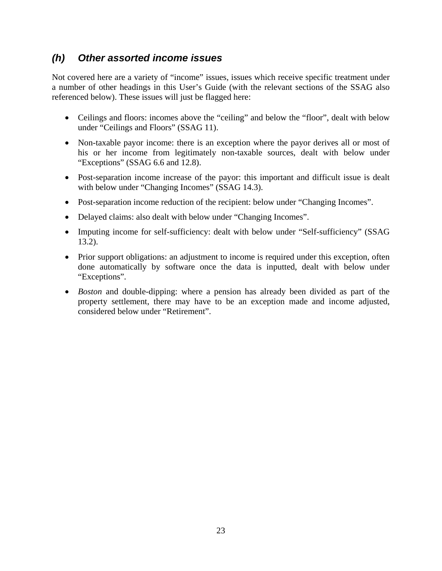#### *(h) Other assorted income issues*

Not covered here are a variety of "income" issues, issues which receive specific treatment under a number of other headings in this User's Guide (with the relevant sections of the SSAG also referenced below). These issues will just be flagged here:

- Ceilings and floors: incomes above the "ceiling" and below the "floor", dealt with below under "Ceilings and Floors" (SSAG 11).
- Non-taxable payor income: there is an exception where the payor derives all or most of his or her income from legitimately non-taxable sources, dealt with below under "Exceptions" (SSAG 6.6 and 12.8).
- Post-separation income increase of the payor: this important and difficult issue is dealt with below under "Changing Incomes" (SSAG 14.3).
- Post-separation income reduction of the recipient: below under "Changing Incomes".
- Delayed claims: also dealt with below under "Changing Incomes".
- Imputing income for self-sufficiency: dealt with below under "Self-sufficiency" (SSAG 13.2).
- Prior support obligations: an adjustment to income is required under this exception, often done automatically by software once the data is inputted, dealt with below under "Exceptions".
- *Boston* and double-dipping: where a pension has already been divided as part of the property settlement, there may have to be an exception made and income adjusted, considered below under "Retirement".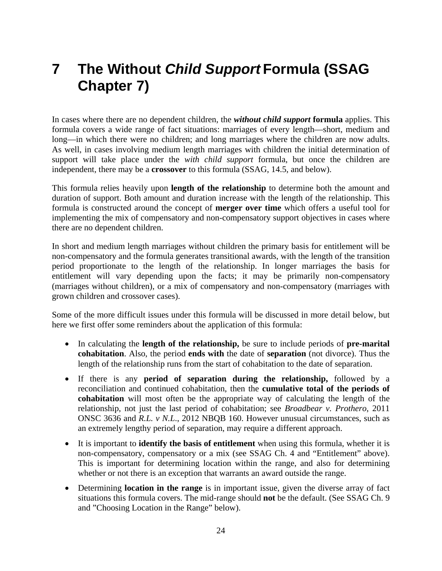## **7 The Without** *Child Support* **Formula (SSAG Chapter 7)**

In cases where there are no dependent children, the *without child support* **formula** applies. This formula covers a wide range of fact situations: marriages of every length—short, medium and long—in which there were no children; and long marriages where the children are now adults. As well, in cases involving medium length marriages with children the initial determination of support will take place under the *with child support* formula, but once the children are independent, there may be a **crossover** to this formula (SSAG, 14.5, and below).

This formula relies heavily upon **length of the relationship** to determine both the amount and duration of support. Both amount and duration increase with the length of the relationship. This formula is constructed around the concept of **merger over time** which offers a useful tool for implementing the mix of compensatory and non-compensatory support objectives in cases where there are no dependent children.

In short and medium length marriages without children the primary basis for entitlement will be non-compensatory and the formula generates transitional awards, with the length of the transition period proportionate to the length of the relationship. In longer marriages the basis for entitlement will vary depending upon the facts; it may be primarily non-compensatory (marriages without children), or a mix of compensatory and non-compensatory (marriages with grown children and crossover cases).

Some of the more difficult issues under this formula will be discussed in more detail below, but here we first offer some reminders about the application of this formula:

- In calculating the **length of the relationship,** be sure to include periods of **pre-marital cohabitation**. Also, the period **ends with** the date of **separation** (not divorce). Thus the length of the relationship runs from the start of cohabitation to the date of separation.
- If there is any **period of separation during the relationship,** followed by a reconciliation and continued cohabitation, then the **cumulative total of the periods of cohabitation** will most often be the appropriate way of calculating the length of the relationship, not just the last period of cohabitation; see *Broadbear v. Prothero*, 2011 ONSC 3636 and *R.L. v N.L*., 2012 NBQB 160. However unusual circumstances, such as an extremely lengthy period of separation, may require a different approach.
- It is important to **identify the basis of entitlement** when using this formula, whether it is non-compensatory, compensatory or a mix (see SSAG Ch. 4 and "Entitlement" above). This is important for determining location within the range, and also for determining whether or not there is an exception that warrants an award outside the range.
- Determining **location in the range** is in important issue, given the diverse array of fact situations this formula covers. The mid-range should **not** be the default. (See SSAG Ch. 9 and "Choosing Location in the Range" below).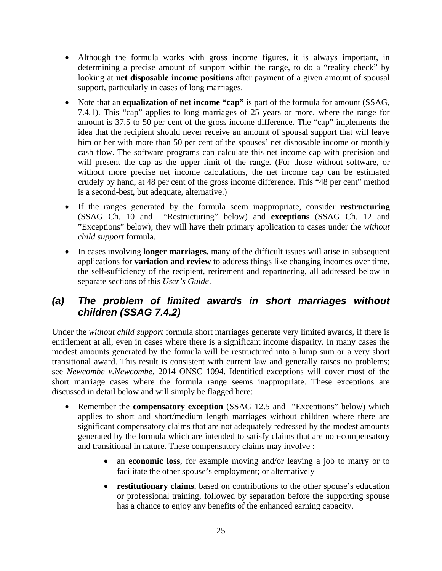- Although the formula works with gross income figures, it is always important, in determining a precise amount of support within the range, to do a "reality check" by looking at **net disposable income positions** after payment of a given amount of spousal support, particularly in cases of long marriages.
- Note that an **equalization of net income "cap"** is part of the formula for amount (SSAG, 7.4.1). This "cap" applies to long marriages of 25 years or more, where the range for amount is 37.5 to 50 per cent of the gross income difference. The "cap" implements the idea that the recipient should never receive an amount of spousal support that will leave him or her with more than 50 per cent of the spouses' net disposable income or monthly cash flow. The software programs can calculate this net income cap with precision and will present the cap as the upper limit of the range. (For those without software, or without more precise net income calculations, the net income cap can be estimated crudely by hand, at 48 per cent of the gross income difference. This "48 per cent" method is a second-best, but adequate, alternative.)
- If the ranges generated by the formula seem inappropriate, consider **restructuring** (SSAG Ch. 10 and "Restructuring" below) and **exceptions** (SSAG Ch. 12 and "Exceptions" below); they will have their primary application to cases under the *without child support* formula.
- In cases involving **longer marriages,** many of the difficult issues will arise in subsequent applications for **variation and review** to address things like changing incomes over time, the self-sufficiency of the recipient, retirement and repartnering, all addressed below in separate sections of this *User's Guide*.

### *(a) The problem of limited awards in short marriages without children (SSAG 7.4.2)*

Under the *without child support* formula short marriages generate very limited awards, if there is entitlement at all, even in cases where there is a significant income disparity. In many cases the modest amounts generated by the formula will be restructured into a lump sum or a very short transitional award. This result is consistent with current law and generally raises no problems; see *Newcombe v.Newcombe*, 2014 ONSC 1094. Identified exceptions will cover most of the short marriage cases where the formula range seems inappropriate. These exceptions are discussed in detail below and will simply be flagged here:

- Remember the **compensatory exception** (SSAG 12.5 and "Exceptions" below) which applies to short and short/medium length marriages without children where there are significant compensatory claims that are not adequately redressed by the modest amounts generated by the formula which are intended to satisfy claims that are non-compensatory and transitional in nature. These compensatory claims may involve :
	- an **economic loss**, for example moving and/or leaving a job to marry or to facilitate the other spouse's employment; or alternatively
	- **restitutionary claims**, based on contributions to the other spouse's education or professional training, followed by separation before the supporting spouse has a chance to enjoy any benefits of the enhanced earning capacity.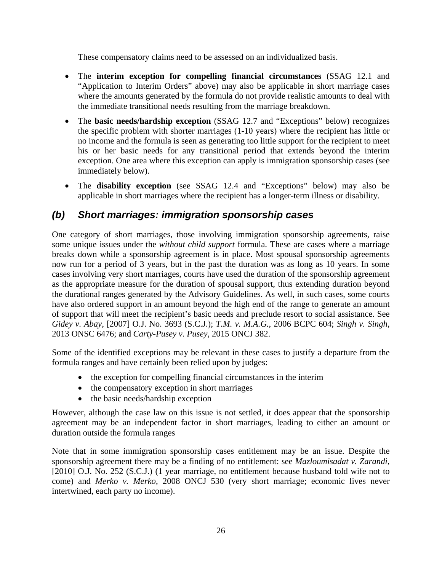These compensatory claims need to be assessed on an individualized basis.

- The **interim exception for compelling financial circumstances** (SSAG 12.1 and "Application to Interim Orders" above) may also be applicable in short marriage cases where the amounts generated by the formula do not provide realistic amounts to deal with the immediate transitional needs resulting from the marriage breakdown.
- The **basic needs/hardship exception** (SSAG 12.7 and "Exceptions" below) recognizes the specific problem with shorter marriages (1-10 years) where the recipient has little or no income and the formula is seen as generating too little support for the recipient to meet his or her basic needs for any transitional period that extends beyond the interim exception. One area where this exception can apply is immigration sponsorship cases (see immediately below).
- The **disability exception** (see SSAG 12.4 and "Exceptions" below) may also be applicable in short marriages where the recipient has a longer-term illness or disability.

## *(b) Short marriages: immigration sponsorship cases*

One category of short marriages, those involving immigration sponsorship agreements, raise some unique issues under the *without child support* formula. These are cases where a marriage breaks down while a sponsorship agreement is in place. Most spousal sponsorship agreements now run for a period of 3 years, but in the past the duration was as long as 10 years. In some cases involving very short marriages, courts have used the duration of the sponsorship agreement as the appropriate measure for the duration of spousal support, thus extending duration beyond the durational ranges generated by the Advisory Guidelines. As well, in such cases, some courts have also ordered support in an amount beyond the high end of the range to generate an amount of support that will meet the recipient's basic needs and preclude resort to social assistance. See *Gidey v. Abay*, [2007] O.J. No. 3693 (S.C.J.); *T.M. v. M.A.G.*, 2006 BCPC 604; *Singh v. Singh*, 2013 ONSC 6476; and *Carty-Pusey v. Pusey*, 2015 ONCJ 382.

Some of the identified exceptions may be relevant in these cases to justify a departure from the formula ranges and have certainly been relied upon by judges:

- the exception for compelling financial circumstances in the interim
- the compensatory exception in short marriages
- the basic needs/hardship exception

However, although the case law on this issue is not settled, it does appear that the sponsorship agreement may be an independent factor in short marriages, leading to either an amount or duration outside the formula ranges

Note that in some immigration sponsorship cases entitlement may be an issue. Despite the sponsorship agreement there may be a finding of no entitlement: see *Mazloumisadat v. Zarandi*, [2010] O.J. No. 252 (S.C.J.) (1 year marriage, no entitlement because husband told wife not to come) and *Merko v. Merko*, 2008 ONCJ 530 (very short marriage; economic lives never intertwined, each party no income).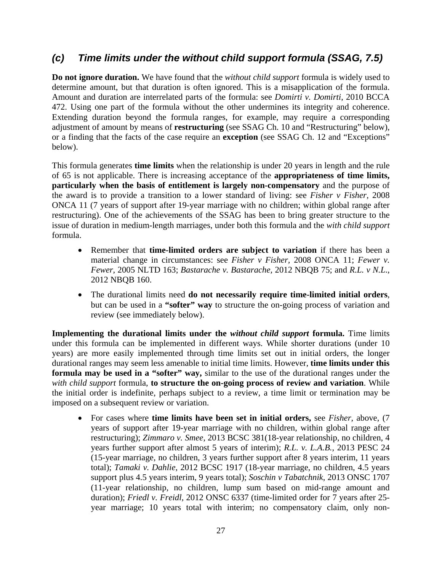#### *(c) Time limits under the without child support formula (SSAG, 7.5)*

**Do not ignore duration.** We have found that the *without child support* formula is widely used to determine amount, but that duration is often ignored. This is a misapplication of the formula. Amount and duration are interrelated parts of the formula: see *Domirti v. Domirti*, 2010 BCCA 472. Using one part of the formula without the other undermines its integrity and coherence. Extending duration beyond the formula ranges, for example, may require a corresponding adjustment of amount by means of **restructuring** (see SSAG Ch. 10 and "Restructuring" below), or a finding that the facts of the case require an **exception** (see SSAG Ch. 12 and "Exceptions" below).

This formula generates **time limits** when the relationship is under 20 years in length and the rule of 65 is not applicable. There is increasing acceptance of the **appropriateness of time limits, particularly when the basis of entitlement is largely non-compensatory** and the purpose of the award is to provide a transition to a lower standard of living: see *Fisher v Fisher,* 2008 ONCA 11 (7 years of support after 19-year marriage with no children; within global range after restructuring). One of the achievements of the SSAG has been to bring greater structure to the issue of duration in medium-length marriages, under both this formula and the *with child support* formula.

- Remember that **time-limited orders are subject to variation** if there has been a material change in circumstances: see *Fisher v Fisher,* 2008 ONCA 11; *Fewer v. Fewer*, 2005 NLTD 163; *Bastarache v. Bastarache,* 2012 NBQB 75; and *R.L. v N.L*., 2012 NBQB 160.
- The durational limits need **do not necessarily require time-limited initial orders**, but can be used in a **"softer" way** to structure the on-going process of variation and review (see immediately below).

**Implementing the durational limits under the** *without child support* **formula.** Time limits under this formula can be implemented in different ways. While shorter durations (under 10 years) are more easily implemented through time limits set out in initial orders, the longer durational ranges may seem less amenable to initial time limits. However, **time limits under this formula may be used in a "softer" way,** similar to the use of the durational ranges under the *with child support* formula, **to structure the on-going process of review and variation**. While the initial order is indefinite, perhaps subject to a review, a time limit or termination may be imposed on a subsequent review or variation.

 For cases where **time limits have been set in initial orders,** see *Fisher*, above, (7 years of support after 19-year marriage with no children, within global range after restructuring); *Zimmaro v. Smee*, 2013 BCSC 381(18-year relationship, no children, 4 years further support after almost 5 years of interim); *R.L. v. L.A.B.*, 2013 PESC 24 (15-year marriage, no children, 3 years further support after 8 years interim, 11 years total); *Tamaki v. Dahlie*, 2012 BCSC 1917 (18-year marriage, no children, 4.5 years support plus 4.5 years interim, 9 years total); *Soschin v Tabatchnik*, 2013 ONSC 1707 (11-year relationship, no children, lump sum based on mid-range amount and duration); *Friedl v. Freidl*, 2012 ONSC 6337 (time-limited order for 7 years after 25year marriage; 10 years total with interim; no compensatory claim, only non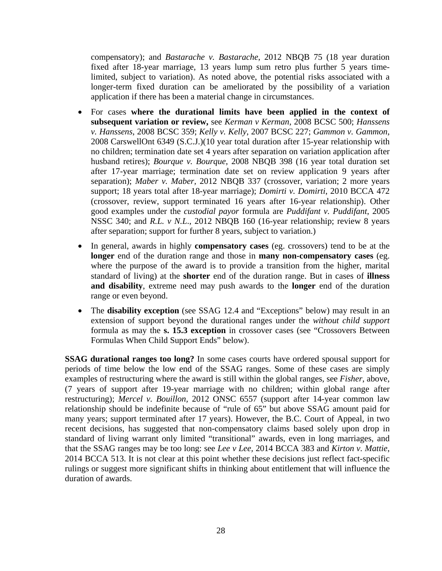compensatory); and *Bastarache v. Bastarache*, 2012 NBQB 75 (18 year duration fixed after 18-year marriage, 13 years lump sum retro plus further 5 years timelimited, subject to variation). As noted above, the potential risks associated with a longer-term fixed duration can be ameliorated by the possibility of a variation application if there has been a material change in circumstances.

- For cases **where the durational limits have been applied in the context of subsequent variation or review,** see *Kerman v Kerman*, 2008 BCSC 500; *Hanssens v. Hanssens*, 2008 BCSC 359; *Kelly v. Kelly*, 2007 BCSC 227; *Gammon v. Gammon*, 2008 CarswellOnt 6349 (S.C.J.)(10 year total duration after 15-year relationship with no children; termination date set 4 years after separation on variation application after husband retires); *Bourque v. Bourque*, 2008 NBQB 398 (16 year total duration set after 17-year marriage; termination date set on review application 9 years after separation); *Maber v. Maber,* 2012 NBQB 337 (crossover, variation; 2 more years support; 18 years total after 18-year marriage); *Domirti v. Domirti*, 2010 BCCA 472 (crossover, review, support terminated 16 years after 16-year relationship). Other good examples under the *custodial payor* formula are *Puddifant v. Puddifant*, 2005 NSSC 340; and *R.L. v N.L*., 2012 NBQB 160 (16-year relationship; review 8 years after separation; support for further 8 years, subject to variation.)
- In general, awards in highly **compensatory cases** (eg. crossovers) tend to be at the **longer** end of the duration range and those in **many non-compensatory cases** (eg. where the purpose of the award is to provide a transition from the higher, marital standard of living) at the **shorter** end of the duration range. But in cases of **illness and disability**, extreme need may push awards to the **longer** end of the duration range or even beyond.
- The **disability exception** (see SSAG 12.4 and "Exceptions" below) may result in an extension of support beyond the durational ranges under the *without child support* formula as may the **s. 15.3 exception** in crossover cases (see "Crossovers Between Formulas When Child Support Ends" below).

**SSAG durational ranges too long?** In some cases courts have ordered spousal support for periods of time below the low end of the SSAG ranges. Some of these cases are simply examples of restructuring where the award is still within the global ranges, see *Fisher*, above, (7 years of support after 19-year marriage with no children; within global range after restructuring); *Mercel v. Bouillon,* 2012 ONSC 6557 (support after 14-year common law relationship should be indefinite because of "rule of 65" but above SSAG amount paid for many years; support terminated after 17 years). However, the B.C. Court of Appeal, in two recent decisions, has suggested that non-compensatory claims based solely upon drop in standard of living warrant only limited "transitional" awards, even in long marriages, and that the SSAG ranges may be too long: see *Lee v Lee,* 2014 BCCA 383 and *Kirton v. Mattie*, 2014 BCCA 513. It is not clear at this point whether these decisions just reflect fact-specific rulings or suggest more significant shifts in thinking about entitlement that will influence the duration of awards.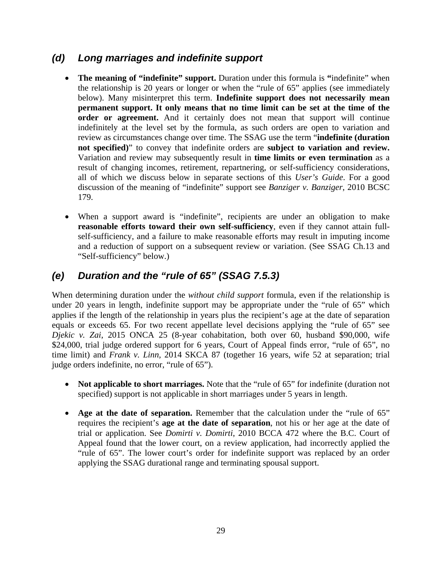#### *(d) Long marriages and indefinite support*

- **The meaning of "indefinite" support.** Duration under this formula is **"**indefinite" when the relationship is 20 years or longer or when the "rule of 65" applies (see immediately below). Many misinterpret this term. **Indefinite support does not necessarily mean permanent support. It only means that no time limit can be set at the time of the order or agreement.** And it certainly does not mean that support will continue indefinitely at the level set by the formula, as such orders are open to variation and review as circumstances change over time. The SSAG use the term "**indefinite (duration not specified)**" to convey that indefinite orders are **subject to variation and review.** Variation and review may subsequently result in **time limits or even termination** as a result of changing incomes, retirement, repartnering, or self-sufficiency considerations, all of which we discuss below in separate sections of this *User's Guide*. For a good discussion of the meaning of "indefinite" support see *Banziger v. Banziger*, 2010 BCSC 179.
- When a support award is "indefinite", recipients are under an obligation to make **reasonable efforts toward their own self-sufficiency**, even if they cannot attain fullself-sufficiency, and a failure to make reasonable efforts may result in imputing income and a reduction of support on a subsequent review or variation. (See SSAG Ch.13 and "Self-sufficiency" below.)

## *(e) Duration and the "rule of 65" (SSAG 7.5.3)*

When determining duration under the *without child support* formula, even if the relationship is under 20 years in length, indefinite support may be appropriate under the "rule of 65" which applies if the length of the relationship in years plus the recipient's age at the date of separation equals or exceeds 65. For two recent appellate level decisions applying the "rule of 65" see *Djekic v. Zai*, 2015 ONCA 25 (8-year cohabitation, both over 60, husband \$90,000, wife \$24,000, trial judge ordered support for 6 years, Court of Appeal finds error, "rule of 65", no time limit) and *Frank v. Linn,* 2014 SKCA 87 (together 16 years, wife 52 at separation; trial judge orders indefinite, no error, "rule of 65").

- **Not applicable to short marriages.** Note that the "rule of 65" for indefinite (duration not specified) support is not applicable in short marriages under 5 years in length.
- **Age at the date of separation.** Remember that the calculation under the "rule of 65" requires the recipient's **age at the date of separation**, not his or her age at the date of trial or application. See *Domirti v. Domirti*, 2010 BCCA 472 where the B.C. Court of Appeal found that the lower court, on a review application, had incorrectly applied the "rule of 65". The lower court's order for indefinite support was replaced by an order applying the SSAG durational range and terminating spousal support.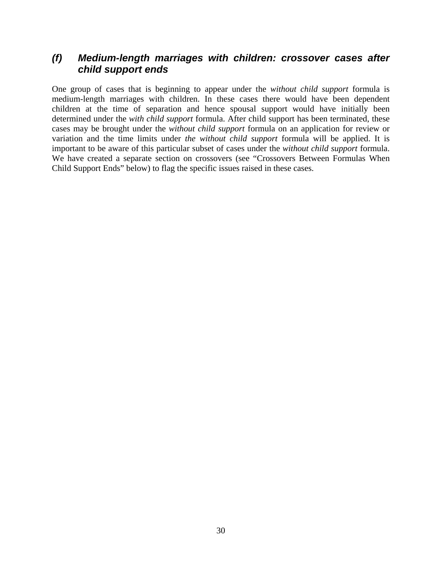#### *(f) Medium-length marriages with children: crossover cases after child support ends*

One group of cases that is beginning to appear under the *without child support* formula is medium-length marriages with children. In these cases there would have been dependent children at the time of separation and hence spousal support would have initially been determined under the *with child support* formula. After child support has been terminated, these cases may be brought under the *without child support* formula on an application for review or variation and the time limits under *the without child support* formula will be applied. It is important to be aware of this particular subset of cases under the *without child support* formula. We have created a separate section on crossovers (see "Crossovers Between Formulas When Child Support Ends" below) to flag the specific issues raised in these cases.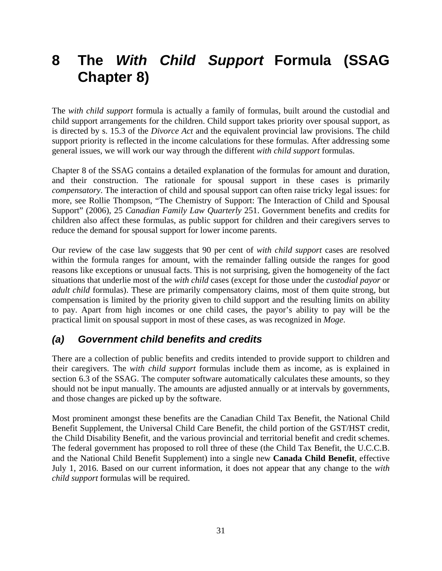# **8 The** *With Child Support* **Formula (SSAG Chapter 8)**

The *with child support* formula is actually a family of formulas, built around the custodial and child support arrangements for the children. Child support takes priority over spousal support, as is directed by s. 15.3 of the *Divorce Act* and the equivalent provincial law provisions. The child support priority is reflected in the income calculations for these formulas. After addressing some general issues, we will work our way through the different *with child support* formulas.

Chapter 8 of the SSAG contains a detailed explanation of the formulas for amount and duration, and their construction. The rationale for spousal support in these cases is primarily *compensatory*. The interaction of child and spousal support can often raise tricky legal issues: for more, see Rollie Thompson, "The Chemistry of Support: The Interaction of Child and Spousal Support" (2006), 25 *Canadian Family Law Quarterly* 251. Government benefits and credits for children also affect these formulas, as public support for children and their caregivers serves to reduce the demand for spousal support for lower income parents.

Our review of the case law suggests that 90 per cent of *with child support* cases are resolved within the formula ranges for amount, with the remainder falling outside the ranges for good reasons like exceptions or unusual facts. This is not surprising, given the homogeneity of the fact situations that underlie most of the *with child* cases (except for those under the *custodial payor* or *adult child* formulas). These are primarily compensatory claims, most of them quite strong, but compensation is limited by the priority given to child support and the resulting limits on ability to pay. Apart from high incomes or one child cases, the payor's ability to pay will be the practical limit on spousal support in most of these cases, as was recognized in *Moge*.

### *(a) Government child benefits and credits*

There are a collection of public benefits and credits intended to provide support to children and their caregivers. The *with child support* formulas include them as income, as is explained in section 6.3 of the SSAG. The computer software automatically calculates these amounts, so they should not be input manually. The amounts are adjusted annually or at intervals by governments, and those changes are picked up by the software.

Most prominent amongst these benefits are the Canadian Child Tax Benefit, the National Child Benefit Supplement, the Universal Child Care Benefit, the child portion of the GST/HST credit, the Child Disability Benefit, and the various provincial and territorial benefit and credit schemes. The federal government has proposed to roll three of these (the Child Tax Benefit, the U.C.C.B. and the National Child Benefit Supplement) into a single new **Canada Child Benefit**, effective July 1, 2016. Based on our current information, it does not appear that any change to the *with child support* formulas will be required.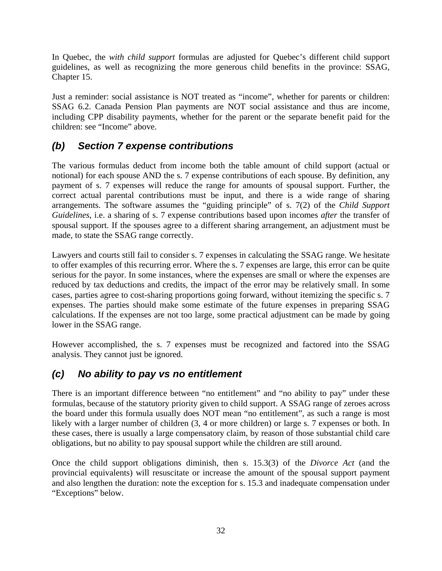In Quebec, the *with child support* formulas are adjusted for Quebec's different child support guidelines, as well as recognizing the more generous child benefits in the province: SSAG, Chapter 15.

Just a reminder: social assistance is NOT treated as "income", whether for parents or children: SSAG 6.2. Canada Pension Plan payments are NOT social assistance and thus are income, including CPP disability payments, whether for the parent or the separate benefit paid for the children: see "Income" above.

## *(b) Section 7 expense contributions*

The various formulas deduct from income both the table amount of child support (actual or notional) for each spouse AND the s. 7 expense contributions of each spouse. By definition, any payment of s. 7 expenses will reduce the range for amounts of spousal support. Further, the correct actual parental contributions must be input, and there is a wide range of sharing arrangements. The software assumes the "guiding principle" of s. 7(2) of the *Child Support Guidelines*, i.e. a sharing of s. 7 expense contributions based upon incomes *after* the transfer of spousal support. If the spouses agree to a different sharing arrangement, an adjustment must be made, to state the SSAG range correctly.

Lawyers and courts still fail to consider s. 7 expenses in calculating the SSAG range. We hesitate to offer examples of this recurring error. Where the s. 7 expenses are large, this error can be quite serious for the payor. In some instances, where the expenses are small or where the expenses are reduced by tax deductions and credits, the impact of the error may be relatively small. In some cases, parties agree to cost-sharing proportions going forward, without itemizing the specific s. 7 expenses. The parties should make some estimate of the future expenses in preparing SSAG calculations. If the expenses are not too large, some practical adjustment can be made by going lower in the SSAG range.

However accomplished, the s. 7 expenses must be recognized and factored into the SSAG analysis. They cannot just be ignored.

### *(c) No ability to pay vs no entitlement*

There is an important difference between "no entitlement" and "no ability to pay" under these formulas, because of the statutory priority given to child support. A SSAG range of zeroes across the board under this formula usually does NOT mean "no entitlement", as such a range is most likely with a larger number of children  $(3, 4$  or more children) or large s. 7 expenses or both. In these cases, there is usually a large compensatory claim, by reason of those substantial child care obligations, but no ability to pay spousal support while the children are still around.

Once the child support obligations diminish, then s. 15.3(3) of the *Divorce Act* (and the provincial equivalents) will resuscitate or increase the amount of the spousal support payment and also lengthen the duration: note the exception for s. 15.3 and inadequate compensation under "Exceptions" below.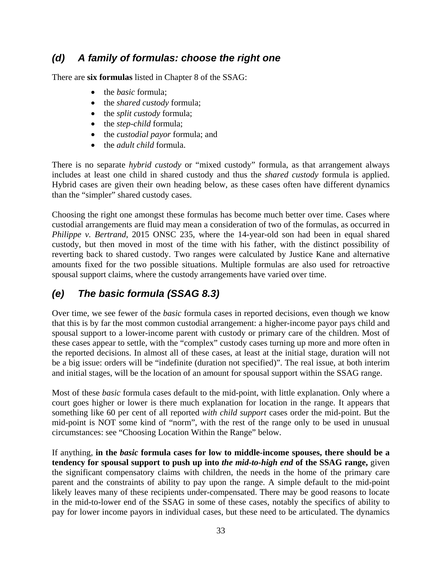### *(d) A family of formulas: choose the right one*

There are **six formulas** listed in Chapter 8 of the SSAG:

- the *basic* formula:
- the *shared custody* formula;
- the *split custody* formula;
- the *step-child* formula;
- the *custodial payor* formula; and
- the *adult child* formula.

There is no separate *hybrid custody* or "mixed custody" formula, as that arrangement always includes at least one child in shared custody and thus the *shared custody* formula is applied. Hybrid cases are given their own heading below, as these cases often have different dynamics than the "simpler" shared custody cases.

Choosing the right one amongst these formulas has become much better over time. Cases where custodial arrangements are fluid may mean a consideration of two of the formulas, as occurred in *Philippe v. Bertrand*, 2015 ONSC 235, where the 14-year-old son had been in equal shared custody, but then moved in most of the time with his father, with the distinct possibility of reverting back to shared custody. Two ranges were calculated by Justice Kane and alternative amounts fixed for the two possible situations. Multiple formulas are also used for retroactive spousal support claims, where the custody arrangements have varied over time.

## *(e) The basic formula (SSAG 8.3)*

Over time, we see fewer of the *basic* formula cases in reported decisions, even though we know that this is by far the most common custodial arrangement: a higher-income payor pays child and spousal support to a lower-income parent with custody or primary care of the children. Most of these cases appear to settle, with the "complex" custody cases turning up more and more often in the reported decisions. In almost all of these cases, at least at the initial stage, duration will not be a big issue: orders will be "indefinite (duration not specified)". The real issue, at both interim and initial stages, will be the location of an amount for spousal support within the SSAG range.

Most of these *basic* formula cases default to the mid-point, with little explanation. Only where a court goes higher or lower is there much explanation for location in the range. It appears that something like 60 per cent of all reported *with child support* cases order the mid-point. But the mid-point is NOT some kind of "norm", with the rest of the range only to be used in unusual circumstances: see "Choosing Location Within the Range" below.

If anything, **in the** *basic* **formula cases for low to middle-income spouses, there should be a tendency for spousal support to push up into** *the mid-to-high end* **of the SSAG range,** given the significant compensatory claims with children, the needs in the home of the primary care parent and the constraints of ability to pay upon the range. A simple default to the mid-point likely leaves many of these recipients under-compensated. There may be good reasons to locate in the mid-to-lower end of the SSAG in some of these cases, notably the specifics of ability to pay for lower income payors in individual cases, but these need to be articulated. The dynamics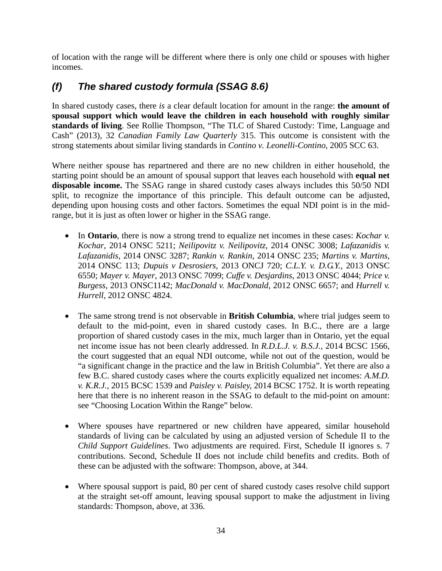of location with the range will be different where there is only one child or spouses with higher incomes.

# *(f) The shared custody formula (SSAG 8.6)*

In shared custody cases, there *is* a clear default location for amount in the range: **the amount of spousal support which would leave the children in each household with roughly similar standards of living**. See Rollie Thompson, "The TLC of Shared Custody: Time, Language and Cash" (2013), 32 *Canadian Family Law Quarterly* 315. This outcome is consistent with the strong statements about similar living standards in *Contino v. Leonelli-Contino*, 2005 SCC 63.

Where neither spouse has repartnered and there are no new children in either household, the starting point should be an amount of spousal support that leaves each household with **equal net disposable income.** The SSAG range in shared custody cases always includes this 50/50 NDI split, to recognize the importance of this principle. This default outcome can be adjusted, depending upon housing costs and other factors. Sometimes the equal NDI point is in the midrange, but it is just as often lower or higher in the SSAG range.

- In **Ontario**, there is now a strong trend to equalize net incomes in these cases: *Kochar v. Kochar*, 2014 ONSC 5211; *Neilipovitz v. Neilipovitz*, 2014 ONSC 3008; *Lafazanidis v. Lafazanidis*, 2014 ONSC 3287; *Rankin v. Rankin*, 2014 ONSC 235; *Martins v. Martins*, 2014 ONSC 113; *Dupuis v Desrosiers*, 2013 ONCJ 720; *C.L.Y. v. D.G.Y.,* 2013 ONSC 6550; *Mayer v. Mayer*, 2013 ONSC 7099; *Cuffe v. Desjardins*, 2013 ONSC 4044; *Price v. Burgess*, 2013 ONSC1142; *MacDonald v. MacDonald*, 2012 ONSC 6657; and *Hurrell v. Hurrell*, 2012 ONSC 4824.
- The same strong trend is not observable in **British Columbia**, where trial judges seem to default to the mid-point, even in shared custody cases. In B.C., there are a large proportion of shared custody cases in the mix, much larger than in Ontario, yet the equal net income issue has not been clearly addressed. In *R.D.L.J. v. B.S.J.*, 2014 BCSC 1566, the court suggested that an equal NDI outcome, while not out of the question, would be "a significant change in the practice and the law in British Columbia". Yet there are also a few B.C. shared custody cases where the courts explicitly equalized net incomes: *A.M.D. v. K.R.J.*, 2015 BCSC 1539 and *Paisley v. Paisley,* 2014 BCSC 1752. It is worth repeating here that there is no inherent reason in the SSAG to default to the mid-point on amount: see "Choosing Location Within the Range" below.
- Where spouses have repartnered or new children have appeared, similar household standards of living can be calculated by using an adjusted version of Schedule II to the *Child Support Guidelines*. Two adjustments are required. First, Schedule II ignores s. 7 contributions. Second, Schedule II does not include child benefits and credits. Both of these can be adjusted with the software: Thompson, above, at 344.
- Where spousal support is paid, 80 per cent of shared custody cases resolve child support at the straight set-off amount, leaving spousal support to make the adjustment in living standards: Thompson, above, at 336.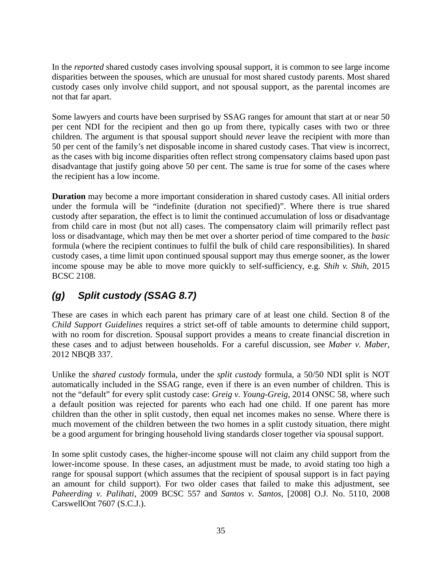In the *reported* shared custody cases involving spousal support, it is common to see large income disparities between the spouses, which are unusual for most shared custody parents. Most shared custody cases only involve child support, and not spousal support, as the parental incomes are not that far apart.

Some lawyers and courts have been surprised by SSAG ranges for amount that start at or near 50 per cent NDI for the recipient and then go up from there, typically cases with two or three children. The argument is that spousal support should *never* leave the recipient with more than 50 per cent of the family's net disposable income in shared custody cases. That view is incorrect, as the cases with big income disparities often reflect strong compensatory claims based upon past disadvantage that justify going above 50 per cent. The same is true for some of the cases where the recipient has a low income.

**Duration** may become a more important consideration in shared custody cases. All initial orders under the formula will be "indefinite (duration not specified)". Where there is true shared custody after separation, the effect is to limit the continued accumulation of loss or disadvantage from child care in most (but not all) cases. The compensatory claim will primarily reflect past loss or disadvantage, which may then be met over a shorter period of time compared to the *basic* formula (where the recipient continues to fulfil the bulk of child care responsibilities). In shared custody cases, a time limit upon continued spousal support may thus emerge sooner, as the lower income spouse may be able to move more quickly to self-sufficiency, e.g. *Shih v. Shih*, 2015 BCSC 2108.

# *(g) Split custody (SSAG 8.7)*

These are cases in which each parent has primary care of at least one child. Section 8 of the *Child Support Guidelines* requires a strict set-off of table amounts to determine child support, with no room for discretion. Spousal support provides a means to create financial discretion in these cases and to adjust between households. For a careful discussion, see *Maber v. Maber*, 2012 NBQB 337.

Unlike the *shared custody* formula, under the *split custody* formula, a 50/50 NDI split is NOT automatically included in the SSAG range, even if there is an even number of children. This is not the "default" for every split custody case: *Greig v. Young-Greig*, 2014 ONSC 58, where such a default position was rejected for parents who each had one child. If one parent has more children than the other in split custody, then equal net incomes makes no sense. Where there is much movement of the children between the two homes in a split custody situation, there might be a good argument for bringing household living standards closer together via spousal support.

In some split custody cases, the higher-income spouse will not claim any child support from the lower-income spouse. In these cases, an adjustment must be made, to avoid stating too high a range for spousal support (which assumes that the recipient of spousal support is in fact paying an amount for child support). For two older cases that failed to make this adjustment, see *Paheerding v. Palihati*, 2009 BCSC 557 and *Santos v. Santos*, [2008] O.J. No. 5110, 2008 CarswellOnt 7607 (S.C.J.).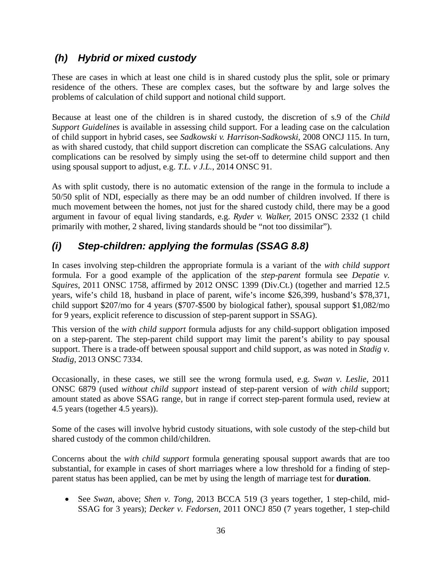## *(h) Hybrid or mixed custody*

These are cases in which at least one child is in shared custody plus the split, sole or primary residence of the others. These are complex cases, but the software by and large solves the problems of calculation of child support and notional child support.

Because at least one of the children is in shared custody, the discretion of s.9 of the *Child Support Guidelines* is available in assessing child support. For a leading case on the calculation of child support in hybrid cases, see *Sadkowski v. Harrison-Sadkowski*, 2008 ONCJ 115. In turn, as with shared custody, that child support discretion can complicate the SSAG calculations. Any complications can be resolved by simply using the set-off to determine child support and then using spousal support to adjust, e.g. *T.L. v J.L.*, 2014 ONSC 91.

As with split custody, there is no automatic extension of the range in the formula to include a 50/50 split of NDI, especially as there may be an odd number of children involved. If there is much movement between the homes, not just for the shared custody child, there may be a good argument in favour of equal living standards, e.g. *Ryder v. Walker,* 2015 ONSC 2332 (1 child primarily with mother, 2 shared, living standards should be "not too dissimilar").

# *(i) Step-children: applying the formulas (SSAG 8.8)*

In cases involving step-children the appropriate formula is a variant of the *with child support*  formula. For a good example of the application of the *step-parent* formula see *Depatie v. Squires*, 2011 ONSC 1758, affirmed by 2012 ONSC 1399 (Div.Ct.) (together and married 12.5 years, wife's child 18, husband in place of parent, wife's income \$26,399, husband's \$78,371, child support \$207/mo for 4 years (\$707-\$500 by biological father), spousal support \$1,082/mo for 9 years, explicit reference to discussion of step-parent support in SSAG).

This version of the *with child support* formula adjusts for any child-support obligation imposed on a step-parent. The step-parent child support may limit the parent's ability to pay spousal support. There is a trade-off between spousal support and child support, as was noted in *Stadig v. Stadig*, 2013 ONSC 7334.

Occasionally, in these cases, we still see the wrong formula used, e.g. *Swan v. Leslie*, 2011 ONSC 6879 (used *without child support* instead of step-parent version of *with child* support; amount stated as above SSAG range, but in range if correct step-parent formula used, review at 4.5 years (together 4.5 years)).

Some of the cases will involve hybrid custody situations, with sole custody of the step-child but shared custody of the common child/children.

Concerns about the *with child support* formula generating spousal support awards that are too substantial, for example in cases of short marriages where a low threshold for a finding of stepparent status has been applied, can be met by using the length of marriage test for **duration**.

 See *Swan*, above; *Shen v. Tong*, 2013 BCCA 519 (3 years together, 1 step-child, mid-SSAG for 3 years); *Decker v. Fedorsen*, 2011 ONCJ 850 (7 years together, 1 step-child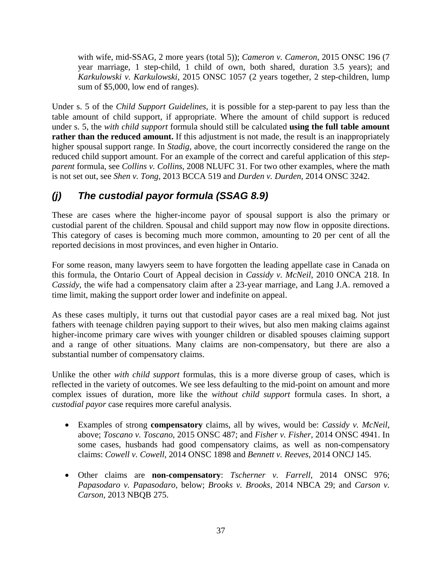with wife, mid-SSAG, 2 more years (total 5)); *Cameron v. Cameron*, 2015 ONSC 196 (7 year marriage, 1 step-child, 1 child of own, both shared, duration 3.5 years); and *Karkulowski v. Karkulowski,* 2015 ONSC 1057 (2 years together, 2 step-children, lump sum of \$5,000, low end of ranges).

Under s. 5 of the *Child Support Guidelines*, it is possible for a step-parent to pay less than the table amount of child support, if appropriate. Where the amount of child support is reduced under s. 5, the *with child support* formula should still be calculated **using the full table amount rather than the reduced amount.** If this adjustment is not made, the result is an inappropriately higher spousal support range. In *Stadig,* above*,* the court incorrectly considered the range on the reduced child support amount. For an example of the correct and careful application of this *stepparent* formula, see *Collins v. Collins*, 2008 NLUFC 31. For two other examples, where the math is not set out, see *Shen v. Tong*, 2013 BCCA 519 and *Durden v. Durden*, 2014 ONSC 3242.

# *(j) The custodial payor formula (SSAG 8.9)*

These are cases where the higher-income payor of spousal support is also the primary or custodial parent of the children. Spousal and child support may now flow in opposite directions. This category of cases is becoming much more common, amounting to 20 per cent of all the reported decisions in most provinces, and even higher in Ontario.

For some reason, many lawyers seem to have forgotten the leading appellate case in Canada on this formula, the Ontario Court of Appeal decision in *Cassidy v. McNeil*, 2010 ONCA 218. In *Cassidy*, the wife had a compensatory claim after a 23-year marriage, and Lang J.A. removed a time limit, making the support order lower and indefinite on appeal.

As these cases multiply, it turns out that custodial payor cases are a real mixed bag. Not just fathers with teenage children paying support to their wives, but also men making claims against higher-income primary care wives with younger children or disabled spouses claiming support and a range of other situations. Many claims are non-compensatory, but there are also a substantial number of compensatory claims.

Unlike the other *with child support* formulas, this is a more diverse group of cases, which is reflected in the variety of outcomes. We see less defaulting to the mid-point on amount and more complex issues of duration, more like the *without child support* formula cases. In short, a *custodial payor* case requires more careful analysis.

- Examples of strong **compensatory** claims, all by wives, would be: *Cassidy v. McNeil*, above; *Toscano v. Toscano*, 2015 ONSC 487; and *Fisher v. Fisher*, 2014 ONSC 4941. In some cases, husbands had good compensatory claims, as well as non-compensatory claims: *Cowell v. Cowell*, 2014 ONSC 1898 and *Bennett v. Reeves*, 2014 ONCJ 145.
- Other claims are **non-compensatory**: *Tscherner v. Farrell*, 2014 ONSC 976; *Papasodaro v. Papasodaro,* below; *Brooks v. Brooks*, 2014 NBCA 29; and *Carson v. Carson,* 2013 NBQB 275.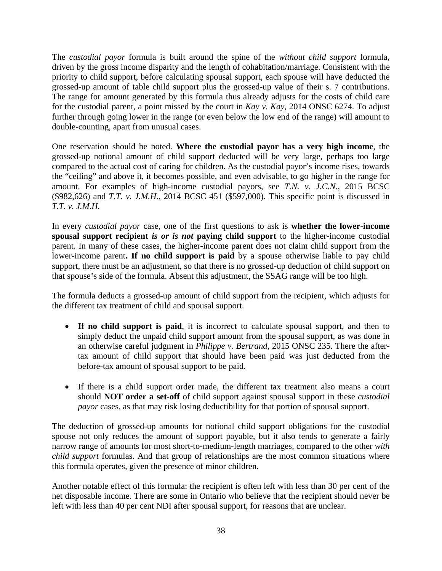The *custodial payor* formula is built around the spine of the *without child support* formula, driven by the gross income disparity and the length of cohabitation/marriage. Consistent with the priority to child support, before calculating spousal support, each spouse will have deducted the grossed-up amount of table child support plus the grossed-up value of their s. 7 contributions. The range for amount generated by this formula thus already adjusts for the costs of child care for the custodial parent, a point missed by the court in *Kay v. Kay*, 2014 ONSC 6274. To adjust further through going lower in the range (or even below the low end of the range) will amount to double-counting, apart from unusual cases.

One reservation should be noted. **Where the custodial payor has a very high income**, the grossed-up notional amount of child support deducted will be very large, perhaps too large compared to the actual cost of caring for children. As the custodial payor's income rises, towards the "ceiling" and above it, it becomes possible, and even advisable, to go higher in the range for amount. For examples of high-income custodial payors, see *T.N. v. J.C.N.,* 2015 BCSC (\$982,626) and *T.T. v. J.M.H.*, 2014 BCSC 451 (\$597,000). This specific point is discussed in *T.T. v. J.M.H.*

In every *custodial payor* case, one of the first questions to ask is **whether the lower-income spousal support recipient** *is or is not* **paying child support** to the higher-income custodial parent. In many of these cases, the higher-income parent does not claim child support from the lower-income parent**. If no child support is paid** by a spouse otherwise liable to pay child support, there must be an adjustment, so that there is no grossed-up deduction of child support on that spouse's side of the formula. Absent this adjustment, the SSAG range will be too high.

The formula deducts a grossed-up amount of child support from the recipient, which adjusts for the different tax treatment of child and spousal support.

- **If no child support is paid**, it is incorrect to calculate spousal support, and then to simply deduct the unpaid child support amount from the spousal support, as was done in an otherwise careful judgment in *Philippe v. Bertrand*, 2015 ONSC 235. There the aftertax amount of child support that should have been paid was just deducted from the before-tax amount of spousal support to be paid.
- If there is a child support order made, the different tax treatment also means a court should **NOT order a set-off** of child support against spousal support in these *custodial payor* cases, as that may risk losing deductibility for that portion of spousal support.

The deduction of grossed-up amounts for notional child support obligations for the custodial spouse not only reduces the amount of support payable, but it also tends to generate a fairly narrow range of amounts for most short-to-medium-length marriages, compared to the other *with child support* formulas. And that group of relationships are the most common situations where this formula operates, given the presence of minor children.

Another notable effect of this formula: the recipient is often left with less than 30 per cent of the net disposable income. There are some in Ontario who believe that the recipient should never be left with less than 40 per cent NDI after spousal support, for reasons that are unclear.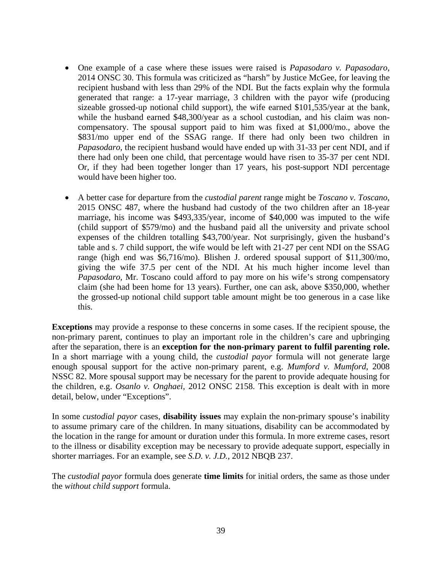- One example of a case where these issues were raised is *Papasodaro v. Papasodaro*, 2014 ONSC 30. This formula was criticized as "harsh" by Justice McGee, for leaving the recipient husband with less than 29% of the NDI. But the facts explain why the formula generated that range: a 17-year marriage, 3 children with the payor wife (producing sizeable grossed-up notional child support), the wife earned \$101,535/year at the bank, while the husband earned \$48,300/year as a school custodian, and his claim was noncompensatory. The spousal support paid to him was fixed at \$1,000/mo., above the \$831/mo upper end of the SSAG range. If there had only been two children in *Papasodaro*, the recipient husband would have ended up with 31-33 per cent NDI, and if there had only been one child, that percentage would have risen to 35-37 per cent NDI. Or, if they had been together longer than 17 years, his post-support NDI percentage would have been higher too.
- A better case for departure from the *custodial parent* range might be *Toscano v. Toscano*, 2015 ONSC 487, where the husband had custody of the two children after an 18-year marriage, his income was \$493,335/year, income of \$40,000 was imputed to the wife (child support of \$579/mo) and the husband paid all the university and private school expenses of the children totalling \$43,700/year. Not surprisingly, given the husband's table and s. 7 child support, the wife would be left with 21-27 per cent NDI on the SSAG range (high end was \$6,716/mo). Blishen J. ordered spousal support of \$11,300/mo, giving the wife 37.5 per cent of the NDI. At his much higher income level than *Papasodaro*, Mr. Toscano could afford to pay more on his wife's strong compensatory claim (she had been home for 13 years). Further, one can ask, above \$350,000, whether the grossed-up notional child support table amount might be too generous in a case like this.

**Exceptions** may provide a response to these concerns in some cases. If the recipient spouse, the non-primary parent, continues to play an important role in the children's care and upbringing after the separation, there is an **exception for the non-primary parent to fulfil parenting role.** In a short marriage with a young child, the *custodial payor* formula will not generate large enough spousal support for the active non-primary parent, e.g. *Mumford v. Mumford*, 2008 NSSC 82. More spousal support may be necessary for the parent to provide adequate housing for the children, e.g. *Osanlo v. Onghaei,* 2012 ONSC 2158. This exception is dealt with in more detail, below, under "Exceptions".

In some *custodial payor* cases, **disability issues** may explain the non-primary spouse's inability to assume primary care of the children. In many situations, disability can be accommodated by the location in the range for amount or duration under this formula. In more extreme cases, resort to the illness or disability exception may be necessary to provide adequate support, especially in shorter marriages. For an example, see *S.D. v. J.D.*, 2012 NBQB 237.

The *custodial payor* formula does generate **time limits** for initial orders, the same as those under the *without child support* formula.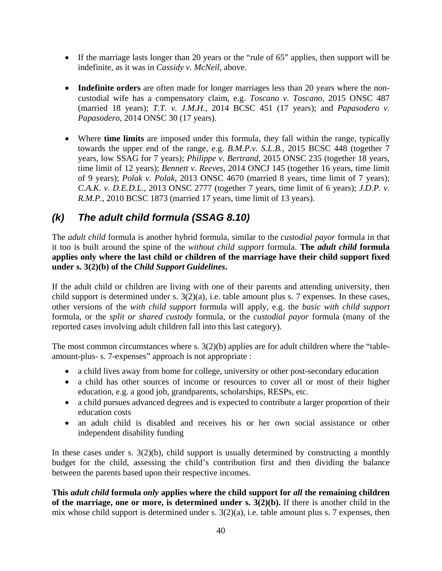- If the marriage lasts longer than 20 years or the "rule of 65" applies, then support will be indefinite, as it was in *Cassidy v. McNeil,* above.
- **Indefinite orders** are often made for longer marriages less than 20 years where the noncustodial wife has a compensatory claim, e.g. *Toscano v. Toscano*, 2015 ONSC 487 (married 18 years); *T.T. v. J.M.H.*, 2014 BCSC 451 (17 years); and *Papasodero v. Papasodero*, 2014 ONSC 30 (17 years).
- Where **time limits** are imposed under this formula, they fall within the range, typically towards the upper end of the range, e.g. *B.M.P.v. S.L.B.*, 2015 BCSC 448 (together 7 years, low SSAG for 7 years); *Philippe v. Bertrand*, 2015 ONSC 235 (together 18 years, time limit of 12 years); *Bennett v. Reeves*, 2014 ONCJ 145 (together 16 years, time limit of 9 years); *Polak v. Polak*, 2013 ONSC 4670 (married 8 years, time limit of 7 years); *C.A.K. v. D.E.D.L.*, 2013 ONSC 2777 (together 7 years, time limit of 6 years); *J.D.P. v. R.M.P.*, 2010 BCSC 1873 (married 17 years, time limit of 13 years).

# *(k) The adult child formula (SSAG 8.10)*

The *adult child* formula is another hybrid formula, similar to the *custodial payor* formula in that it too is built around the spine of the *without child support* formula. **The** *adult child* **formula applies only where the last child or children of the marriage have their child support fixed under s. 3(2)(b) of the** *Child Support Guidelines***.** 

If the adult child or children are living with one of their parents and attending university, then child support is determined under s. 3(2)(a), i.e. table amount plus s. 7 expenses. In these cases, other versions of the *with child support* formula will apply, e.g. the *basic with child support*  formula, or the *split or shared custody* formula, or the *custodial payor* formula (many of the reported cases involving adult children fall into this last category).

The most common circumstances where s.  $3(2)(b)$  applies are for adult children where the "tableamount-plus- s. 7-expenses" approach is not appropriate :

- a child lives away from home for college, university or other post-secondary education
- a child has other sources of income or resources to cover all or most of their higher education, e.g. a good job, grandparents, scholarships, RESPs, etc.
- a child pursues advanced degrees and is expected to contribute a larger proportion of their education costs
- an adult child is disabled and receives his or her own social assistance or other independent disability funding

In these cases under s.  $3(2)(b)$ , child support is usually determined by constructing a monthly budget for the child, assessing the child's contribution first and then dividing the balance between the parents based upon their respective incomes.

**This** *adult child* **formula** *only* **applies where the child support for** *all* **the remaining children of the marriage, one or more, is determined under s. 3(2)(b).** If there is another child in the mix whose child support is determined under s.  $3(2)(a)$ , i.e. table amount plus s. 7 expenses, then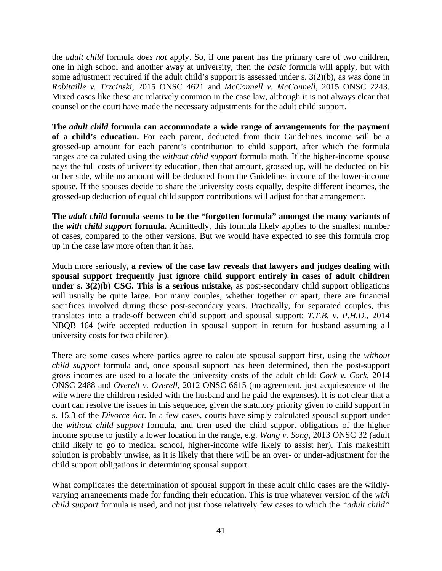the *adult child* formula *does not* apply. So, if one parent has the primary care of two children, one in high school and another away at university, then the *basic* formula will apply, but with some adjustment required if the adult child's support is assessed under s. 3(2)(b), as was done in *Robitaille v. Trzcinski*, 2015 ONSC 4621 and *McConnell v. McConnell*, 2015 ONSC 2243. Mixed cases like these are relatively common in the case law, although it is not always clear that counsel or the court have made the necessary adjustments for the adult child support.

**The** *adult child* **formula can accommodate a wide range of arrangements for the payment of a child's education.** For each parent, deducted from their Guidelines income will be a grossed-up amount for each parent's contribution to child support, after which the formula ranges are calculated using the *without child support* formula math. If the higher-income spouse pays the full costs of university education, then that amount, grossed up, will be deducted on his or her side, while no amount will be deducted from the Guidelines income of the lower-income spouse. If the spouses decide to share the university costs equally, despite different incomes, the grossed-up deduction of equal child support contributions will adjust for that arrangement.

**The** *adult child* **formula seems to be the "forgotten formula" amongst the many variants of the** *with child support* **formula.** Admittedly, this formula likely applies to the smallest number of cases, compared to the other versions. But we would have expected to see this formula crop up in the case law more often than it has.

Much more seriously**, a review of the case law reveals that lawyers and judges dealing with spousal support frequently just ignore child support entirely in cases of adult children under s. 3(2)(b) CSG. This is a serious mistake,** as post-secondary child support obligations will usually be quite large. For many couples, whether together or apart, there are financial sacrifices involved during these post-secondary years. Practically, for separated couples, this translates into a trade-off between child support and spousal support: *T.T.B. v. P.H.D.*, 2014 NBQB 164 (wife accepted reduction in spousal support in return for husband assuming all university costs for two children).

There are some cases where parties agree to calculate spousal support first, using the *without child support* formula and, once spousal support has been determined, then the post-support gross incomes are used to allocate the university costs of the adult child: *Cork v. Cork*, 2014 ONSC 2488 and *Overell v. Overell*, 2012 ONSC 6615 (no agreement, just acquiescence of the wife where the children resided with the husband and he paid the expenses). It is not clear that a court can resolve the issues in this sequence, given the statutory priority given to child support in s. 15.3 of the *Divorce Act*. In a few cases, courts have simply calculated spousal support under the *without child support* formula, and then used the child support obligations of the higher income spouse to justify a lower location in the range, e.g. *Wang v. Song*, 2013 ONSC 32 (adult child likely to go to medical school, higher-income wife likely to assist her). This makeshift solution is probably unwise, as it is likely that there will be an over- or under-adjustment for the child support obligations in determining spousal support.

What complicates the determination of spousal support in these adult child cases are the wildlyvarying arrangements made for funding their education. This is true whatever version of the *with child support* formula is used, and not just those relatively few cases to which the *"adult child"*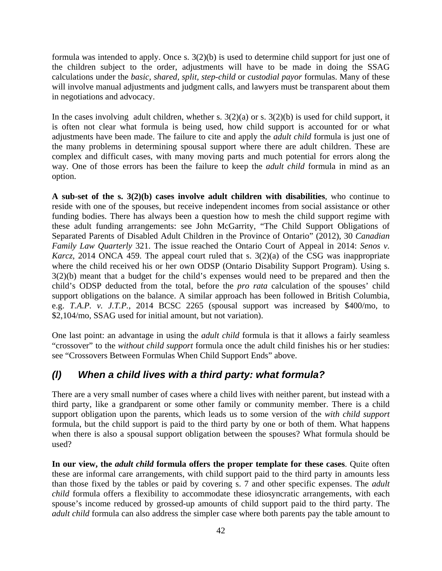formula was intended to apply. Once s. 3(2)(b) is used to determine child support for just one of the children subject to the order, adjustments will have to be made in doing the SSAG calculations under the *basic*, *shared, split, step-child* or *custodial payor* formulas. Many of these will involve manual adjustments and judgment calls, and lawyers must be transparent about them in negotiations and advocacy.

In the cases involving adult children, whether s.  $3(2)(a)$  or s.  $3(2)(b)$  is used for child support, it is often not clear what formula is being used, how child support is accounted for or what adjustments have been made. The failure to cite and apply the *adult child* formula is just one of the many problems in determining spousal support where there are adult children. These are complex and difficult cases, with many moving parts and much potential for errors along the way. One of those errors has been the failure to keep the *adult child* formula in mind as an option.

**A sub-set of the s. 3(2)(b) cases involve adult children with disabilities**, who continue to reside with one of the spouses, but receive independent incomes from social assistance or other funding bodies. There has always been a question how to mesh the child support regime with these adult funding arrangements: see John McGarrity, "The Child Support Obligations of Separated Parents of Disabled Adult Children in the Province of Ontario" (2012), 30 *Canadian Family Law Quarterly* 321. The issue reached the Ontario Court of Appeal in 2014: *Senos v. Karcz*, 2014 ONCA 459. The appeal court ruled that s. 3(2)(a) of the CSG was inappropriate where the child received his or her own ODSP (Ontario Disability Support Program). Using s. 3(2)(b) meant that a budget for the child's expenses would need to be prepared and then the child's ODSP deducted from the total, before the *pro rata* calculation of the spouses' child support obligations on the balance. A similar approach has been followed in British Columbia, e.g. *T.A.P. v. J.T.P.*, 2014 BCSC 2265 (spousal support was increased by \$400/mo, to \$2,104/mo, SSAG used for initial amount, but not variation).

One last point: an advantage in using the *adult child* formula is that it allows a fairly seamless "crossover" to the *without child support* formula once the adult child finishes his or her studies: see "Crossovers Between Formulas When Child Support Ends" above.

## *(l) When a child lives with a third party: what formula?*

There are a very small number of cases where a child lives with neither parent, but instead with a third party, like a grandparent or some other family or community member. There is a child support obligation upon the parents, which leads us to some version of the *with child support*  formula, but the child support is paid to the third party by one or both of them. What happens when there is also a spousal support obligation between the spouses? What formula should be used?

**In our view, the** *adult child* **formula offers the proper template for these cases**. Quite often these are informal care arrangements, with child support paid to the third party in amounts less than those fixed by the tables or paid by covering s. 7 and other specific expenses. The *adult child* formula offers a flexibility to accommodate these idiosyncratic arrangements, with each spouse's income reduced by grossed-up amounts of child support paid to the third party. The *adult child* formula can also address the simpler case where both parents pay the table amount to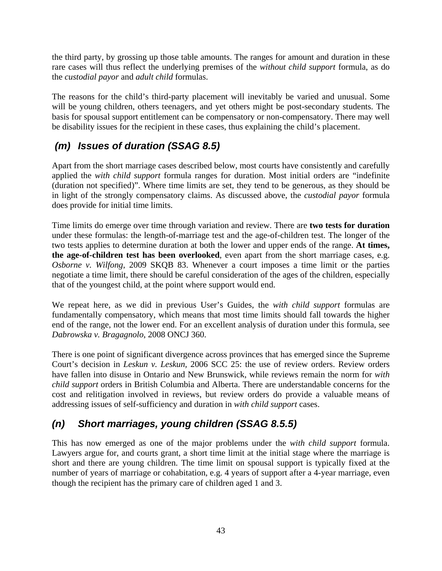the third party, by grossing up those table amounts. The ranges for amount and duration in these rare cases will thus reflect the underlying premises of the *without child support* formula, as do the *custodial payor* and *adult child* formulas.

The reasons for the child's third-party placement will inevitably be varied and unusual. Some will be young children, others teenagers, and yet others might be post-secondary students. The basis for spousal support entitlement can be compensatory or non-compensatory. There may well be disability issues for the recipient in these cases, thus explaining the child's placement.

# *(m) Issues of duration (SSAG 8.5)*

Apart from the short marriage cases described below, most courts have consistently and carefully applied the *with child support* formula ranges for duration. Most initial orders are "indefinite (duration not specified)". Where time limits are set, they tend to be generous, as they should be in light of the strongly compensatory claims. As discussed above, the *custodial payor* formula does provide for initial time limits.

Time limits do emerge over time through variation and review. There are **two tests for duration** under these formulas: the length-of-marriage test and the age-of-children test. The longer of the two tests applies to determine duration at both the lower and upper ends of the range. **At times, the age-of-children test has been overlooked**, even apart from the short marriage cases, e.g. *Osborne v. Wilfong*, 2009 SKQB 83. Whenever a court imposes a time limit or the parties negotiate a time limit, there should be careful consideration of the ages of the children, especially that of the youngest child, at the point where support would end.

We repeat here, as we did in previous User's Guides, the *with child support* formulas are fundamentally compensatory, which means that most time limits should fall towards the higher end of the range, not the lower end. For an excellent analysis of duration under this formula, see *Dabrowska v. Bragagnolo*, 2008 ONCJ 360.

There is one point of significant divergence across provinces that has emerged since the Supreme Court's decision in *Leskun v. Leskun,* 2006 SCC 25: the use of review orders. Review orders have fallen into disuse in Ontario and New Brunswick, while reviews remain the norm for *with child support* orders in British Columbia and Alberta. There are understandable concerns for the cost and relitigation involved in reviews, but review orders do provide a valuable means of addressing issues of self-sufficiency and duration in *with child support* cases.

## *(n) Short marriages, young children (SSAG 8.5.5)*

This has now emerged as one of the major problems under the *with child support* formula. Lawyers argue for, and courts grant, a short time limit at the initial stage where the marriage is short and there are young children. The time limit on spousal support is typically fixed at the number of years of marriage or cohabitation, e.g. 4 years of support after a 4-year marriage, even though the recipient has the primary care of children aged 1 and 3.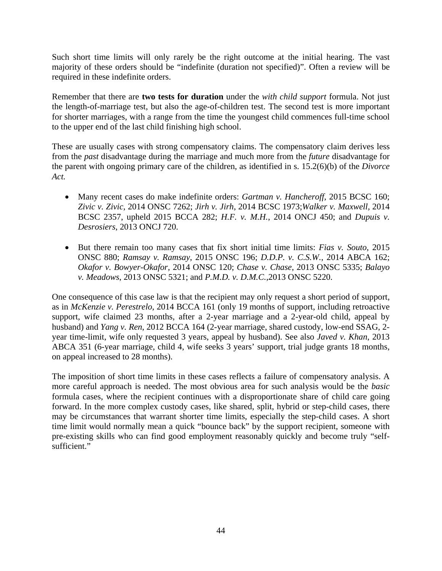Such short time limits will only rarely be the right outcome at the initial hearing. The vast majority of these orders should be "indefinite (duration not specified)". Often a review will be required in these indefinite orders.

Remember that there are **two tests for duration** under the *with child support* formula. Not just the length-of-marriage test, but also the age-of-children test. The second test is more important for shorter marriages, with a range from the time the youngest child commences full-time school to the upper end of the last child finishing high school.

These are usually cases with strong compensatory claims. The compensatory claim derives less from the *past* disadvantage during the marriage and much more from the *future* disadvantage for the parent with ongoing primary care of the children, as identified in s. 15.2(6)(b) of the *Divorce Act.* 

- Many recent cases do make indefinite orders: *Gartman v. Hancheroff,* 2015 BCSC 160; *Zivic v. Zivic*, 2014 ONSC 7262; *Jirh v. Jirh*, 2014 BCSC 1973;*Walker v. Maxwell*, 2014 BCSC 2357, upheld 2015 BCCA 282; *H.F. v. M.H.*, 2014 ONCJ 450; and *Dupuis v. Desrosiers*, 2013 ONCJ 720.
- But there remain too many cases that fix short initial time limits: *Fias v. Souto*, 2015 ONSC 880; *Ramsay v. Ramsay*, 2015 ONSC 196; *D.D.P. v. C.S.W.*, 2014 ABCA 162; *Okafor v. Bowyer-Okafor,* 2014 ONSC 120; *Chase v. Chase*, 2013 ONSC 5335; *Balayo v. Meadows*, 2013 ONSC 5321; and *P.M.D. v. D.M.C.,*2013 ONSC 5220.

One consequence of this case law is that the recipient may only request a short period of support, as in *McKenzie v. Perestrelo*, 2014 BCCA 161 (only 19 months of support, including retroactive support, wife claimed 23 months, after a 2-year marriage and a 2-year-old child, appeal by husband) and *Yang v. Ren*, 2012 BCCA 164 (2-year marriage, shared custody, low-end SSAG, 2 year time-limit, wife only requested 3 years, appeal by husband). See also *Javed v. Khan*, 2013 ABCA 351 (6-year marriage, child 4, wife seeks 3 years' support, trial judge grants 18 months, on appeal increased to 28 months).

The imposition of short time limits in these cases reflects a failure of compensatory analysis. A more careful approach is needed. The most obvious area for such analysis would be the *basic* formula cases, where the recipient continues with a disproportionate share of child care going forward. In the more complex custody cases, like shared, split, hybrid or step-child cases, there may be circumstances that warrant shorter time limits, especially the step-child cases. A short time limit would normally mean a quick "bounce back" by the support recipient, someone with pre-existing skills who can find good employment reasonably quickly and become truly "selfsufficient."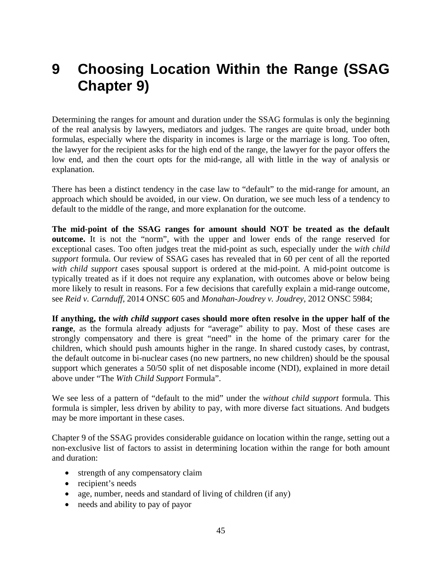# **9 Choosing Location Within the Range (SSAG Chapter 9)**

Determining the ranges for amount and duration under the SSAG formulas is only the beginning of the real analysis by lawyers, mediators and judges. The ranges are quite broad, under both formulas, especially where the disparity in incomes is large or the marriage is long. Too often, the lawyer for the recipient asks for the high end of the range, the lawyer for the payor offers the low end, and then the court opts for the mid-range, all with little in the way of analysis or explanation.

There has been a distinct tendency in the case law to "default" to the mid-range for amount, an approach which should be avoided, in our view. On duration, we see much less of a tendency to default to the middle of the range, and more explanation for the outcome.

**The mid-point of the SSAG ranges for amount should NOT be treated as the default outcome.** It is not the "norm", with the upper and lower ends of the range reserved for exceptional cases. Too often judges treat the mid-point as such, especially under the *with child support* formula. Our review of SSAG cases has revealed that in 60 per cent of all the reported *with child support* cases spousal support is ordered at the mid-point. A mid-point outcome is typically treated as if it does not require any explanation, with outcomes above or below being more likely to result in reasons. For a few decisions that carefully explain a mid-range outcome, see *Reid v. Carnduff*, 2014 ONSC 605 and *Monahan-Joudrey v. Joudrey,* 2012 ONSC 5984;

**If anything, the** *with child support* **cases should more often resolve in the upper half of the range**, as the formula already adjusts for "average" ability to pay. Most of these cases are strongly compensatory and there is great "need" in the home of the primary carer for the children, which should push amounts higher in the range. In shared custody cases, by contrast, the default outcome in bi-nuclear cases (no new partners, no new children) should be the spousal support which generates a 50/50 split of net disposable income (NDI), explained in more detail above under "The *With Child Support* Formula".

We see less of a pattern of "default to the mid" under the *without child support* formula. This formula is simpler, less driven by ability to pay, with more diverse fact situations. And budgets may be more important in these cases.

Chapter 9 of the SSAG provides considerable guidance on location within the range, setting out a non-exclusive list of factors to assist in determining location within the range for both amount and duration:

- strength of any compensatory claim
- recipient's needs
- age, number, needs and standard of living of children (if any)
- needs and ability to pay of payor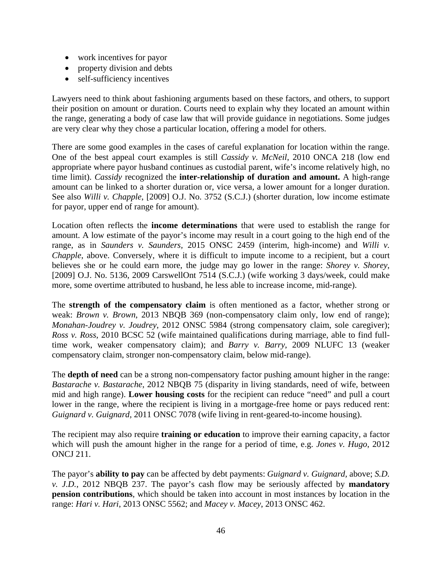- work incentives for payor
- property division and debts
- self-sufficiency incentives

Lawyers need to think about fashioning arguments based on these factors, and others, to support their position on amount or duration. Courts need to explain why they located an amount within the range, generating a body of case law that will provide guidance in negotiations. Some judges are very clear why they chose a particular location, offering a model for others.

There are some good examples in the cases of careful explanation for location within the range. One of the best appeal court examples is still *Cassidy v. McNeil*, 2010 ONCA 218 (low end appropriate where payor husband continues as custodial parent, wife's income relatively high, no time limit). *Cassidy* recognized the **inter-relationship of duration and amount.** A high-range amount can be linked to a shorter duration or, vice versa, a lower amount for a longer duration. See also *Willi v. Chapple*, [2009] O.J. No. 3752 (S.C.J.) (shorter duration, low income estimate for payor, upper end of range for amount).

Location often reflects the **income determinations** that were used to establish the range for amount. A low estimate of the payor's income may result in a court going to the high end of the range, as in *Saunders v. Saunders,* 2015 ONSC 2459 (interim, high-income) and *Willi v. Chapple*, above. Conversely, where it is difficult to impute income to a recipient, but a court believes she or he could earn more, the judge may go lower in the range: *Shorey v. Shorey*, [2009] O.J. No. 5136, 2009 CarswellOnt 7514 (S.C.J.) (wife working 3 days/week, could make more, some overtime attributed to husband, he less able to increase income, mid-range).

The **strength of the compensatory claim** is often mentioned as a factor, whether strong or weak: *Brown v. Brown*, 2013 NBQB 369 (non-compensatory claim only, low end of range); *Monahan-Joudrey v. Joudrey*, 2012 ONSC 5984 (strong compensatory claim, sole caregiver); *Ross v. Ross*, 2010 BCSC 52 (wife maintained qualifications during marriage, able to find fulltime work, weaker compensatory claim); and *Barry v. Barry*, 2009 NLUFC 13 (weaker compensatory claim, stronger non-compensatory claim, below mid-range).

The **depth of need** can be a strong non-compensatory factor pushing amount higher in the range: *Bastarache v. Bastarache*, 2012 NBQB 75 (disparity in living standards, need of wife, between mid and high range). **Lower housing costs** for the recipient can reduce "need" and pull a court lower in the range, where the recipient is living in a mortgage-free home or pays reduced rent: *Guignard v. Guignard,* 2011 ONSC 7078 (wife living in rent-geared-to-income housing).

The recipient may also require **training or education** to improve their earning capacity, a factor which will push the amount higher in the range for a period of time, e.g. *Jones v. Hugo*, 2012 ONCJ 211.

The payor's **ability to pay** can be affected by debt payments: *Guignard v. Guignard,* above; *S.D. v. J.D.*, 2012 NBQB 237. The payor's cash flow may be seriously affected by **mandatory pension contributions**, which should be taken into account in most instances by location in the range: *Hari v. Hari*, 2013 ONSC 5562; and *Macey v. Macey*, 2013 ONSC 462.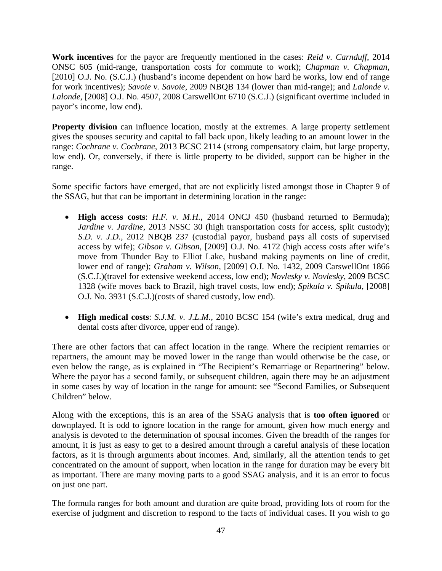**Work incentives** for the payor are frequently mentioned in the cases: *Reid v. Carnduff*, 2014 ONSC 605 (mid-range, transportation costs for commute to work); *Chapman v. Chapman*, [2010] O.J. No. (S.C.J.) (husband's income dependent on how hard he works, low end of range for work incentives); *Savoie v. Savoie*, 2009 NBQB 134 (lower than mid-range); and *Lalonde v. Lalonde*, [2008] O.J. No. 4507, 2008 CarswellOnt 6710 (S.C.J.) (significant overtime included in payor's income, low end).

**Property division** can influence location, mostly at the extremes. A large property settlement gives the spouses security and capital to fall back upon, likely leading to an amount lower in the range: *Cochrane v. Cochrane*, 2013 BCSC 2114 (strong compensatory claim, but large property, low end). Or, conversely, if there is little property to be divided, support can be higher in the range.

Some specific factors have emerged, that are not explicitly listed amongst those in Chapter 9 of the SSAG, but that can be important in determining location in the range:

- **High access costs**: *H.F. v. M.H.*, 2014 ONCJ 450 (husband returned to Bermuda); *Jardine v. Jardine*, 2013 NSSC 30 (high transportation costs for access, split custody); *S.D. v. J.D.*, 2012 NBQB 237 (custodial payor, husband pays all costs of supervised access by wife); *Gibson v. Gibson*, [2009] O.J. No. 4172 (high access costs after wife's move from Thunder Bay to Elliot Lake, husband making payments on line of credit, lower end of range); *Graham v. Wilson*, [2009] O.J. No. 1432, 2009 CarswellOnt 1866 (S.C.J.)(travel for extensive weekend access, low end); *Novlesky v. Novlesky*, 2009 BCSC 1328 (wife moves back to Brazil, high travel costs, low end); *Spikula v. Spikula*, [2008] O.J. No. 3931 (S.C.J.)(costs of shared custody, low end).
- **High medical costs**: *S.J.M. v. J.L.M.*, 2010 BCSC 154 (wife's extra medical, drug and dental costs after divorce, upper end of range).

There are other factors that can affect location in the range. Where the recipient remarries or repartners, the amount may be moved lower in the range than would otherwise be the case, or even below the range, as is explained in "The Recipient's Remarriage or Repartnering" below. Where the payor has a second family, or subsequent children, again there may be an adjustment in some cases by way of location in the range for amount: see "Second Families, or Subsequent Children" below.

Along with the exceptions, this is an area of the SSAG analysis that is **too often ignored** or downplayed. It is odd to ignore location in the range for amount, given how much energy and analysis is devoted to the determination of spousal incomes. Given the breadth of the ranges for amount, it is just as easy to get to a desired amount through a careful analysis of these location factors, as it is through arguments about incomes. And, similarly, all the attention tends to get concentrated on the amount of support, when location in the range for duration may be every bit as important. There are many moving parts to a good SSAG analysis, and it is an error to focus on just one part.

The formula ranges for both amount and duration are quite broad, providing lots of room for the exercise of judgment and discretion to respond to the facts of individual cases. If you wish to go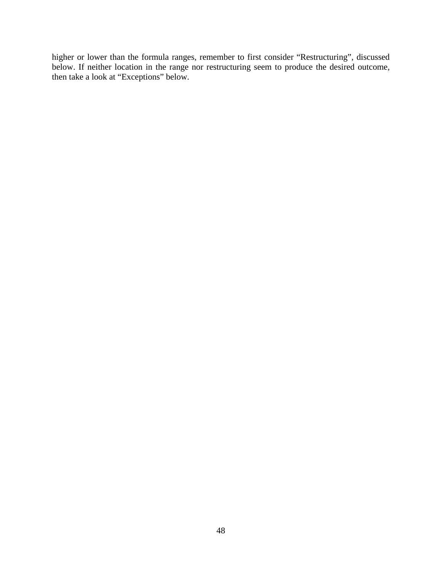higher or lower than the formula ranges, remember to first consider "Restructuring", discussed below. If neither location in the range nor restructuring seem to produce the desired outcome, then take a look at "Exceptions" below.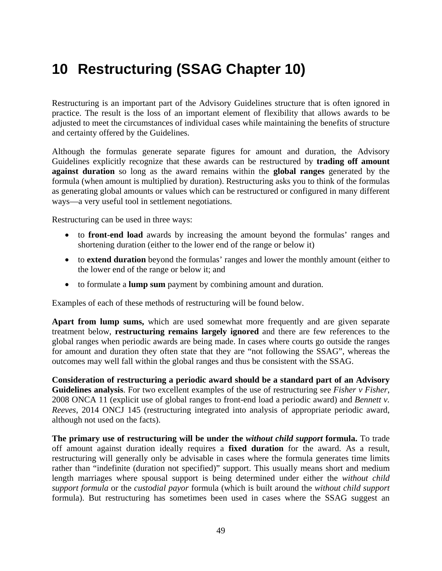# **10 Restructuring (SSAG Chapter 10)**

Restructuring is an important part of the Advisory Guidelines structure that is often ignored in practice. The result is the loss of an important element of flexibility that allows awards to be adjusted to meet the circumstances of individual cases while maintaining the benefits of structure and certainty offered by the Guidelines.

Although the formulas generate separate figures for amount and duration, the Advisory Guidelines explicitly recognize that these awards can be restructured by **trading off amount against duration** so long as the award remains within the **global ranges** generated by the formula (when amount is multiplied by duration). Restructuring asks you to think of the formulas as generating global amounts or values which can be restructured or configured in many different ways—a very useful tool in settlement negotiations.

Restructuring can be used in three ways:

- to **front-end load** awards by increasing the amount beyond the formulas' ranges and shortening duration (either to the lower end of the range or below it)
- to **extend duration** beyond the formulas' ranges and lower the monthly amount (either to the lower end of the range or below it; and
- to formulate a **lump sum** payment by combining amount and duration.

Examples of each of these methods of restructuring will be found below.

**Apart from lump sums,** which are used somewhat more frequently and are given separate treatment below, **restructuring remains largely ignored** and there are few references to the global ranges when periodic awards are being made. In cases where courts go outside the ranges for amount and duration they often state that they are "not following the SSAG", whereas the outcomes may well fall within the global ranges and thus be consistent with the SSAG.

**Consideration of restructuring a periodic award should be a standard part of an Advisory Guidelines analysis**. For two excellent examples of the use of restructuring see *Fisher v Fisher*, 2008 ONCA 11 (explicit use of global ranges to front-end load a periodic award) and *Bennett v. Reeves*, 2014 ONCJ 145 (restructuring integrated into analysis of appropriate periodic award, although not used on the facts).

**The primary use of restructuring will be under the** *without child support* **formula.** To trade off amount against duration ideally requires a **fixed duration** for the award. As a result, restructuring will generally only be advisable in cases where the formula generates time limits rather than "indefinite (duration not specified)" support. This usually means short and medium length marriages where spousal support is being determined under either the *without child support formula* or the *custodial payor* formula (which is built around the *without child support* formula). But restructuring has sometimes been used in cases where the SSAG suggest an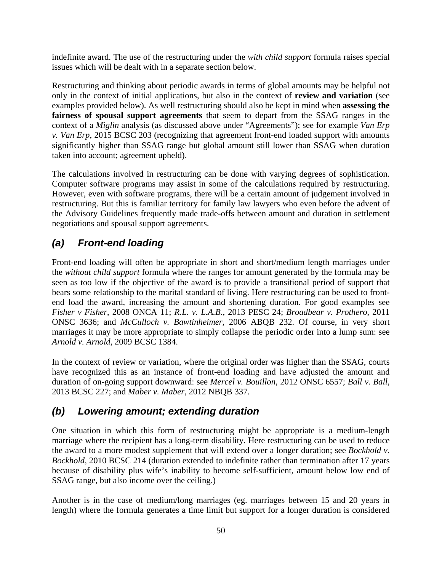indefinite award. The use of the restructuring under the *with child support* formula raises special issues which will be dealt with in a separate section below.

Restructuring and thinking about periodic awards in terms of global amounts may be helpful not only in the context of initial applications, but also in the context of **review and variation** (see examples provided below). As well restructuring should also be kept in mind when **assessing the fairness of spousal support agreements** that seem to depart from the SSAG ranges in the context of a *Miglin* analysis (as discussed above under "Agreements"); see for example *Van Erp v. Van Erp*, 2015 BCSC 203 (recognizing that agreement front-end loaded support with amounts significantly higher than SSAG range but global amount still lower than SSAG when duration taken into account; agreement upheld).

The calculations involved in restructuring can be done with varying degrees of sophistication. Computer software programs may assist in some of the calculations required by restructuring. However, even with software programs, there will be a certain amount of judgement involved in restructuring. But this is familiar territory for family law lawyers who even before the advent of the Advisory Guidelines frequently made trade-offs between amount and duration in settlement negotiations and spousal support agreements.

## *(a) Front-end loading*

Front-end loading will often be appropriate in short and short/medium length marriages under the *without child support* formula where the ranges for amount generated by the formula may be seen as too low if the objective of the award is to provide a transitional period of support that bears some relationship to the marital standard of living. Here restructuring can be used to frontend load the award, increasing the amount and shortening duration. For good examples see *Fisher v Fisher*, 2008 ONCA 11; *R.L. v. L.A.B.*, 2013 PESC 24; *Broadbear v. Prothero*, 2011 ONSC 3636; and *McCulloch v. Bawtinheimer,* 2006 ABQB 232. Of course, in very short marriages it may be more appropriate to simply collapse the periodic order into a lump sum: see *Arnold v. Arnold*, 2009 BCSC 1384.

In the context of review or variation, where the original order was higher than the SSAG, courts have recognized this as an instance of front-end loading and have adjusted the amount and duration of on-going support downward: see *Mercel v. Bouillon*, 2012 ONSC 6557; *Ball v. Ball,* 2013 BCSC 227; and *Maber v. Maber,* 2012 NBQB 337.

## *(b) Lowering amount; extending duration*

One situation in which this form of restructuring might be appropriate is a medium-length marriage where the recipient has a long-term disability. Here restructuring can be used to reduce the award to a more modest supplement that will extend over a longer duration; see *Bockhold v. Bockhold*, 2010 BCSC 214 (duration extended to indefinite rather than termination after 17 years because of disability plus wife's inability to become self-sufficient, amount below low end of SSAG range, but also income over the ceiling.)

Another is in the case of medium/long marriages (eg. marriages between 15 and 20 years in length) where the formula generates a time limit but support for a longer duration is considered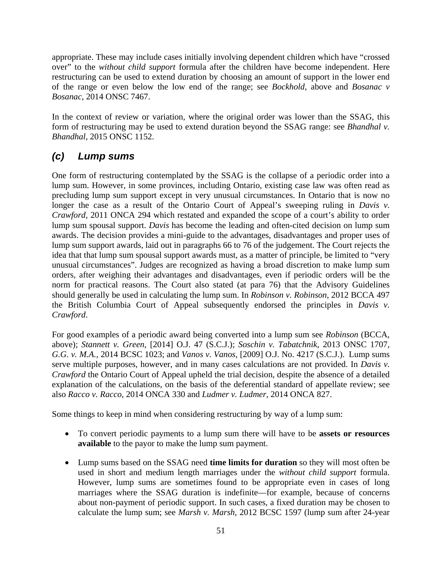appropriate. These may include cases initially involving dependent children which have "crossed over" to the *without child support* formula after the children have become independent. Here restructuring can be used to extend duration by choosing an amount of support in the lower end of the range or even below the low end of the range; see *Bockhold*, above and *Bosanac v Bosanac*, 2014 ONSC 7467.

In the context of review or variation, where the original order was lower than the SSAG, this form of restructuring may be used to extend duration beyond the SSAG range: see *Bhandhal v. Bhandhal*, 2015 ONSC 1152.

## *(c) Lump sums*

One form of restructuring contemplated by the SSAG is the collapse of a periodic order into a lump sum. However, in some provinces, including Ontario, existing case law was often read as precluding lump sum support except in very unusual circumstances. In Ontario that is now no longer the case as a result of the Ontario Court of Appeal's sweeping ruling in *Davis v. Crawford*, 2011 ONCA 294 which restated and expanded the scope of a court's ability to order lump sum spousal support. *Davis* has become the leading and often-cited decision on lump sum awards. The decision provides a mini-guide to the advantages, disadvantages and proper uses of lump sum support awards, laid out in paragraphs 66 to 76 of the judgement. The Court rejects the idea that that lump sum spousal support awards must, as a matter of principle, be limited to "very unusual circumstances". Judges are recognized as having a broad discretion to make lump sum orders, after weighing their advantages and disadvantages, even if periodic orders will be the norm for practical reasons. The Court also stated (at para 76) that the Advisory Guidelines should generally be used in calculating the lump sum. In *Robinson v. Robinson*, 2012 BCCA 497 the British Columbia Court of Appeal subsequently endorsed the principles in *Davis v. Crawford*.

For good examples of a periodic award being converted into a lump sum see *Robinson* (BCCA, above); *Stannett v. Green*, [2014] O.J. 47 (S.C.J.); *Soschin v. Tabatchnik*, 2013 ONSC 1707, *G.G. v. M.A.*, 2014 BCSC 1023; and *Vanos v. Vanos*, [2009] O.J. No. 4217 (S.C.J.). Lump sums serve multiple purposes, however, and in many cases calculations are not provided. In *Davis v. Crawford* the Ontario Court of Appeal upheld the trial decision, despite the absence of a detailed explanation of the calculations, on the basis of the deferential standard of appellate review; see also *Racco v. Racco*, 2014 ONCA 330 and *Ludmer v. Ludmer*, 2014 ONCA 827.

Some things to keep in mind when considering restructuring by way of a lump sum:

- To convert periodic payments to a lump sum there will have to be **assets or resources available** to the payor to make the lump sum payment.
- Lump sums based on the SSAG need **time limits for duration** so they will most often be used in short and medium length marriages under the *without child support* formula. However, lump sums are sometimes found to be appropriate even in cases of long marriages where the SSAG duration is indefinite—for example, because of concerns about non-payment of periodic support. In such cases, a fixed duration may be chosen to calculate the lump sum; see *Marsh v. Marsh*, 2012 BCSC 1597 (lump sum after 24-year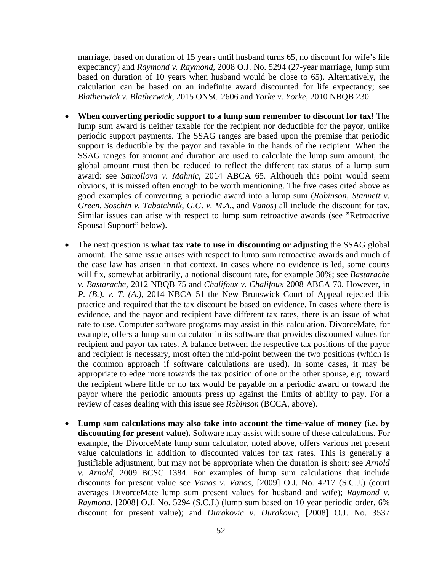marriage, based on duration of 15 years until husband turns 65, no discount for wife's life expectancy) and *Raymond v. Raymond*, 2008 O.J. No. 5294 (27-year marriage, lump sum based on duration of 10 years when husband would be close to 65). Alternatively, the calculation can be based on an indefinite award discounted for life expectancy; see *Blatherwick v. Blatherwick*, 2015 ONSC 2606 and *Yorke v. Yorke*, 2010 NBQB 230.

- **When converting periodic support to a lump sum remember to discount for tax!** The lump sum award is neither taxable for the recipient nor deductible for the payor, unlike periodic support payments. The SSAG ranges are based upon the premise that periodic support is deductible by the payor and taxable in the hands of the recipient. When the SSAG ranges for amount and duration are used to calculate the lump sum amount, the global amount must then be reduced to reflect the different tax status of a lump sum award: see *Samoilova v. Mahnic*, 2014 ABCA 65. Although this point would seem obvious, it is missed often enough to be worth mentioning. The five cases cited above as good examples of converting a periodic award into a lump sum (*Robinson*, *Stannett v. Green*, *Soschin v. Tabatchnik*, *G.G. v. M.A.,* and *Vanos*) all include the discount for tax. Similar issues can arise with respect to lump sum retroactive awards (see "Retroactive Spousal Support" below).
- The next question is **what tax rate to use in discounting or adjusting** the SSAG global amount. The same issue arises with respect to lump sum retroactive awards and much of the case law has arisen in that context. In cases where no evidence is led, some courts will fix, somewhat arbitrarily, a notional discount rate, for example 30%; see *Bastarache v. Bastarache,* 2012 NBQB 75 and *Chalifoux v. Chalifoux* 2008 ABCA 70. However, in *P. (B.). v. T. (A.)*, 2014 NBCA 51 the New Brunswick Court of Appeal rejected this practice and required that the tax discount be based on evidence. In cases where there is evidence, and the payor and recipient have different tax rates, there is an issue of what rate to use. Computer software programs may assist in this calculation. DivorceMate, for example, offers a lump sum calculator in its software that provides discounted values for recipient and payor tax rates. A balance between the respective tax positions of the payor and recipient is necessary, most often the mid-point between the two positions (which is the common approach if software calculations are used). In some cases, it may be appropriate to edge more towards the tax position of one or the other spouse, e.g. toward the recipient where little or no tax would be payable on a periodic award or toward the payor where the periodic amounts press up against the limits of ability to pay. For a review of cases dealing with this issue see *Robinson* (BCCA, above).
- **Lump sum calculations may also take into account the time-value of money (i.e. by discounting for present value).** Software may assist with some of these calculations. For example, the DivorceMate lump sum calculator, noted above, offers various net present value calculations in addition to discounted values for tax rates. This is generally a justifiable adjustment, but may not be appropriate when the duration is short; see *Arnold v. Arnold,* 2009 BCSC 1384. For examples of lump sum calculations that include discounts for present value see *Vanos v. Vanos*, [2009] O.J. No. 4217 (S.C.J.) (court averages DivorceMate lump sum present values for husband and wife); *Raymond v. Raymond,* [2008] O.J. No. 5294 (S.C.J.) (lump sum based on 10 year periodic order, 6% discount for present value); and *Durakovic v. Durakovic*, [2008] O.J. No. 3537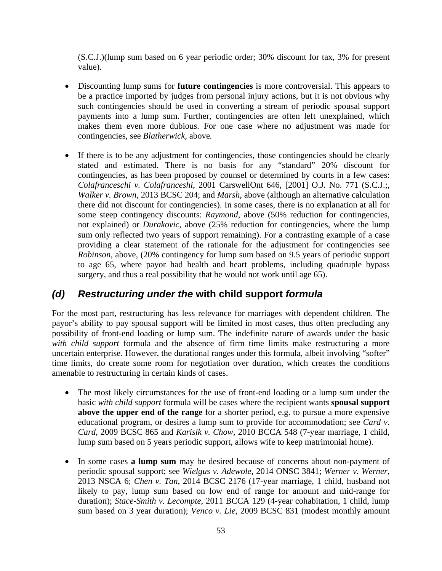(S.C.J.)(lump sum based on 6 year periodic order; 30% discount for tax, 3% for present value).

- Discounting lump sums for **future contingencies** is more controversial. This appears to be a practice imported by judges from personal injury actions, but it is not obvious why such contingencies should be used in converting a stream of periodic spousal support payments into a lump sum. Further, contingencies are often left unexplained, which makes them even more dubious. For one case where no adjustment was made for contingencies, see *Blatherwick,* above*.*
- If there is to be any adjustment for contingencies, those contingencies should be clearly stated and estimated. There is no basis for any "standard" 20% discount for contingencies, as has been proposed by counsel or determined by courts in a few cases: *Colafranceschi v. Colafranceshi*, 2001 CarswellOnt 646, [2001] O.J. No. 771 (S.C.J.;*, Walker v. Brown*, 2013 BCSC 204; and *Marsh,* above (although an alternative calculation there did not discount for contingencies). In some cases, there is no explanation at all for some steep contingency discounts: *Raymond*, above (50% reduction for contingencies, not explained) or *Durakovic*, above (25% reduction for contingencies, where the lump sum only reflected two years of support remaining). For a contrasting example of a case providing a clear statement of the rationale for the adjustment for contingencies see *Robinson*, above, (20% contingency for lump sum based on 9.5 years of periodic support to age 65, where payor had health and heart problems, including quadruple bypass surgery, and thus a real possibility that he would not work until age 65).

### *(d) Restructuring under the* **with child support** *formula*

For the most part, restructuring has less relevance for marriages with dependent children. The payor's ability to pay spousal support will be limited in most cases, thus often precluding any possibility of front-end loading or lump sum. The indefinite nature of awards under the basic *with child support* formula and the absence of firm time limits make restructuring a more uncertain enterprise. However, the durational ranges under this formula, albeit involving "softer" time limits, do create some room for negotiation over duration, which creates the conditions amenable to restructuring in certain kinds of cases.

- The most likely circumstances for the use of front-end loading or a lump sum under the basic *with child support* formula will be cases where the recipient wants **spousal support above the upper end of the range** for a shorter period, e.g. to pursue a more expensive educational program, or desires a lump sum to provide for accommodation; see *Card v. Card*, 2009 BCSC 865 and *Karisik v. Chow,* 2010 BCCA 548 (7-year marriage, 1 child, lump sum based on 5 years periodic support, allows wife to keep matrimonial home).
- In some cases **a lump sum** may be desired because of concerns about non-payment of periodic spousal support; see *Wielgus v. Adewole*, 2014 ONSC 3841; *Werner v. Werner*, 2013 NSCA 6; *Chen v. Tan*, 2014 BCSC 2176 (17-year marriage, 1 child, husband not likely to pay, lump sum based on low end of range for amount and mid-range for duration); *Stace-Smith v. Lecompte*, 2011 BCCA 129 (4-year cohabitation, 1 child, lump sum based on 3 year duration); *Venco v. Lie*, 2009 BCSC 831 (modest monthly amount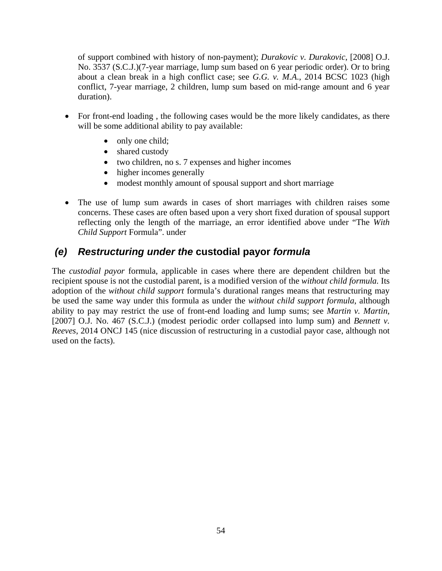of support combined with history of non-payment); *Durakovic v. Durakovic*, [2008] O.J. No. 3537 (S.C.J.)(7-year marriage, lump sum based on 6 year periodic order). Or to bring about a clean break in a high conflict case; see *G.G. v. M.A*., 2014 BCSC 1023 (high conflict, 7-year marriage, 2 children, lump sum based on mid-range amount and 6 year duration).

- For front-end loading, the following cases would be the more likely candidates, as there will be some additional ability to pay available:
	- only one child;
	- shared custody
	- two children, no s. 7 expenses and higher incomes
	- higher incomes generally
	- modest monthly amount of spousal support and short marriage
- The use of lump sum awards in cases of short marriages with children raises some concerns. These cases are often based upon a very short fixed duration of spousal support reflecting only the length of the marriage, an error identified above under "The *With Child Support* Formula". under

### *(e) Restructuring under the* **custodial payor** *formula*

The *custodial payor* formula, applicable in cases where there are dependent children but the recipient spouse is not the custodial parent, is a modified version of the *without child formula.* Its adoption of the *without child support* formula's durational ranges means that restructuring may be used the same way under this formula as under the *without child support formula*, although ability to pay may restrict the use of front-end loading and lump sums; see *Martin v. Martin*, [2007] O.J. No. 467 (S.C.J.) (modest periodic order collapsed into lump sum) and *Bennett v*. *Reeves*, 2014 ONCJ 145 (nice discussion of restructuring in a custodial payor case, although not used on the facts).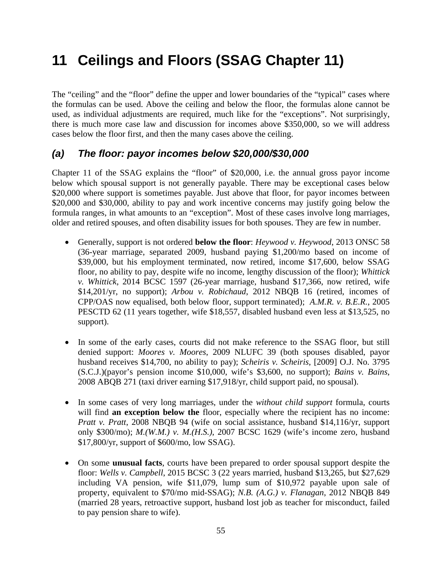# **11 Ceilings and Floors (SSAG Chapter 11)**

The "ceiling" and the "floor" define the upper and lower boundaries of the "typical" cases where the formulas can be used. Above the ceiling and below the floor, the formulas alone cannot be used, as individual adjustments are required, much like for the "exceptions". Not surprisingly, there is much more case law and discussion for incomes above \$350,000, so we will address cases below the floor first, and then the many cases above the ceiling.

### *(a) The floor: payor incomes below \$20,000/\$30,000*

Chapter 11 of the SSAG explains the "floor" of \$20,000, i.e. the annual gross payor income below which spousal support is not generally payable. There may be exceptional cases below \$20,000 where support is sometimes payable. Just above that floor, for payor incomes between \$20,000 and \$30,000, ability to pay and work incentive concerns may justify going below the formula ranges, in what amounts to an "exception". Most of these cases involve long marriages, older and retired spouses, and often disability issues for both spouses. They are few in number.

- Generally, support is not ordered **below the floor**: *Heywood v. Heywood*, 2013 ONSC 58 (36-year marriage, separated 2009, husband paying \$1,200/mo based on income of \$39,000, but his employment terminated, now retired, income \$17,600, below SSAG floor, no ability to pay, despite wife no income, lengthy discussion of the floor); *Whittick v. Whittick*, 2014 BCSC 1597 (26-year marriage, husband \$17,366, now retired, wife \$14,201/yr, no support); *Arbou v. Robichaud*, 2012 NBQB 16 (retired, incomes of CPP/OAS now equalised, both below floor, support terminated); *A.M.R. v. B.E.R.*, 2005 PESCTD 62 (11 years together, wife \$18,557, disabled husband even less at \$13,525, no support).
- In some of the early cases, courts did not make reference to the SSAG floor, but still denied support: *Moores v. Moores*, 2009 NLUFC 39 (both spouses disabled, payor husband receives \$14,700, no ability to pay); *Scheiris v. Scheiris*, [2009] O.J. No. 3795 (S.C.J.)(payor's pension income \$10,000, wife's \$3,600, no support); *Bains v. Bains*, 2008 ABQB 271 (taxi driver earning \$17,918/yr, child support paid, no spousal).
- In some cases of very long marriages, under the *without child support* formula, courts will find **an exception below the** floor, especially where the recipient has no income: *Pratt v. Pratt*, 2008 NBQB 94 (wife on social assistance, husband \$14,116/yr, support only \$300/mo); *M.(W.M.) v. M.(H.S.)*, 2007 BCSC 1629 (wife's income zero, husband \$17,800/yr, support of \$600/mo, low SSAG).
- On some **unusual facts**, courts have been prepared to order spousal support despite the floor: *Wells v. Campbell*, 2015 BCSC 3 (22 years married, husband \$13,265, but \$27,629 including VA pension, wife \$11,079, lump sum of \$10,972 payable upon sale of property, equivalent to \$70/mo mid-SSAG); *N.B. (A.G.) v. Flanagan*, 2012 NBQB 849 (married 28 years, retroactive support, husband lost job as teacher for misconduct, failed to pay pension share to wife).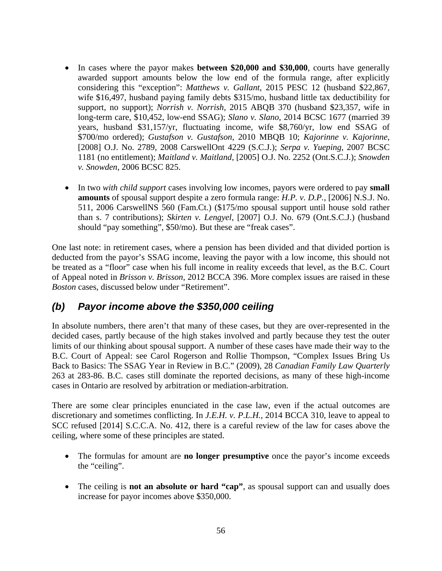- In cases where the payor makes **between \$20,000 and \$30,000**, courts have generally awarded support amounts below the low end of the formula range, after explicitly considering this "exception": *Matthews v. Gallant*, 2015 PESC 12 (husband \$22,867, wife \$16,497, husband paying family debts \$315/mo, husband little tax deductibility for support, no support); *Norrish v. Norrish,* 2015 ABQB 370 (husband \$23,357, wife in long-term care, \$10,452, low-end SSAG); *Slano v. Slano*, 2014 BCSC 1677 (married 39 years, husband \$31,157/yr, fluctuating income, wife \$8,760/yr, low end SSAG of \$700/mo ordered); *Gustafson v. Gustafson*, 2010 MBQB 10; *Kajorinne v. Kajorinne*, [2008] O.J. No. 2789, 2008 CarswellOnt 4229 (S.C.J.); *Serpa v. Yueping*, 2007 BCSC 1181 (no entitlement); *Maitland v. Maitland*, [2005] O.J. No. 2252 (Ont.S.C.J.); *Snowden v. Snowden*, 2006 BCSC 825.
- In two *with child support* cases involving low incomes, payors were ordered to pay **small amounts** of spousal support despite a zero formula range: *H.P. v. D.P.*, [2006] N.S.J. No. 511, 2006 CarswellNS 560 (Fam.Ct.) (\$175/mo spousal support until house sold rather than s. 7 contributions); *Skirten v. Lengyel*, [2007] O.J. No. 679 (Ont.S.C.J.) (husband should "pay something", \$50/mo). But these are "freak cases".

One last note: in retirement cases, where a pension has been divided and that divided portion is deducted from the payor's SSAG income, leaving the payor with a low income, this should not be treated as a "floor" case when his full income in reality exceeds that level, as the B.C. Court of Appeal noted in *Brisson v. Brisson*, 2012 BCCA 396. More complex issues are raised in these *Boston* cases, discussed below under "Retirement".

### *(b) Payor income above the \$350,000 ceiling*

In absolute numbers, there aren't that many of these cases, but they are over-represented in the decided cases, partly because of the high stakes involved and partly because they test the outer limits of our thinking about spousal support. A number of these cases have made their way to the B.C. Court of Appeal: see Carol Rogerson and Rollie Thompson, "Complex Issues Bring Us Back to Basics: The SSAG Year in Review in B.C." (2009), 28 *Canadian Family Law Quarterly* 263 at 283-86. B.C. cases still dominate the reported decisions, as many of these high-income cases in Ontario are resolved by arbitration or mediation-arbitration.

There are some clear principles enunciated in the case law, even if the actual outcomes are discretionary and sometimes conflicting. In *J.E.H. v. P.L.H.,* 2014 BCCA 310, leave to appeal to SCC refused [2014] S.C.C.A. No. 412, there is a careful review of the law for cases above the ceiling, where some of these principles are stated.

- The formulas for amount are **no longer presumptive** once the payor's income exceeds the "ceiling".
- The ceiling is **not an absolute or hard "cap"**, as spousal support can and usually does increase for payor incomes above \$350,000.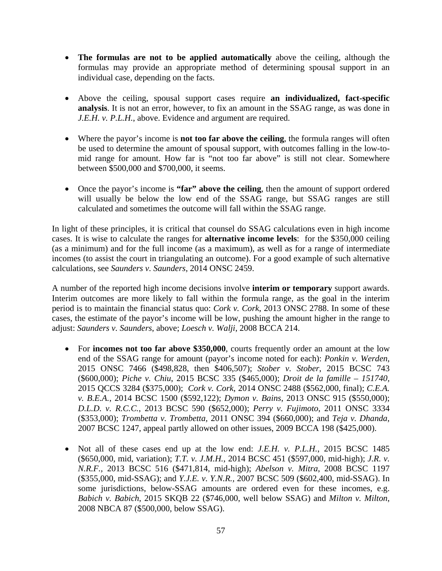- **The formulas are not to be applied automatically** above the ceiling, although the formulas may provide an appropriate method of determining spousal support in an individual case, depending on the facts.
- Above the ceiling, spousal support cases require **an individualized, fact-specific analysis**. It is not an error, however, to fix an amount in the SSAG range, as was done in *J.E.H. v. P.L.H.*, above. Evidence and argument are required.
- Where the payor's income is **not too far above the ceiling**, the formula ranges will often be used to determine the amount of spousal support, with outcomes falling in the low-tomid range for amount. How far is "not too far above" is still not clear. Somewhere between \$500,000 and \$700,000, it seems.
- Once the payor's income is **"far" above the ceiling**, then the amount of support ordered will usually be below the low end of the SSAG range, but SSAG ranges are still calculated and sometimes the outcome will fall within the SSAG range.

In light of these principles, it is critical that counsel do SSAG calculations even in high income cases. It is wise to calculate the ranges for **alternative income levels**: for the \$350,000 ceiling (as a minimum) and for the full income (as a maximum), as well as for a range of intermediate incomes (to assist the court in triangulating an outcome). For a good example of such alternative calculations, see *Saunders v. Saunders*, 2014 ONSC 2459.

A number of the reported high income decisions involve **interim or temporary** support awards. Interim outcomes are more likely to fall within the formula range, as the goal in the interim period is to maintain the financial status quo: *Cork v. Cork*, 2013 ONSC 2788. In some of these cases, the estimate of the payor's income will be low, pushing the amount higher in the range to adjust: *Saunders v. Saunders*, above; *Loesch v. Walji*, 2008 BCCA 214.

- For **incomes not too far above \$350,000**, courts frequently order an amount at the low end of the SSAG range for amount (payor's income noted for each): *Ponkin v. Werden*, 2015 ONSC 7466 (\$498,828, then \$406,507); *Stober v. Stober*, 2015 BCSC 743 (\$600,000); *Piche v. Chiu*, 2015 BCSC 335 (\$465,000); *Droit de la famille – 151740,*  2015 QCCS 3284 (\$375,000); *Cork v. Cork*, 2014 ONSC 2488 (\$562,000, final); *C.E.A. v. B.E.A.*, 2014 BCSC 1500 (\$592,122); *Dymon v. Bains*, 2013 ONSC 915 (\$550,000); *D.L.D. v. R.C.C.*, 2013 BCSC 590 (\$652,000); *Perry v. Fujimoto*, 2011 ONSC 3334 (\$353,000); *Trombetta v. Trombetta,* 2011 ONSC 394 (\$660,000); and *Teja v. Dhanda*, 2007 BCSC 1247, appeal partly allowed on other issues, 2009 BCCA 198 (\$425,000).
- Not all of these cases end up at the low end: *J.E.H. v. P.L.H.*, 2015 BCSC 1485 (\$650,000, mid, variation); *T.T. v. J.M.H.*, 2014 BCSC 451 (\$597,000, mid-high); *J.R. v. N.R.F.,* 2013 BCSC 516 (\$471,814, mid-high); *Abelson v. Mitra*, 2008 BCSC 1197 (\$355,000, mid-SSAG); and *Y.J.E. v. Y.N.R.,* 2007 BCSC 509 (\$602,400, mid-SSAG). In some jurisdictions, below-SSAG amounts are ordered even for these incomes, e.g. *Babich v. Babich*, 2015 SKQB 22 (\$746,000, well below SSAG) and *Milton v. Milton*, 2008 NBCA 87 (\$500,000, below SSAG).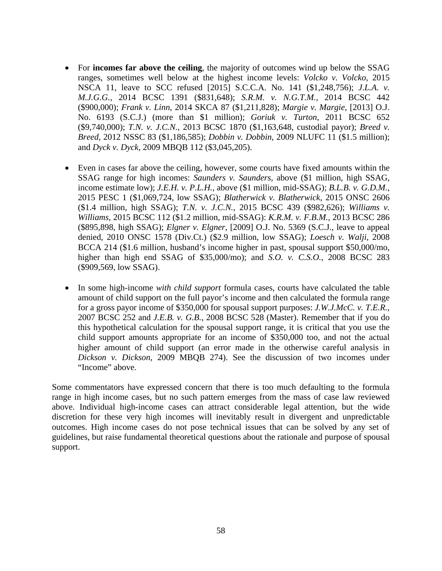- For **incomes far above the ceiling**, the majority of outcomes wind up below the SSAG ranges, sometimes well below at the highest income levels: *Volcko v. Volcko*, 2015 NSCA 11, leave to SCC refused [2015] S.C.C.A. No. 141 (\$1,248,756); *J.L.A. v. M.J.G.G.*, 2014 BCSC 1391 (\$831,648); *S.R.M. v. N.G.T.M.,* 2014 BCSC 442 (\$900,000); *Frank v. Linn*, 2014 SKCA 87 (\$1,211,828); *Margie v. Margie*, [2013] O.J. No. 6193 (S.C.J.) (more than \$1 million); *Goriuk v. Turton*, 2011 BCSC 652 (\$9,740,000); *T.N. v. J.C.N.*, 2013 BCSC 1870 (\$1,163,648, custodial payor); *Breed v. Breed*, 2012 NSSC 83 (\$1,186,585); *Dobbin v. Dobbin*, 2009 NLUFC 11 (\$1.5 million); and *Dyck v. Dyck*, 2009 MBQB 112 (\$3,045,205).
- Even in cases far above the ceiling, however, some courts have fixed amounts within the SSAG range for high incomes: *Saunders v. Saunders,* above (\$1 million, high SSAG, income estimate low); *J.E.H. v. P.L.H.*, above (\$1 million, mid-SSAG); *B.L.B. v. G.D.M.*, 2015 PESC 1 (\$1,069,724, low SSAG); *Blatherwick v. Blatherwick,* 2015 ONSC 2606 (\$1.4 million, high SSAG); *T.N. v. J.C.N.,* 2015 BCSC 439 (\$982,626); *Williams v. Williams*, 2015 BCSC 112 (\$1.2 million, mid-SSAG): *K.R.M. v. F.B.M.,* 2013 BCSC 286 (\$895,898, high SSAG); *Elgner v. Elgner*, [2009] O.J. No. 5369 (S.C.J., leave to appeal denied, 2010 ONSC 1578 (Div.Ct.) (\$2.9 million, low SSAG); *Loesch v. Walji*, 2008 BCCA 214 (\$1.6 million, husband's income higher in past, spousal support \$50,000/mo, higher than high end SSAG of \$35,000/mo); and *S.O. v. C.S.O.*, 2008 BCSC 283 (\$909,569, low SSAG).
- In some high-income *with child support* formula cases, courts have calculated the table amount of child support on the full payor's income and then calculated the formula range for a gross payor income of \$350,000 for spousal support purposes: *J.W.J.McC. v. T.E.R.*, 2007 BCSC 252 and *J.E.B. v. G.B.*, 2008 BCSC 528 (Master). Remember that if you do this hypothetical calculation for the spousal support range, it is critical that you use the child support amounts appropriate for an income of \$350,000 too, and not the actual higher amount of child support (an error made in the otherwise careful analysis in *Dickson v. Dickson*, 2009 MBQB 274). See the discussion of two incomes under "Income" above.

Some commentators have expressed concern that there is too much defaulting to the formula range in high income cases, but no such pattern emerges from the mass of case law reviewed above. Individual high-income cases can attract considerable legal attention, but the wide discretion for these very high incomes will inevitably result in divergent and unpredictable outcomes. High income cases do not pose technical issues that can be solved by any set of guidelines, but raise fundamental theoretical questions about the rationale and purpose of spousal support.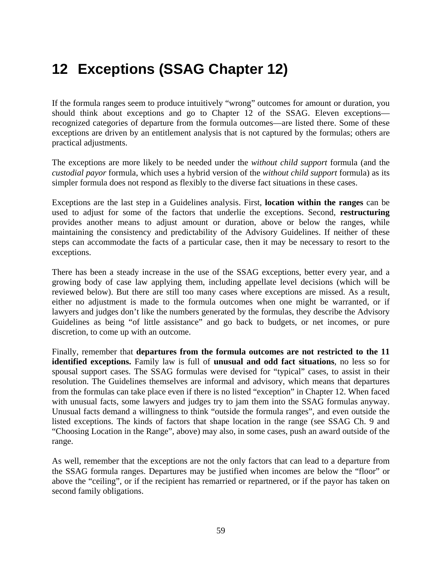# **12 Exceptions (SSAG Chapter 12)**

If the formula ranges seem to produce intuitively "wrong" outcomes for amount or duration, you should think about exceptions and go to Chapter 12 of the SSAG. Eleven exceptions recognized categories of departure from the formula outcomes—are listed there. Some of these exceptions are driven by an entitlement analysis that is not captured by the formulas; others are practical adjustments.

The exceptions are more likely to be needed under the *without child support* formula (and the *custodial payor* formula, which uses a hybrid version of the *without child support* formula) as its simpler formula does not respond as flexibly to the diverse fact situations in these cases.

Exceptions are the last step in a Guidelines analysis. First, **location within the ranges** can be used to adjust for some of the factors that underlie the exceptions. Second, **restructuring** provides another means to adjust amount or duration, above or below the ranges, while maintaining the consistency and predictability of the Advisory Guidelines. If neither of these steps can accommodate the facts of a particular case, then it may be necessary to resort to the exceptions.

There has been a steady increase in the use of the SSAG exceptions, better every year, and a growing body of case law applying them, including appellate level decisions (which will be reviewed below). But there are still too many cases where exceptions are missed. As a result, either no adjustment is made to the formula outcomes when one might be warranted, or if lawyers and judges don't like the numbers generated by the formulas, they describe the Advisory Guidelines as being "of little assistance" and go back to budgets, or net incomes, or pure discretion, to come up with an outcome.

Finally, remember that **departures from the formula outcomes are not restricted to the 11 identified exceptions.** Family law is full of **unusual and odd fact situations**, no less so for spousal support cases. The SSAG formulas were devised for "typical" cases, to assist in their resolution. The Guidelines themselves are informal and advisory, which means that departures from the formulas can take place even if there is no listed "exception" in Chapter 12. When faced with unusual facts, some lawyers and judges try to jam them into the SSAG formulas anyway. Unusual facts demand a willingness to think "outside the formula ranges", and even outside the listed exceptions. The kinds of factors that shape location in the range (see SSAG Ch. 9 and "Choosing Location in the Range", above) may also, in some cases, push an award outside of the range.

As well, remember that the exceptions are not the only factors that can lead to a departure from the SSAG formula ranges. Departures may be justified when incomes are below the "floor" or above the "ceiling", or if the recipient has remarried or repartnered, or if the payor has taken on second family obligations.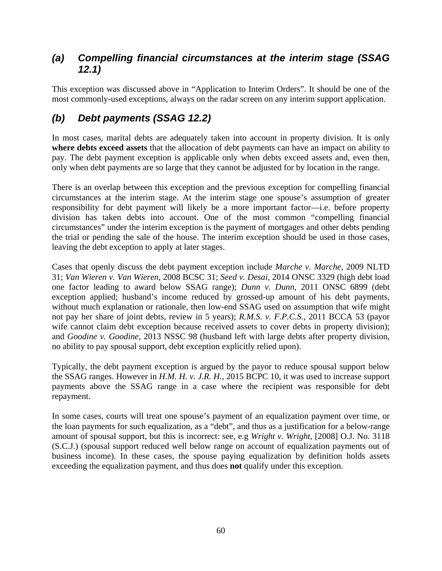### *(a) Compelling financial circumstances at the interim stage (SSAG 12.1)*

This exception was discussed above in "Application to Interim Orders". It should be one of the most commonly-used exceptions, always on the radar screen on any interim support application.

## *(b) Debt payments (SSAG 12.2)*

In most cases, marital debts are adequately taken into account in property division. It is only **where debts exceed assets** that the allocation of debt payments can have an impact on ability to pay. The debt payment exception is applicable only when debts exceed assets and, even then, only when debt payments are so large that they cannot be adjusted for by location in the range.

There is an overlap between this exception and the previous exception for compelling financial circumstances at the interim stage. At the interim stage one spouse's assumption of greater responsibility for debt payment will likely be a more important factor—i.e. before property division has taken debts into account. One of the most common "compelling financial circumstances" under the interim exception is the payment of mortgages and other debts pending the trial or pending the sale of the house. The interim exception should be used in those cases, leaving the debt exception to apply at later stages.

Cases that openly discuss the debt payment exception include *Marche v. Marche*, 2009 NLTD 31; *Van Wieren v. Van Wieren*, 2008 BCSC 31; *Seed v. Desai,* 2014 ONSC 3329 (high debt load one factor leading to award below SSAG range); *Dunn v. Dunn*, 2011 ONSC 6899 (debt exception applied; husband's income reduced by grossed-up amount of his debt payments, without much explanation or rationale, then low-end SSAG used on assumption that wife might not pay her share of joint debts, review in 5 years); *R.M.S. v. F.P.C.S.*, 2011 BCCA 53 (payor wife cannot claim debt exception because received assets to cover debts in property division); and *Goodine v. Goodine*, 2013 NSSC 98 (husband left with large debts after property division, no ability to pay spousal support, debt exception explicitly relied upon).

Typically, the debt payment exception is argued by the payor to reduce spousal support below the SSAG ranges. However in *H.M. H. v. J.R. H.*, 2015 BCPC 10, it was used to increase support payments above the SSAG range in a case where the recipient was responsible for debt repayment.

In some cases, courts will treat one spouse's payment of an equalization payment over time, or the loan payments for such equalization, as a "debt", and thus as a justification for a below-range amount of spousal support, but this is incorrect: see, e.g *Wright v. Wright*, [2008] O.J. No. 3118 (S.C.J.) (spousal support reduced well below range on account of equalization payments out of business income). In these cases, the spouse paying equalization by definition holds assets exceeding the equalization payment, and thus does **not** qualify under this exception.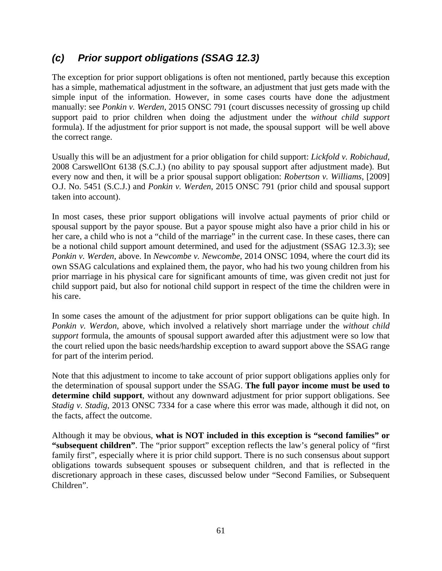### *(c) Prior support obligations (SSAG 12.3)*

The exception for prior support obligations is often not mentioned, partly because this exception has a simple, mathematical adjustment in the software, an adjustment that just gets made with the simple input of the information. However, in some cases courts have done the adjustment manually: see *Ponkin v. Werden*, 2015 ONSC 791 (court discusses necessity of grossing up child support paid to prior children when doing the adjustment under the *without child support* formula). If the adjustment for prior support is not made, the spousal support will be well above the correct range.

Usually this will be an adjustment for a prior obligation for child support: *Lickfold v. Robichaud*, 2008 CarswellOnt 6138 (S.C.J.) (no ability to pay spousal support after adjustment made). But every now and then, it will be a prior spousal support obligation: *Robertson v. Williams*, [2009] O.J. No. 5451 (S.C.J.) and *Ponkin v. Werden*, 2015 ONSC 791 (prior child and spousal support taken into account).

In most cases, these prior support obligations will involve actual payments of prior child or spousal support by the payor spouse. But a payor spouse might also have a prior child in his or her care, a child who is not a "child of the marriage" in the current case. In these cases, there can be a notional child support amount determined, and used for the adjustment (SSAG 12.3.3); see *Ponkin v. Werden*, above. In *Newcombe v. Newcombe*, 2014 ONSC 1094, where the court did its own SSAG calculations and explained them, the payor, who had his two young children from his prior marriage in his physical care for significant amounts of time, was given credit not just for child support paid, but also for notional child support in respect of the time the children were in his care.

In some cases the amount of the adjustment for prior support obligations can be quite high. In *Ponkin v. Werdon*, above, which involved a relatively short marriage under the *without child support* formula, the amounts of spousal support awarded after this adjustment were so low that the court relied upon the basic needs/hardship exception to award support above the SSAG range for part of the interim period.

Note that this adjustment to income to take account of prior support obligations applies only for the determination of spousal support under the SSAG. **The full payor income must be used to determine child support**, without any downward adjustment for prior support obligations. See *Stadig v. Stadig*, 2013 ONSC 7334 for a case where this error was made, although it did not, on the facts, affect the outcome.

Although it may be obvious, **what is NOT included in this exception is "second families" or "subsequent children"**. The "prior support" exception reflects the law's general policy of "first family first", especially where it is prior child support. There is no such consensus about support obligations towards subsequent spouses or subsequent children, and that is reflected in the discretionary approach in these cases, discussed below under "Second Families, or Subsequent Children".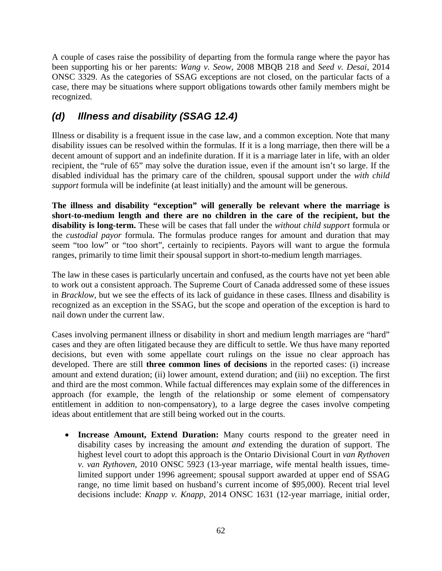A couple of cases raise the possibility of departing from the formula range where the payor has been supporting his or her parents: *Wang v. Seow*, 2008 MBQB 218 and *Seed v. Desai*, 2014 ONSC 3329. As the categories of SSAG exceptions are not closed, on the particular facts of a case, there may be situations where support obligations towards other family members might be recognized.

# *(d) Illness and disability (SSAG 12.4)*

Illness or disability is a frequent issue in the case law, and a common exception. Note that many disability issues can be resolved within the formulas. If it is a long marriage, then there will be a decent amount of support and an indefinite duration. If it is a marriage later in life, with an older recipient, the "rule of 65" may solve the duration issue, even if the amount isn't so large. If the disabled individual has the primary care of the children, spousal support under the *with child support* formula will be indefinite (at least initially) and the amount will be generous.

**The illness and disability "exception" will generally be relevant where the marriage is short-to-medium length and there are no children in the care of the recipient, but the disability is long-term.** These will be cases that fall under the *without child support* formula or the *custodial payor* formula. The formulas produce ranges for amount and duration that may seem "too low" or "too short", certainly to recipients. Payors will want to argue the formula ranges, primarily to time limit their spousal support in short-to-medium length marriages.

The law in these cases is particularly uncertain and confused, as the courts have not yet been able to work out a consistent approach. The Supreme Court of Canada addressed some of these issues in *Bracklow*, but we see the effects of its lack of guidance in these cases. Illness and disability is recognized as an exception in the SSAG, but the scope and operation of the exception is hard to nail down under the current law.

Cases involving permanent illness or disability in short and medium length marriages are "hard" cases and they are often litigated because they are difficult to settle. We thus have many reported decisions, but even with some appellate court rulings on the issue no clear approach has developed. There are still **three common lines of decisions** in the reported cases: (i) increase amount and extend duration; (ii) lower amount, extend duration; and (iii) no exception. The first and third are the most common. While factual differences may explain some of the differences in approach (for example, the length of the relationship or some element of compensatory entitlement in addition to non-compensatory), to a large degree the cases involve competing ideas about entitlement that are still being worked out in the courts.

 **Increase Amount, Extend Duration:** Many courts respond to the greater need in disability cases by increasing the amount *and* extending the duration of support. The highest level court to adopt this approach is the Ontario Divisional Court in *van Rythoven v. van Rythoven*, 2010 ONSC 5923 (13-year marriage, wife mental health issues, timelimited support under 1996 agreement; spousal support awarded at upper end of SSAG range, no time limit based on husband's current income of \$95,000). Recent trial level decisions include: *Knapp v. Knapp*, 2014 ONSC 1631 (12-year marriage, initial order,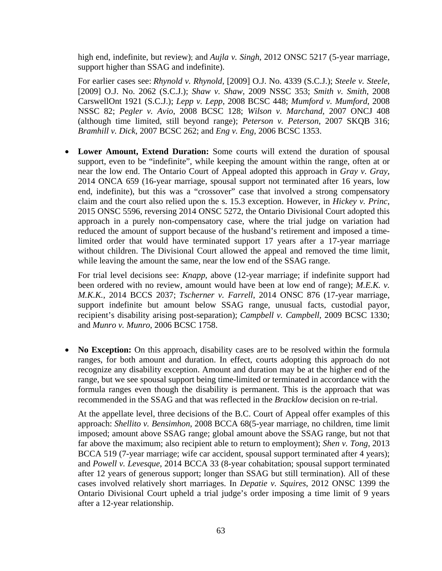high end, indefinite, but review); and *Aujla v. Singh*, 2012 ONSC 5217 (5-year marriage, support higher than SSAG and indefinite).

For earlier cases see: *Rhynold v. Rhynold*, [2009] O.J. No. 4339 (S.C.J.); *Steele v. Steele*, [2009] O.J. No. 2062 (S.C.J.); *Shaw v. Shaw*, 2009 NSSC 353; *Smith v. Smith*, 2008 CarswellOnt 1921 (S.C.J.); *Lepp v. Lepp*, 2008 BCSC 448; *Mumford v. Mumford*, 2008 NSSC 82; *Pegler v. Avio*, 2008 BCSC 128; *Wilson v. Marchand*, 2007 ONCJ 408 (although time limited, still beyond range); *Peterson v. Peterson*, 2007 SKQB 316; *Bramhill v. Dick*, 2007 BCSC 262; and *Eng v. Eng*, 2006 BCSC 1353.

 **Lower Amount, Extend Duration:** Some courts will extend the duration of spousal support, even to be "indefinite", while keeping the amount within the range, often at or near the low end. The Ontario Court of Appeal adopted this approach in *Gray v. Gray*, 2014 ONCA 659 (16-year marriage, spousal support not terminated after 16 years, low end, indefinite), but this was a "crossover" case that involved a strong compensatory claim and the court also relied upon the s. 15.3 exception. However, in *Hickey v. Princ*, 2015 ONSC 5596, reversing 2014 ONSC 5272, the Ontario Divisional Court adopted this approach in a purely non-compensatory case, where the trial judge on variation had reduced the amount of support because of the husband's retirement and imposed a timelimited order that would have terminated support 17 years after a 17-year marriage without children. The Divisional Court allowed the appeal and removed the time limit, while leaving the amount the same, near the low end of the SSAG range.

For trial level decisions see: *Knapp*, above (12-year marriage; if indefinite support had been ordered with no review, amount would have been at low end of range); *M.E.K. v. M.K.K.*, 2014 BCCS 2037; *Tscherner v. Farrell*, 2014 ONSC 876 (17-year marriage, support indefinite but amount below SSAG range, unusual facts, custodial payor, recipient's disability arising post-separation); *Campbell v. Campbell*, 2009 BCSC 1330; and *Munro v. Munro*, 2006 BCSC 1758.

 **No Exception:** On this approach, disability cases are to be resolved within the formula ranges, for both amount and duration. In effect, courts adopting this approach do not recognize any disability exception. Amount and duration may be at the higher end of the range, but we see spousal support being time-limited or terminated in accordance with the formula ranges even though the disability is permanent. This is the approach that was recommended in the SSAG and that was reflected in the *Bracklow* decision on re-trial.

At the appellate level, three decisions of the B.C. Court of Appeal offer examples of this approach: *Shellito v. Bensimhon*, 2008 BCCA 68(5-year marriage, no children, time limit imposed; amount above SSAG range; global amount above the SSAG range, but not that far above the maximum; also recipient able to return to employment); *Shen v. Tong*, 2013 BCCA 519 (7-year marriage; wife car accident, spousal support terminated after 4 years); and *Powell v. Levesque*, 2014 BCCA 33 (8-year cohabitation; spousal support terminated after 12 years of generous support; longer than SSAG but still termination). All of these cases involved relatively short marriages. In *Depatie v. Squires*, 2012 ONSC 1399 the Ontario Divisional Court upheld a trial judge's order imposing a time limit of 9 years after a 12-year relationship.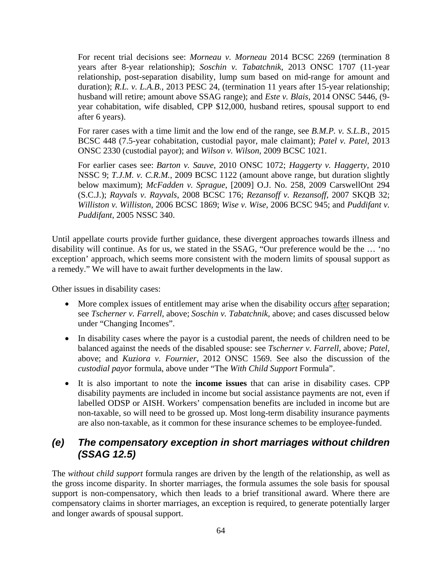For recent trial decisions see: *Morneau v. Morneau* 2014 BCSC 2269 (termination 8 years after 8-year relationship); *Soschin v. Tabatchnik*, 2013 ONSC 1707 (11-year relationship, post-separation disability, lump sum based on mid-range for amount and duration); *R.L. v. L.A.B.*, 2013 PESC 24, (termination 11 years after 15-year relationship; husband will retire; amount above SSAG range); and *Este v. Blais*, 2014 ONSC 5446, (9 year cohabitation, wife disabled, CPP \$12,000, husband retires, spousal support to end after 6 years).

For rarer cases with a time limit and the low end of the range, see *B.M.P. v. S.L.B*., 2015 BCSC 448 (7.5-year cohabitation, custodial payor, male claimant); *Patel v. Patel*, 2013 ONSC 2330 (custodial payor); and *Wilson v. Wilson*, 2009 BCSC 1021.

For earlier cases see: *Barton v. Sauve*, 2010 ONSC 1072; *Haggerty v. Haggerty*, 2010 NSSC 9; *T.J.M. v. C.R.M.*, 2009 BCSC 1122 (amount above range, but duration slightly below maximum); *McFadden v. Sprague*, [2009] O.J. No. 258, 2009 CarswellOnt 294 (S.C.J.); *Rayvals v. Rayvals*, 2008 BCSC 176; *Rezansoff v. Rezansoff*, 2007 SKQB 32; *Williston v. Williston*, 2006 BCSC 1869; *Wise v. Wise*, 2006 BCSC 945; and *Puddifant v. Puddifant*, 2005 NSSC 340.

Until appellate courts provide further guidance, these divergent approaches towards illness and disability will continue. As for us, we stated in the SSAG, "Our preference would be the … 'no exception' approach, which seems more consistent with the modern limits of spousal support as a remedy." We will have to await further developments in the law.

Other issues in disability cases:

- More complex issues of entitlement may arise when the disability occurs after separation; see *Tscherner v. Farrell*, above; *Soschin v. Tabatchnik,* above; and cases discussed below under "Changing Incomes".
- In disability cases where the payor is a custodial parent, the needs of children need to be balanced against the needs of the disabled spouse: see *Tscherner v. Farrell*, above*; Patel,*  above; and *Kuziora v. Fournier*, 2012 ONSC 1569. See also the discussion of the *custodial payor* formula, above under "The *With Child Support* Formula".
- It is also important to note the **income issues** that can arise in disability cases. CPP disability payments are included in income but social assistance payments are not, even if labelled ODSP or AISH. Workers' compensation benefits are included in income but are non-taxable, so will need to be grossed up. Most long-term disability insurance payments are also non-taxable, as it common for these insurance schemes to be employee-funded.

### *(e) The compensatory exception in short marriages without children (SSAG 12.5)*

The *without child support* formula ranges are driven by the length of the relationship, as well as the gross income disparity. In shorter marriages, the formula assumes the sole basis for spousal support is non-compensatory, which then leads to a brief transitional award. Where there are compensatory claims in shorter marriages, an exception is required, to generate potentially larger and longer awards of spousal support.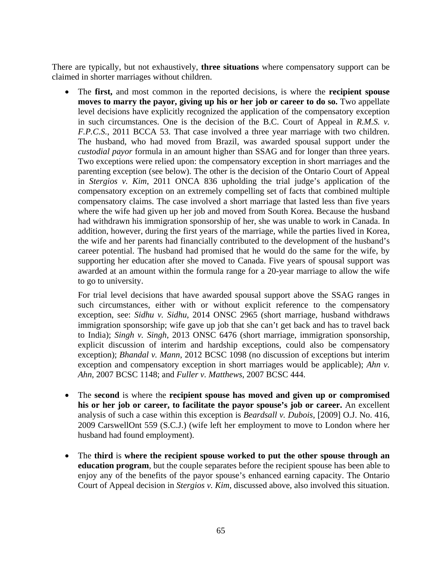There are typically, but not exhaustively, **three situations** where compensatory support can be claimed in shorter marriages without children.

 The **first,** and most common in the reported decisions, is where the **recipient spouse moves to marry the payor, giving up his or her job or career to do so.** Two appellate level decisions have explicitly recognized the application of the compensatory exception in such circumstances. One is the decision of the B.C. Court of Appeal in *R.M.S. v. F.P.C.S.*, 2011 BCCA 53. That case involved a three year marriage with two children. The husband, who had moved from Brazil, was awarded spousal support under the *custodial payor* formula in an amount higher than SSAG and for longer than three years. Two exceptions were relied upon: the compensatory exception in short marriages and the parenting exception (see below). The other is the decision of the Ontario Court of Appeal in *Stergios v. Kim*, 2011 ONCA 836 upholding the trial judge's application of the compensatory exception on an extremely compelling set of facts that combined multiple compensatory claims. The case involved a short marriage that lasted less than five years where the wife had given up her job and moved from South Korea. Because the husband had withdrawn his immigration sponsorship of her, she was unable to work in Canada. In addition, however, during the first years of the marriage, while the parties lived in Korea, the wife and her parents had financially contributed to the development of the husband's career potential. The husband had promised that he would do the same for the wife, by supporting her education after she moved to Canada. Five years of spousal support was awarded at an amount within the formula range for a 20-year marriage to allow the wife to go to university.

For trial level decisions that have awarded spousal support above the SSAG ranges in such circumstances, either with or without explicit reference to the compensatory exception, see: *Sidhu v. Sidhu*, 2014 ONSC 2965 (short marriage, husband withdraws immigration sponsorship; wife gave up job that she can't get back and has to travel back to India); *Singh v. Singh*, 2013 ONSC 6476 (short marriage, immigration sponsorship, explicit discussion of interim and hardship exceptions, could also be compensatory exception); *Bhandal v. Mann*, 2012 BCSC 1098 (no discussion of exceptions but interim exception and compensatory exception in short marriages would be applicable); *Ahn v. Ahn*, 2007 BCSC 1148; and *Fuller v. Matthews*, 2007 BCSC 444.

- The **second** is where the **recipient spouse has moved and given up or compromised his or her job or career, to facilitate the payor spouse's job or career.** An excellent analysis of such a case within this exception is *Beardsall v. Dubois*, [2009] O.J. No. 416, 2009 CarswellOnt 559 (S.C.J.) (wife left her employment to move to London where her husband had found employment).
- The **third** is **where the recipient spouse worked to put the other spouse through an education program**, but the couple separates before the recipient spouse has been able to enjoy any of the benefits of the payor spouse's enhanced earning capacity. The Ontario Court of Appeal decision in *Stergios v. Kim*, discussed above, also involved this situation.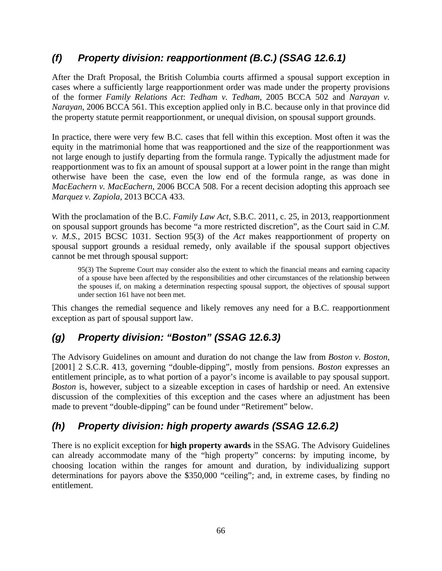## *(f) Property division: reapportionment (B.C.) (SSAG 12.6.1)*

After the Draft Proposal, the British Columbia courts affirmed a spousal support exception in cases where a sufficiently large reapportionment order was made under the property provisions of the former *Family Relations Act*: *Tedham v. Tedham*, 2005 BCCA 502 and *Narayan v. Narayan*, 2006 BCCA 561. This exception applied only in B.C. because only in that province did the property statute permit reapportionment, or unequal division, on spousal support grounds.

In practice, there were very few B.C. cases that fell within this exception. Most often it was the equity in the matrimonial home that was reapportioned and the size of the reapportionment was not large enough to justify departing from the formula range. Typically the adjustment made for reapportionment was to fix an amount of spousal support at a lower point in the range than might otherwise have been the case, even the low end of the formula range, as was done in *MacEachern v. MacEachern*, 2006 BCCA 508. For a recent decision adopting this approach see *Marquez v. Zapiola*, 2013 BCCA 433.

With the proclamation of the B.C. *Family Law Act*, S.B.C. 2011, c. 25, in 2013, reapportionment on spousal support grounds has become "a more restricted discretion", as the Court said in *C.M. v. M.S.*, 2015 BCSC 1031. Section 95(3) of the *Act* makes reapportionment of property on spousal support grounds a residual remedy, only available if the spousal support objectives cannot be met through spousal support:

95(3) The Supreme Court may consider also the extent to which the financial means and earning capacity of a spouse have been affected by the responsibilities and other circumstances of the relationship between the spouses if, on making a determination respecting spousal support, the objectives of spousal support under section 161 have not been met.

This changes the remedial sequence and likely removes any need for a B.C. reapportionment exception as part of spousal support law.

## *(g) Property division: "Boston" (SSAG 12.6.3)*

The Advisory Guidelines on amount and duration do not change the law from *Boston v. Boston*, [2001] 2 S.C.R. 413, governing "double-dipping", mostly from pensions. *Boston* expresses an entitlement principle, as to what portion of a payor's income is available to pay spousal support. *Boston* is, however, subject to a sizeable exception in cases of hardship or need. An extensive discussion of the complexities of this exception and the cases where an adjustment has been made to prevent "double-dipping" can be found under "Retirement" below.

## *(h) Property division: high property awards (SSAG 12.6.2)*

There is no explicit exception for **high property awards** in the SSAG. The Advisory Guidelines can already accommodate many of the "high property" concerns: by imputing income, by choosing location within the ranges for amount and duration, by individualizing support determinations for payors above the \$350,000 "ceiling"; and, in extreme cases, by finding no entitlement.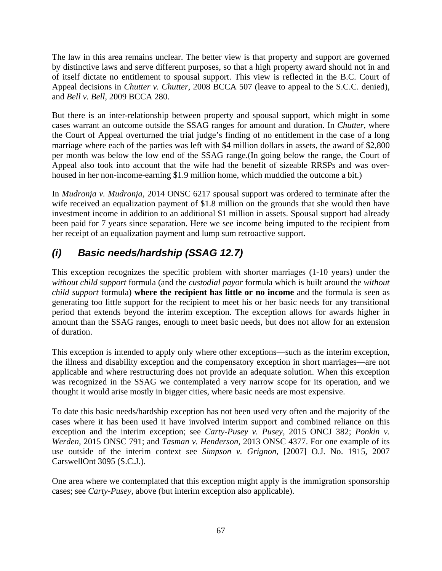The law in this area remains unclear. The better view is that property and support are governed by distinctive laws and serve different purposes, so that a high property award should not in and of itself dictate no entitlement to spousal support. This view is reflected in the B.C. Court of Appeal decisions in *Chutter v. Chutter*, 2008 BCCA 507 (leave to appeal to the S.C.C. denied), and *Bell v. Bell*, 2009 BCCA 280.

But there is an inter-relationship between property and spousal support, which might in some cases warrant an outcome outside the SSAG ranges for amount and duration. In *Chutter*, where the Court of Appeal overturned the trial judge's finding of no entitlement in the case of a long marriage where each of the parties was left with \$4 million dollars in assets, the award of \$2,800 per month was below the low end of the SSAG range.(In going below the range, the Court of Appeal also took into account that the wife had the benefit of sizeable RRSPs and was overhoused in her non-income-earning \$1.9 million home, which muddied the outcome a bit.)

In *Mudronja v. Mudronja,* 2014 ONSC 6217 spousal support was ordered to terminate after the wife received an equalization payment of \$1.8 million on the grounds that she would then have investment income in addition to an additional \$1 million in assets. Spousal support had already been paid for 7 years since separation. Here we see income being imputed to the recipient from her receipt of an equalization payment and lump sum retroactive support.

## *(i) Basic needs/hardship (SSAG 12.7)*

This exception recognizes the specific problem with shorter marriages (1-10 years) under the *without child support* formula (and the *custodial payor* formula which is built around the *without child support* formula) **where the recipient has little or no income** and the formula is seen as generating too little support for the recipient to meet his or her basic needs for any transitional period that extends beyond the interim exception. The exception allows for awards higher in amount than the SSAG ranges, enough to meet basic needs, but does not allow for an extension of duration.

This exception is intended to apply only where other exceptions—such as the interim exception, the illness and disability exception and the compensatory exception in short marriages—are not applicable and where restructuring does not provide an adequate solution. When this exception was recognized in the SSAG we contemplated a very narrow scope for its operation, and we thought it would arise mostly in bigger cities, where basic needs are most expensive.

To date this basic needs/hardship exception has not been used very often and the majority of the cases where it has been used it have involved interim support and combined reliance on this exception and the interim exception; see *Carty-Pusey v. Pusey*, 2015 ONCJ 382; *Ponkin v. Werden,* 2015 ONSC 791; and *Tasman v. Henderson*, 2013 ONSC 4377. For one example of its use outside of the interim context see *Simpson v. Grignon,* [2007] O.J. No. 1915, 2007 CarswellOnt 3095 (S.C.J.).

One area where we contemplated that this exception might apply is the immigration sponsorship cases; see *Carty-Pusey,* above (but interim exception also applicable).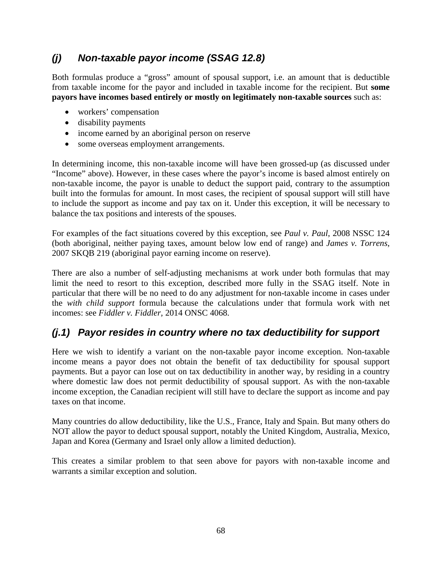## *(j) Non-taxable payor income (SSAG 12.8)*

Both formulas produce a "gross" amount of spousal support, i.e. an amount that is deductible from taxable income for the payor and included in taxable income for the recipient. But **some payors have incomes based entirely or mostly on legitimately non-taxable sources** such as:

- workers' compensation
- disability payments
- income earned by an aboriginal person on reserve
- some overseas employment arrangements.

In determining income, this non-taxable income will have been grossed-up (as discussed under "Income" above). However, in these cases where the payor's income is based almost entirely on non-taxable income, the payor is unable to deduct the support paid, contrary to the assumption built into the formulas for amount. In most cases, the recipient of spousal support will still have to include the support as income and pay tax on it. Under this exception, it will be necessary to balance the tax positions and interests of the spouses.

For examples of the fact situations covered by this exception, see *Paul v. Paul*, 2008 NSSC 124 (both aboriginal, neither paying taxes, amount below low end of range) and *James v. Torrens*, 2007 SKQB 219 (aboriginal payor earning income on reserve).

There are also a number of self-adjusting mechanisms at work under both formulas that may limit the need to resort to this exception, described more fully in the SSAG itself. Note in particular that there will be no need to do any adjustment for non-taxable income in cases under the *with child support* formula because the calculations under that formula work with net incomes: see *Fiddler v. Fiddler,* 2014 ONSC 4068.

## *(j.1) Payor resides in country where no tax deductibility for support*

Here we wish to identify a variant on the non-taxable payor income exception. Non-taxable income means a payor does not obtain the benefit of tax deductibility for spousal support payments. But a payor can lose out on tax deductibility in another way, by residing in a country where domestic law does not permit deductibility of spousal support. As with the non-taxable income exception, the Canadian recipient will still have to declare the support as income and pay taxes on that income.

Many countries do allow deductibility, like the U.S., France, Italy and Spain. But many others do NOT allow the payor to deduct spousal support, notably the United Kingdom, Australia, Mexico, Japan and Korea (Germany and Israel only allow a limited deduction).

This creates a similar problem to that seen above for payors with non-taxable income and warrants a similar exception and solution.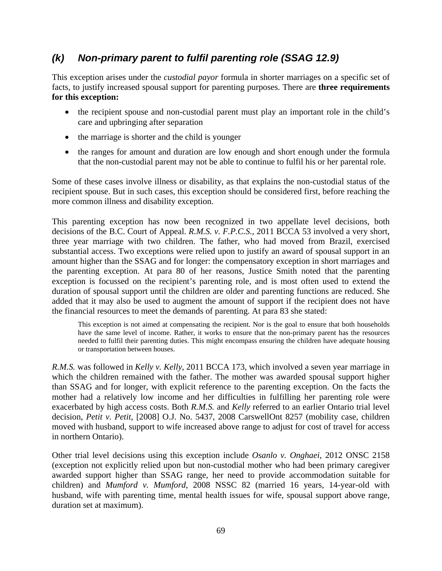## *(k) Non-primary parent to fulfil parenting role (SSAG 12.9)*

This exception arises under the *custodial payor* formula in shorter marriages on a specific set of facts, to justify increased spousal support for parenting purposes. There are **three requirements for this exception:**

- the recipient spouse and non-custodial parent must play an important role in the child's care and upbringing after separation
- the marriage is shorter and the child is younger
- the ranges for amount and duration are low enough and short enough under the formula that the non-custodial parent may not be able to continue to fulfil his or her parental role.

Some of these cases involve illness or disability, as that explains the non-custodial status of the recipient spouse. But in such cases, this exception should be considered first, before reaching the more common illness and disability exception.

This parenting exception has now been recognized in two appellate level decisions, both decisions of the B.C. Court of Appeal. *R.M.S. v. F.P.C.S.*, 2011 BCCA 53 involved a very short, three year marriage with two children. The father, who had moved from Brazil, exercised substantial access. Two exceptions were relied upon to justify an award of spousal support in an amount higher than the SSAG and for longer: the compensatory exception in short marriages and the parenting exception. At para 80 of her reasons, Justice Smith noted that the parenting exception is focussed on the recipient's parenting role, and is most often used to extend the duration of spousal support until the children are older and parenting functions are reduced. She added that it may also be used to augment the amount of support if the recipient does not have the financial resources to meet the demands of parenting. At para 83 she stated:

This exception is not aimed at compensating the recipient. Nor is the goal to ensure that both households have the same level of income. Rather, it works to ensure that the non-primary parent has the resources needed to fulfil their parenting duties. This might encompass ensuring the children have adequate housing or transportation between houses.

*R.M.S.* was followed in *Kelly v. Kelly*, 2011 BCCA 173, which involved a seven year marriage in which the children remained with the father. The mother was awarded spousal support higher than SSAG and for longer, with explicit reference to the parenting exception. On the facts the mother had a relatively low income and her difficulties in fulfilling her parenting role were exacerbated by high access costs. Both *R.M.S.* and *Kelly* referred to an earlier Ontario trial level decision, *Petit v. Petit*, [2008] O.J. No. 5437, 2008 CarswellOnt 8257 (mobility case, children moved with husband, support to wife increased above range to adjust for cost of travel for access in northern Ontario).

Other trial level decisions using this exception include *Osanlo v. Onghaei*, 2012 ONSC 2158 (exception not explicitly relied upon but non-custodial mother who had been primary caregiver awarded support higher than SSAG range, her need to provide accommodation suitable for children) and *Mumford v. Mumford*, 2008 NSSC 82 (married 16 years, 14-year-old with husband, wife with parenting time, mental health issues for wife, spousal support above range, duration set at maximum).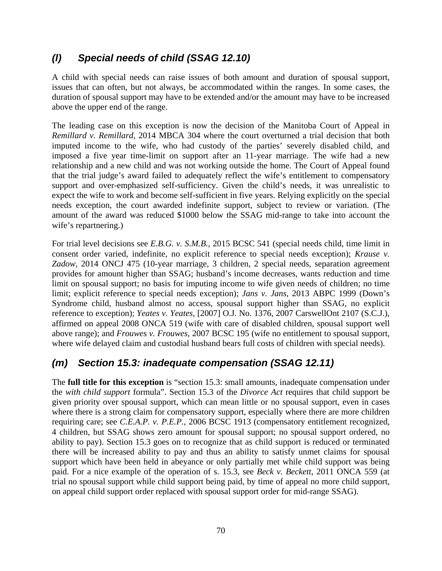## *(l) Special needs of child (SSAG 12.10)*

A child with special needs can raise issues of both amount and duration of spousal support, issues that can often, but not always, be accommodated within the ranges. In some cases, the duration of spousal support may have to be extended and/or the amount may have to be increased above the upper end of the range.

The leading case on this exception is now the decision of the Manitoba Court of Appeal in *Remillard v. Remillard*, 2014 MBCA 304 where the court overturned a trial decision that both imputed income to the wife, who had custody of the parties' severely disabled child, and imposed a five year time-limit on support after an 11-year marriage. The wife had a new relationship and a new child and was not working outside the home. The Court of Appeal found that the trial judge's award failed to adequately reflect the wife's entitlement to compensatory support and over-emphasized self-sufficiency. Given the child's needs, it was unrealistic to expect the wife to work and become self-sufficient in five years. Relying explicitly on the special needs exception, the court awarded indefinite support, subject to review or variation. (The amount of the award was reduced \$1000 below the SSAG mid-range to take into account the wife's repartnering.)

For trial level decisions see *E.B.G. v. S.M.B.*, 2015 BCSC 541 (special needs child, time limit in consent order varied, indefinite, no explicit reference to special needs exception); *Krause v. Zadow*, 2014 ONCJ 475 (10-year marriage, 3 children, 2 special needs, separation agreement provides for amount higher than SSAG; husband's income decreases, wants reduction and time limit on spousal support; no basis for imputing income to wife given needs of children; no time limit; explicit reference to special needs exception); *Jans v. Jans*, 2013 ABPC 1999 (Down's Syndrome child, husband almost no access, spousal support higher than SSAG, no explicit reference to exception); *Yeates v. Yeates*, [2007] O.J. No. 1376, 2007 CarswellOnt 2107 (S.C.J.), affirmed on appeal 2008 ONCA 519 (wife with care of disabled children, spousal support well above range); and *Frouwes v. Frouwes*, 2007 BCSC 195 (wife no entitlement to spousal support, where wife delayed claim and custodial husband bears full costs of children with special needs).

### *(m) Section 15.3: inadequate compensation (SSAG 12.11)*

The **full title for this exception** is "section 15.3: small amounts, inadequate compensation under the *with child support* formula". Section 15.3 of the *Divorce Act* requires that child support be given priority over spousal support, which can mean little or no spousal support, even in cases where there is a strong claim for compensatory support, especially where there are more children requiring care; see *C.E.A.P. v. P.E.P.*, 2006 BCSC 1913 (compensatory entitlement recognized, 4 children, but SSAG shows zero amount for spousal support; no spousal support ordered, no ability to pay). Section 15.3 goes on to recognize that as child support is reduced or terminated there will be increased ability to pay and thus an ability to satisfy unmet claims for spousal support which have been held in abeyance or only partially met while child support was being paid. For a nice example of the operation of s. 15.3, see *Beck v. Beckett*, 2011 ONCA 559 (at trial no spousal support while child support being paid, by time of appeal no more child support, on appeal child support order replaced with spousal support order for mid-range SSAG).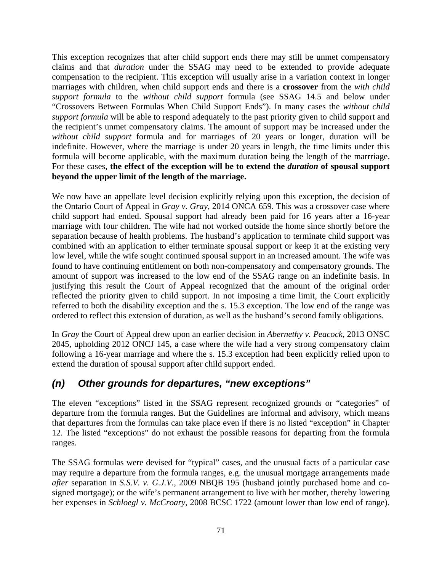This exception recognizes that after child support ends there may still be unmet compensatory claims and that *duration* under the SSAG may need to be extended to provide adequate compensation to the recipient. This exception will usually arise in a variation context in longer marriages with children, when child support ends and there is a **crossover** from the *with child support formula* to the *without child support* formula (see SSAG 14.5 and below under "Crossovers Between Formulas When Child Support Ends"). In many cases the *without child support formula* will be able to respond adequately to the past priority given to child support and the recipient's unmet compensatory claims. The amount of support may be increased under the *without child support* formula and for marriages of 20 years or longer, duration will be indefinite. However, where the marriage is under 20 years in length, the time limits under this formula will become applicable, with the maximum duration being the length of the marrriage. For these cases, **the effect of the exception will be to extend the** *duration* **of spousal support beyond the upper limit of the length of the marriage.** 

We now have an appellate level decision explicitly relying upon this exception, the decision of the Ontario Court of Appeal in *Gray v. Gray,* 2014 ONCA 659. This was a crossover case where child support had ended. Spousal support had already been paid for 16 years after a 16-year marriage with four children. The wife had not worked outside the home since shortly before the separation because of health problems. The husband's application to terminate child support was combined with an application to either terminate spousal support or keep it at the existing very low level, while the wife sought continued spousal support in an increased amount. The wife was found to have continuing entitlement on both non-compensatory and compensatory grounds. The amount of support was increased to the low end of the SSAG range on an indefinite basis. In justifying this result the Court of Appeal recognized that the amount of the original order reflected the priority given to child support. In not imposing a time limit, the Court explicitly referred to both the disability exception and the s. 15.3 exception. The low end of the range was ordered to reflect this extension of duration, as well as the husband's second family obligations.

In *Gray* the Court of Appeal drew upon an earlier decision in *Abernethy v. Peacock*, 2013 ONSC 2045, upholding 2012 ONCJ 145, a case where the wife had a very strong compensatory claim following a 16-year marriage and where the s. 15.3 exception had been explicitly relied upon to extend the duration of spousal support after child support ended.

### *(n) Other grounds for departures, "new exceptions"*

The eleven "exceptions" listed in the SSAG represent recognized grounds or "categories" of departure from the formula ranges. But the Guidelines are informal and advisory, which means that departures from the formulas can take place even if there is no listed "exception" in Chapter 12. The listed "exceptions" do not exhaust the possible reasons for departing from the formula ranges.

The SSAG formulas were devised for "typical" cases, and the unusual facts of a particular case may require a departure from the formula ranges, e.g. the unusual mortgage arrangements made *after* separation in *S.S.V. v. G.J.V.*, 2009 NBQB 195 (husband jointly purchased home and cosigned mortgage); or the wife's permanent arrangement to live with her mother, thereby lowering her expenses in *Schloegl v. McCroary*, 2008 BCSC 1722 (amount lower than low end of range).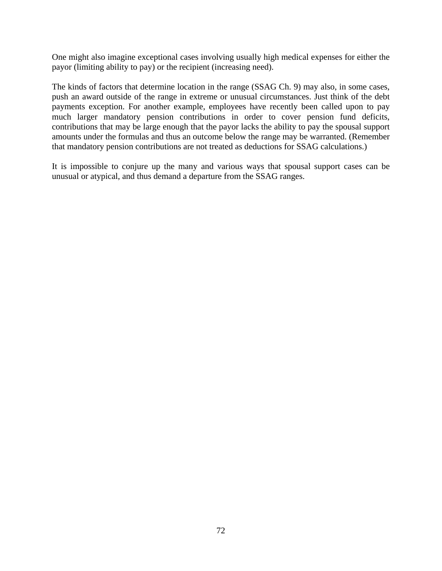One might also imagine exceptional cases involving usually high medical expenses for either the payor (limiting ability to pay) or the recipient (increasing need).

The kinds of factors that determine location in the range (SSAG Ch. 9) may also, in some cases, push an award outside of the range in extreme or unusual circumstances. Just think of the debt payments exception. For another example, employees have recently been called upon to pay much larger mandatory pension contributions in order to cover pension fund deficits, contributions that may be large enough that the payor lacks the ability to pay the spousal support amounts under the formulas and thus an outcome below the range may be warranted. (Remember that mandatory pension contributions are not treated as deductions for SSAG calculations.)

It is impossible to conjure up the many and various ways that spousal support cases can be unusual or atypical, and thus demand a departure from the SSAG ranges.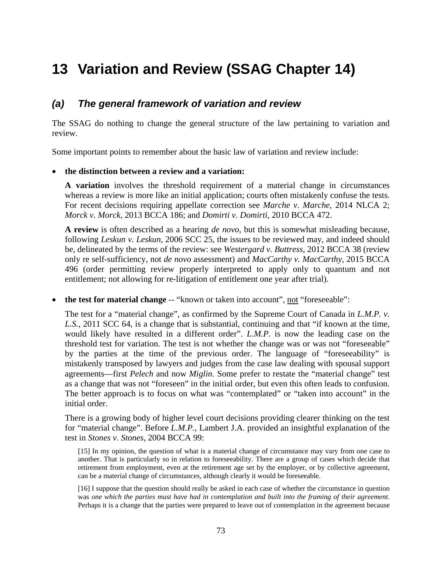# **13 Variation and Review (SSAG Chapter 14)**

#### *(a) The general framework of variation and review*

The SSAG do nothing to change the general structure of the law pertaining to variation and review.

Some important points to remember about the basic law of variation and review include:

#### **the distinction between a review and a variation:**

**A variation** involves the threshold requirement of a material change in circumstances whereas a review is more like an initial application; courts often mistakenly confuse the tests. For recent decisions requiring appellate correction see *Marche v. Marche,* 2014 NLCA 2; *Morck v. Morck*, 2013 BCCA 186; and *Domirti v. Domirti*, 2010 BCCA 472.

**A review** is often described as a hearing *de novo*, but this is somewhat misleading because, following *Leskun v. Leskun*, 2006 SCC 25, the issues to be reviewed may, and indeed should be, delineated by the terms of the review: see *Westergard v. Buttress*, 2012 BCCA 38 (review only re self-sufficiency, not *de novo* assessment) and *MacCarthy v. MacCarthy*, 2015 BCCA 496 (order permitting review properly interpreted to apply only to quantum and not entitlement; not allowing for re-litigation of entitlement one year after trial).

• **the test for material change** -- "known or taken into account", not "foreseeable":

The test for a "material change", as confirmed by the Supreme Court of Canada in *L.M.P. v. L.S.*, 2011 SCC 64, is a change that is substantial, continuing and that "if known at the time, would likely have resulted in a different order". *L.M.P.* is now the leading case on the threshold test for variation. The test is not whether the change was or was not "foreseeable" by the parties at the time of the previous order. The language of "foreseeability" is mistakenly transposed by lawyers and judges from the case law dealing with spousal support agreements—first *Pelech* and now *Miglin*. Some prefer to restate the "material change" test as a change that was not "foreseen" in the initial order, but even this often leads to confusion. The better approach is to focus on what was "contemplated" or "taken into account" in the initial order.

There is a growing body of higher level court decisions providing clearer thinking on the test for "material change". Before *L.M.P.*, Lambert J.A. provided an insightful explanation of the test in *Stones v. Stones,* 2004 BCCA 99:

[15] In my opinion, the question of what is a material change of circumstance may vary from one case to another. That is particularly so in relation to foreseeability. There are a group of cases which decide that retirement from employment, even at the retirement age set by the employer, or by collective agreement, can be a material change of circumstances, although clearly it would be foreseeable.

[16] I suppose that the question should really be asked in each case of whether the circumstance in question was *one which the parties must have had in contemplation and built into the framing of their agreement*. Perhaps it is a change that the parties were prepared to leave out of contemplation in the agreement because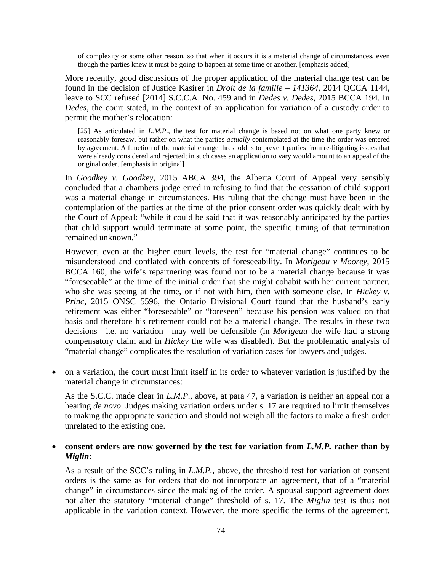of complexity or some other reason, so that when it occurs it is a material change of circumstances, even though the parties knew it must be going to happen at some time or another. [emphasis added]

More recently, good discussions of the proper application of the material change test can be found in the decision of Justice Kasirer in *Droit de la famille – 141364,* 2014 QCCA 1144, leave to SCC refused [2014] S.C.C.A. No. 459 and in *Dedes v. Dedes,* 2015 BCCA 194. In *Dedes*, the court stated, in the context of an application for variation of a custody order to permit the mother's relocation:

[25] As articulated in *L.M.P.*, the test for material change is based not on what one party knew or reasonably foresaw, but rather on what the parties *actually* contemplated at the time the order was entered by agreement. A function of the material change threshold is to prevent parties from re-litigating issues that were already considered and rejected; in such cases an application to vary would amount to an appeal of the original order. [emphasis in original]

In *Goodkey v. Goodkey,* 2015 ABCA 394, the Alberta Court of Appeal very sensibly concluded that a chambers judge erred in refusing to find that the cessation of child support was a material change in circumstances. His ruling that the change must have been in the contemplation of the parties at the time of the prior consent order was quickly dealt with by the Court of Appeal: "while it could be said that it was reasonably anticipated by the parties that child support would terminate at some point, the specific timing of that termination remained unknown."

However, even at the higher court levels, the test for "material change" continues to be misunderstood and conflated with concepts of foreseeability. In *Morigeau v Moorey*, 2015 BCCA 160, the wife's repartnering was found not to be a material change because it was "foreseeable" at the time of the initial order that she might cohabit with her current partner, who she was seeing at the time, or if not with him, then with someone else. In *Hickey v. Princ*, 2015 ONSC 5596, the Ontario Divisional Court found that the husband's early retirement was either "foreseeable" or "foreseen" because his pension was valued on that basis and therefore his retirement could not be a material change. The results in these two decisions—i.e. no variation—may well be defensible (in *Morigeau* the wife had a strong compensatory claim and in *Hickey* the wife was disabled). But the problematic analysis of "material change" complicates the resolution of variation cases for lawyers and judges.

 on a variation, the court must limit itself in its order to whatever variation is justified by the material change in circumstances:

As the S.C.C. made clear in *L.M.P*., above, at para 47, a variation is neither an appeal nor a hearing *de novo*. Judges making variation orders under s. 17 are required to limit themselves to making the appropriate variation and should not weigh all the factors to make a fresh order unrelated to the existing one.

#### **consent orders are now governed by the test for variation from** *L.M.P.* **rather than by**  *Miglin***:**

As a result of the SCC's ruling in *L.M.P.*, above, the threshold test for variation of consent orders is the same as for orders that do not incorporate an agreement, that of a "material change" in circumstances since the making of the order. A spousal support agreement does not alter the statutory "material change" threshold of s. 17. The *Miglin* test is thus not applicable in the variation context. However, the more specific the terms of the agreement,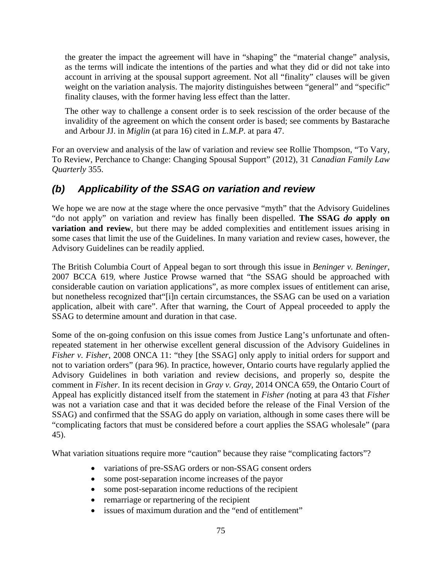the greater the impact the agreement will have in "shaping" the "material change" analysis, as the terms will indicate the intentions of the parties and what they did or did not take into account in arriving at the spousal support agreement. Not all "finality" clauses will be given weight on the variation analysis. The majority distinguishes between "general" and "specific" finality clauses, with the former having less effect than the latter.

The other way to challenge a consent order is to seek rescission of the order because of the invalidity of the agreement on which the consent order is based; see comments by Bastarache and Arbour JJ. in *Miglin* (at para 16) cited in *L.M.P.* at para 47.

For an overview and analysis of the law of variation and review see Rollie Thompson, "To Vary, To Review, Perchance to Change: Changing Spousal Support" (2012), 31 *Canadian Family Law Quarterly* 355.

## *(b) Applicability of the SSAG on variation and review*

We hope we are now at the stage where the once pervasive "myth" that the Advisory Guidelines "do not apply" on variation and review has finally been dispelled. **The SSAG** *do* **apply on variation and review**, but there may be added complexities and entitlement issues arising in some cases that limit the use of the Guidelines. In many variation and review cases, however, the Advisory Guidelines can be readily applied.

The British Columbia Court of Appeal began to sort through this issue in *Beninger v. Beninger*, 2007 BCCA 619, where Justice Prowse warned that "the SSAG should be approached with considerable caution on variation applications", as more complex issues of entitlement can arise, but nonetheless recognized that"[i]n certain circumstances, the SSAG can be used on a variation application, albeit with care". After that warning, the Court of Appeal proceeded to apply the SSAG to determine amount and duration in that case.

Some of the on-going confusion on this issue comes from Justice Lang's unfortunate and oftenrepeated statement in her otherwise excellent general discussion of the Advisory Guidelines in *Fisher v. Fisher*, 2008 ONCA 11: "they [the SSAG] only apply to initial orders for support and not to variation orders" (para 96). In practice, however, Ontario courts have regularly applied the Advisory Guidelines in both variation and review decisions, and properly so, despite the comment in *Fisher.* In its recent decision in *Gray v. Gray,* 2014 ONCA 659, the Ontario Court of Appeal has explicitly distanced itself from the statement in *Fisher (*noting at para 43 that *Fisher* was not a variation case and that it was decided before the release of the Final Version of the SSAG) and confirmed that the SSAG do apply on variation, although in some cases there will be "complicating factors that must be considered before a court applies the SSAG wholesale" (para 45).

What variation situations require more "caution" because they raise "complicating factors"?

- variations of pre-SSAG orders or non-SSAG consent orders
- some post-separation income increases of the payor
- some post-separation income reductions of the recipient
- remarriage or repartnering of the recipient
- issues of maximum duration and the "end of entitlement"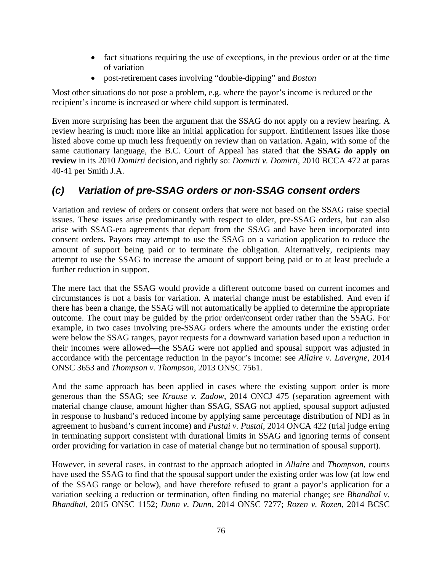- fact situations requiring the use of exceptions, in the previous order or at the time of variation
- post-retirement cases involving "double-dipping" and *Boston*

Most other situations do not pose a problem, e.g. where the payor's income is reduced or the recipient's income is increased or where child support is terminated.

Even more surprising has been the argument that the SSAG do not apply on a review hearing. A review hearing is much more like an initial application for support. Entitlement issues like those listed above come up much less frequently on review than on variation. Again, with some of the same cautionary language, the B.C. Court of Appeal has stated that **the SSAG** *do* **apply on review** in its 2010 *Domirti* decision, and rightly so: *Domirti v. Domirti*, 2010 BCCA 472 at paras 40‐41 per Smith J.A.

### *(c) Variation of pre-SSAG orders or non-SSAG consent orders*

Variation and review of orders or consent orders that were not based on the SSAG raise special issues. These issues arise predominantly with respect to older, pre-SSAG orders, but can also arise with SSAG-era agreements that depart from the SSAG and have been incorporated into consent orders. Payors may attempt to use the SSAG on a variation application to reduce the amount of support being paid or to terminate the obligation. Alternatively, recipients may attempt to use the SSAG to increase the amount of support being paid or to at least preclude a further reduction in support.

The mere fact that the SSAG would provide a different outcome based on current incomes and circumstances is not a basis for variation. A material change must be established. And even if there has been a change, the SSAG will not automatically be applied to determine the appropriate outcome. The court may be guided by the prior order/consent order rather than the SSAG. For example, in two cases involving pre-SSAG orders where the amounts under the existing order were below the SSAG ranges, payor requests for a downward variation based upon a reduction in their incomes were allowed—the SSAG were not applied and spousal support was adjusted in accordance with the percentage reduction in the payor's income: see *Allaire v. Lavergne*, 2014 ONSC 3653 and *Thompson v. Thompson*, 2013 ONSC 7561.

And the same approach has been applied in cases where the existing support order is more generous than the SSAG; see *Krause v. Zadow*, 2014 ONCJ 475 (separation agreement with material change clause, amount higher than SSAG, SSAG not applied, spousal support adjusted in response to husband's reduced income by applying same percentage distribution of NDI as in agreement to husband's current income) and *Pustai v. Pustai*, 2014 ONCA 422 (trial judge erring in terminating support consistent with durational limits in SSAG and ignoring terms of consent order providing for variation in case of material change but no termination of spousal support).

However, in several cases, in contrast to the approach adopted in *Allaire* and *Thompson*, courts have used the SSAG to find that the spousal support under the existing order was low (at low end of the SSAG range or below), and have therefore refused to grant a payor's application for a variation seeking a reduction or termination, often finding no material change; see *Bhandhal v. Bhandhal,* 2015 ONSC 1152; *Dunn v. Dunn,* 2014 ONSC 7277; *Rozen v. Rozen,* 2014 BCSC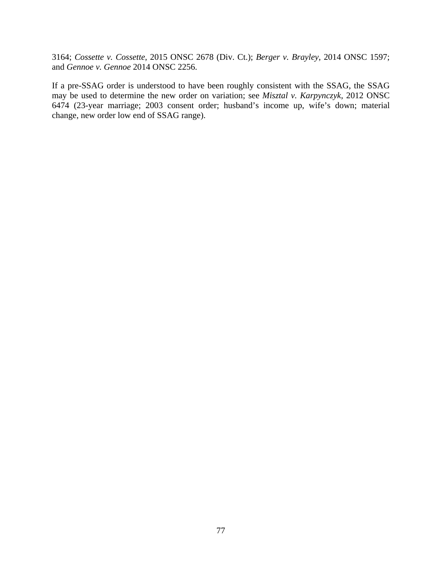3164; *Cossette v. Cossette*, 2015 ONSC 2678 (Div. Ct.); *Berger v. Brayley*, 2014 ONSC 1597; and *Gennoe v. Gennoe* 2014 ONSC 2256.

If a pre-SSAG order is understood to have been roughly consistent with the SSAG, the SSAG may be used to determine the new order on variation; see *Misztal v. Karpynczyk*, 2012 ONSC 6474 (23-year marriage; 2003 consent order; husband's income up, wife's down; material change, new order low end of SSAG range).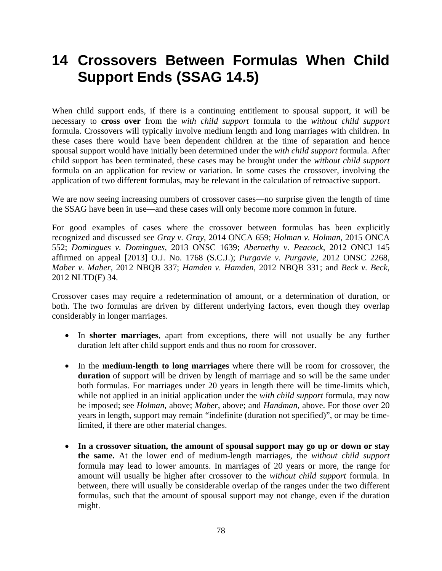# **14 Crossovers Between Formulas When Child Support Ends (SSAG 14.5)**

When child support ends, if there is a continuing entitlement to spousal support, it will be necessary to **cross over** from the *with child support* formula to the *without child support* formula. Crossovers will typically involve medium length and long marriages with children. In these cases there would have been dependent children at the time of separation and hence spousal support would have initially been determined under the *with child support* formula. After child support has been terminated, these cases may be brought under the *without child support* formula on an application for review or variation. In some cases the crossover, involving the application of two different formulas, may be relevant in the calculation of retroactive support.

We are now seeing increasing numbers of crossover cases—no surprise given the length of time the SSAG have been in use—and these cases will only become more common in future.

For good examples of cases where the crossover between formulas has been explicitly recognized and discussed see *Gray v. Gray*, 2014 ONCA 659; *Holman v. Holman*, 2015 ONCA 552; *Domingues v. Domingues*, 2013 ONSC 1639; *Abernethy v. Peacock*, 2012 ONCJ 145 affirmed on appeal [2013] O.J. No. 1768 (S.C.J.); *Purgavie v. Purgavie*, 2012 ONSC 2268, *Maber v. Maber*, 2012 NBQB 337; *Hamden v. Hamden*, 2012 NBQB 331; and *Beck v. Beck*, 2012 NLTD(F) 34.

Crossover cases may require a redetermination of amount, or a determination of duration, or both. The two formulas are driven by different underlying factors, even though they overlap considerably in longer marriages.

- In **shorter marriages**, apart from exceptions, there will not usually be any further duration left after child support ends and thus no room for crossover.
- In the **medium-length to long marriages** where there will be room for crossover, the **duration** of support will be driven by length of marriage and so will be the same under both formulas. For marriages under 20 years in length there will be time-limits which, while not applied in an initial application under the *with child support* formula, may now be imposed; see *Holman*, above; *Maber*, above; and *Handman*, above. For those over 20 years in length, support may remain "indefinite (duration not specified)", or may be timelimited, if there are other material changes.
- **In a crossover situation, the amount of spousal support may go up or down or stay the same.** At the lower end of medium-length marriages, the *without child support*  formula may lead to lower amounts. In marriages of 20 years or more, the range for amount will usually be higher after crossover to the *without child support* formula. In between, there will usually be considerable overlap of the ranges under the two different formulas, such that the amount of spousal support may not change, even if the duration might.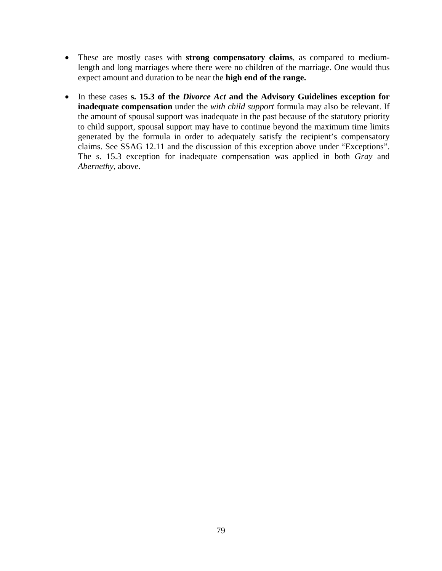- These are mostly cases with **strong compensatory claims**, as compared to mediumlength and long marriages where there were no children of the marriage. One would thus expect amount and duration to be near the **high end of the range.**
- In these cases **s. 15.3 of the** *Divorce Act* **and the Advisory Guidelines exception for inadequate compensation** under the *with child support* formula may also be relevant. If the amount of spousal support was inadequate in the past because of the statutory priority to child support, spousal support may have to continue beyond the maximum time limits generated by the formula in order to adequately satisfy the recipient's compensatory claims. See SSAG 12.11 and the discussion of this exception above under "Exceptions". The s. 15.3 exception for inadequate compensation was applied in both *Gray* and *Abernethy*, above.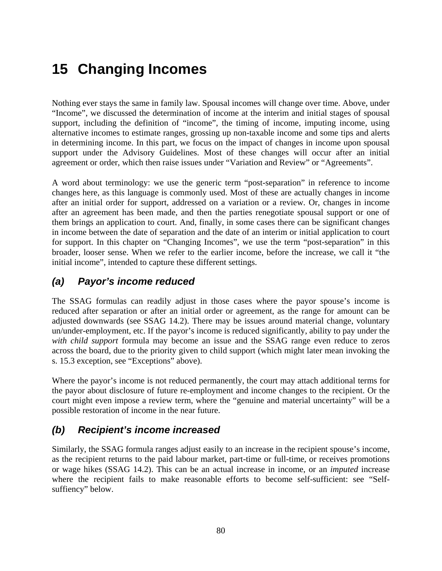# **15 Changing Incomes**

Nothing ever stays the same in family law. Spousal incomes will change over time. Above, under "Income", we discussed the determination of income at the interim and initial stages of spousal support, including the definition of "income", the timing of income, imputing income, using alternative incomes to estimate ranges, grossing up non-taxable income and some tips and alerts in determining income. In this part, we focus on the impact of changes in income upon spousal support under the Advisory Guidelines. Most of these changes will occur after an initial agreement or order, which then raise issues under "Variation and Review" or "Agreements".

A word about terminology: we use the generic term "post-separation" in reference to income changes here, as this language is commonly used. Most of these are actually changes in income after an initial order for support, addressed on a variation or a review. Or, changes in income after an agreement has been made, and then the parties renegotiate spousal support or one of them brings an application to court. And, finally, in some cases there can be significant changes in income between the date of separation and the date of an interim or initial application to court for support. In this chapter on "Changing Incomes", we use the term "post-separation" in this broader, looser sense. When we refer to the earlier income, before the increase, we call it "the initial income", intended to capture these different settings.

### *(a) Payor's income reduced*

The SSAG formulas can readily adjust in those cases where the payor spouse's income is reduced after separation or after an initial order or agreement, as the range for amount can be adjusted downwards (see SSAG 14.2). There may be issues around material change, voluntary un/under-employment, etc. If the payor's income is reduced significantly, ability to pay under the *with child support* formula may become an issue and the SSAG range even reduce to zeros across the board, due to the priority given to child support (which might later mean invoking the s. 15.3 exception, see "Exceptions" above).

Where the payor's income is not reduced permanently, the court may attach additional terms for the payor about disclosure of future re-employment and income changes to the recipient. Or the court might even impose a review term, where the "genuine and material uncertainty" will be a possible restoration of income in the near future.

### *(b) Recipient's income increased*

Similarly, the SSAG formula ranges adjust easily to an increase in the recipient spouse's income, as the recipient returns to the paid labour market, part-time or full-time, or receives promotions or wage hikes (SSAG 14.2). This can be an actual increase in income, or an *imputed* increase where the recipient fails to make reasonable efforts to become self-sufficient: see "Selfsuffiency" below.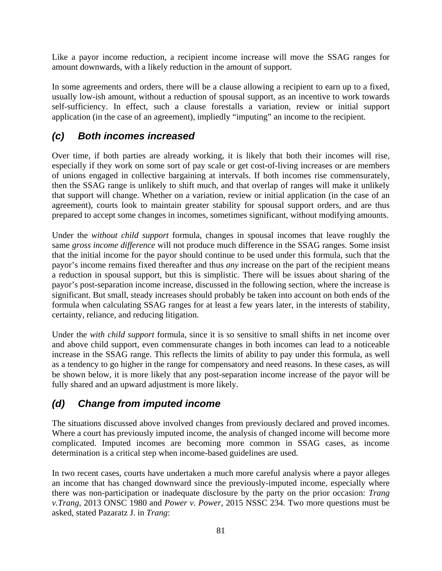Like a payor income reduction, a recipient income increase will move the SSAG ranges for amount downwards, with a likely reduction in the amount of support.

In some agreements and orders, there will be a clause allowing a recipient to earn up to a fixed, usually low-ish amount, without a reduction of spousal support, as an incentive to work towards self-sufficiency. In effect, such a clause forestalls a variation, review or initial support application (in the case of an agreement), impliedly "imputing" an income to the recipient.

## *(c) Both incomes increased*

Over time, if both parties are already working, it is likely that both their incomes will rise, especially if they work on some sort of pay scale or get cost-of-living increases or are members of unions engaged in collective bargaining at intervals. If both incomes rise commensurately, then the SSAG range is unlikely to shift much, and that overlap of ranges will make it unlikely that support will change. Whether on a variation, review or initial application (in the case of an agreement), courts look to maintain greater stability for spousal support orders, and are thus prepared to accept some changes in incomes, sometimes significant, without modifying amounts.

Under the *without child support* formula, changes in spousal incomes that leave roughly the same *gross income difference* will not produce much difference in the SSAG ranges. Some insist that the initial income for the payor should continue to be used under this formula, such that the payor's income remains fixed thereafter and thus *any* increase on the part of the recipient means a reduction in spousal support, but this is simplistic. There will be issues about sharing of the payor's post-separation income increase, discussed in the following section, where the increase is significant. But small, steady increases should probably be taken into account on both ends of the formula when calculating SSAG ranges for at least a few years later, in the interests of stability, certainty, reliance, and reducing litigation.

Under the *with child support* formula, since it is so sensitive to small shifts in net income over and above child support, even commensurate changes in both incomes can lead to a noticeable increase in the SSAG range. This reflects the limits of ability to pay under this formula, as well as a tendency to go higher in the range for compensatory and need reasons. In these cases, as will be shown below, it is more likely that any post-separation income increase of the payor will be fully shared and an upward adjustment is more likely.

## *(d) Change from imputed income*

The situations discussed above involved changes from previously declared and proved incomes. Where a court has previously imputed income, the analysis of changed income will become more complicated. Imputed incomes are becoming more common in SSAG cases, as income determination is a critical step when income-based guidelines are used.

In two recent cases, courts have undertaken a much more careful analysis where a payor alleges an income that has changed downward since the previously-imputed income, especially where there was non-participation or inadequate disclosure by the party on the prior occasion: *Trang v.Trang*, 2013 ONSC 1980 and *Power v. Power*, 2015 NSSC 234. Two more questions must be asked, stated Pazaratz J. in *Trang*: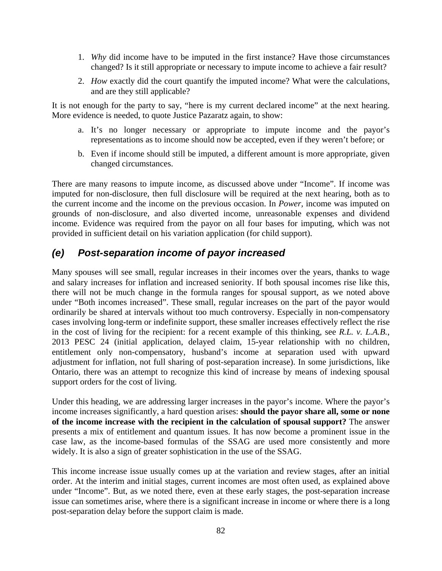- 1. *Why* did income have to be imputed in the first instance? Have those circumstances changed? Is it still appropriate or necessary to impute income to achieve a fair result?
- 2. *How* exactly did the court quantify the imputed income? What were the calculations, and are they still applicable?

It is not enough for the party to say, "here is my current declared income" at the next hearing. More evidence is needed, to quote Justice Pazaratz again, to show:

- a. It's no longer necessary or appropriate to impute income and the payor's representations as to income should now be accepted, even if they weren't before; or
- b. Even if income should still be imputed, a different amount is more appropriate, given changed circumstances.

There are many reasons to impute income, as discussed above under "Income". If income was imputed for non-disclosure, then full disclosure will be required at the next hearing, both as to the current income and the income on the previous occasion. In *Power,* income was imputed on grounds of non-disclosure, and also diverted income, unreasonable expenses and dividend income. Evidence was required from the payor on all four bases for imputing, which was not provided in sufficient detail on his variation application (for child support).

## *(e) Post-separation income of payor increased*

Many spouses will see small, regular increases in their incomes over the years, thanks to wage and salary increases for inflation and increased seniority. If both spousal incomes rise like this, there will not be much change in the formula ranges for spousal support, as we noted above under "Both incomes increased". These small, regular increases on the part of the payor would ordinarily be shared at intervals without too much controversy. Especially in non-compensatory cases involving long-term or indefinite support, these smaller increases effectively reflect the rise in the cost of living for the recipient: for a recent example of this thinking, see *R.L. v. L.A.B.*, 2013 PESC 24 (initial application, delayed claim, 15-year relationship with no children, entitlement only non-compensatory, husband's income at separation used with upward adjustment for inflation, not full sharing of post-separation increase). In some jurisdictions, like Ontario, there was an attempt to recognize this kind of increase by means of indexing spousal support orders for the cost of living.

Under this heading, we are addressing larger increases in the payor's income. Where the payor's income increases significantly, a hard question arises: **should the payor share all, some or none of the income increase with the recipient in the calculation of spousal support?** The answer presents a mix of entitlement and quantum issues. It has now become a prominent issue in the case law, as the income-based formulas of the SSAG are used more consistently and more widely. It is also a sign of greater sophistication in the use of the SSAG.

This income increase issue usually comes up at the variation and review stages, after an initial order. At the interim and initial stages, current incomes are most often used, as explained above under "Income". But, as we noted there, even at these early stages, the post-separation increase issue can sometimes arise, where there is a significant increase in income or where there is a long post-separation delay before the support claim is made.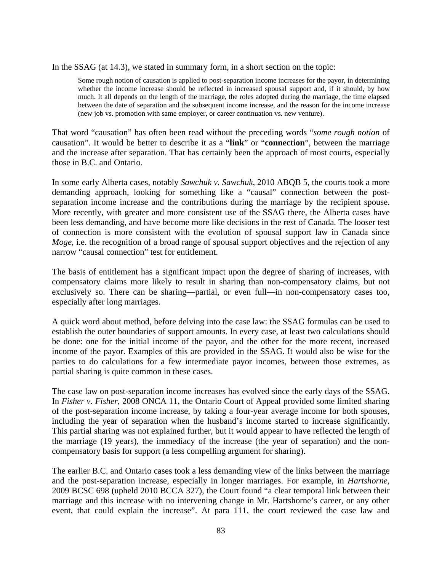In the SSAG (at 14.3), we stated in summary form, in a short section on the topic:

Some rough notion of causation is applied to post-separation income increases for the payor, in determining whether the income increase should be reflected in increased spousal support and, if it should, by how much. It all depends on the length of the marriage, the roles adopted during the marriage, the time elapsed between the date of separation and the subsequent income increase, and the reason for the income increase (new job vs. promotion with same employer, or career continuation vs. new venture).

That word "causation" has often been read without the preceding words "*some rough notion* of causation". It would be better to describe it as a "**link**" or "**connection**", between the marriage and the increase after separation. That has certainly been the approach of most courts, especially those in B.C. and Ontario.

In some early Alberta cases, notably *Sawchuk v. Sawchuk*, 2010 ABQB 5, the courts took a more demanding approach, looking for something like a "causal" connection between the postseparation income increase and the contributions during the marriage by the recipient spouse. More recently, with greater and more consistent use of the SSAG there, the Alberta cases have been less demanding, and have become more like decisions in the rest of Canada. The looser test of connection is more consistent with the evolution of spousal support law in Canada since *Moge*, i.e. the recognition of a broad range of spousal support objectives and the rejection of any narrow "causal connection" test for entitlement.

The basis of entitlement has a significant impact upon the degree of sharing of increases, with compensatory claims more likely to result in sharing than non-compensatory claims, but not exclusively so. There can be sharing—partial, or even full—in non-compensatory cases too, especially after long marriages.

A quick word about method, before delving into the case law: the SSAG formulas can be used to establish the outer boundaries of support amounts. In every case, at least two calculations should be done: one for the initial income of the payor, and the other for the more recent, increased income of the payor. Examples of this are provided in the SSAG. It would also be wise for the parties to do calculations for a few intermediate payor incomes, between those extremes, as partial sharing is quite common in these cases.

The case law on post-separation income increases has evolved since the early days of the SSAG. In *Fisher v. Fisher*, 2008 ONCA 11, the Ontario Court of Appeal provided some limited sharing of the post-separation income increase, by taking a four-year average income for both spouses, including the year of separation when the husband's income started to increase significantly. This partial sharing was not explained further, but it would appear to have reflected the length of the marriage (19 years), the immediacy of the increase (the year of separation) and the noncompensatory basis for support (a less compelling argument for sharing).

The earlier B.C. and Ontario cases took a less demanding view of the links between the marriage and the post-separation increase, especially in longer marriages. For example, in *Hartshorne*, 2009 BCSC 698 (upheld 2010 BCCA 327), the Court found "a clear temporal link between their marriage and this increase with no intervening change in Mr. Hartshorne's career, or any other event, that could explain the increase". At para 111, the court reviewed the case law and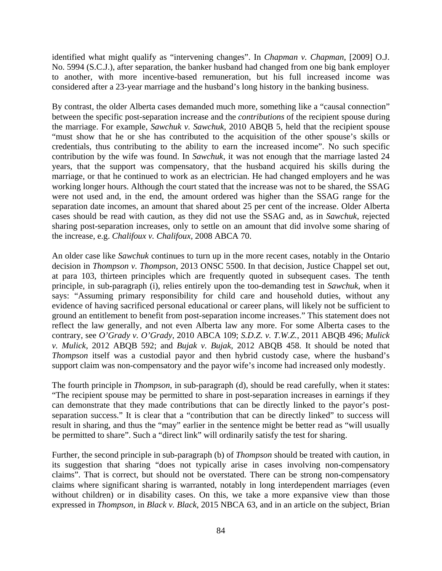identified what might qualify as "intervening changes". In *Chapman v. Chapman*, [2009] O.J. No. 5994 (S.C.J.), after separation, the banker husband had changed from one big bank employer to another, with more incentive-based remuneration, but his full increased income was considered after a 23-year marriage and the husband's long history in the banking business.

By contrast, the older Alberta cases demanded much more, something like a "causal connection" between the specific post-separation increase and the *contributions* of the recipient spouse during the marriage. For example, *Sawchuk v. Sawchuk,* 2010 ABQB 5, held that the recipient spouse "must show that he or she has contributed to the acquisition of the other spouse's skills or credentials, thus contributing to the ability to earn the increased income". No such specific contribution by the wife was found. In *Sawchuk*, it was not enough that the marriage lasted 24 years, that the support was compensatory, that the husband acquired his skills during the marriage, or that he continued to work as an electrician. He had changed employers and he was working longer hours. Although the court stated that the increase was not to be shared, the SSAG were not used and, in the end, the amount ordered was higher than the SSAG range for the separation date incomes, an amount that shared about 25 per cent of the increase. Older Alberta cases should be read with caution, as they did not use the SSAG and, as in *Sawchuk*, rejected sharing post-separation increases, only to settle on an amount that did involve some sharing of the increase, e.g. *Chalifoux v. Chalifoux,* 2008 ABCA 70.

An older case like *Sawchuk* continues to turn up in the more recent cases, notably in the Ontario decision in *Thompson v. Thompson,* 2013 ONSC 5500. In that decision, Justice Chappel set out, at para 103, thirteen principles which are frequently quoted in subsequent cases. The tenth principle, in sub-paragraph (i), relies entirely upon the too-demanding test in *Sawchuk*, when it says: "Assuming primary responsibility for child care and household duties, without any evidence of having sacrificed personal educational or career plans, will likely not be sufficient to ground an entitlement to benefit from post-separation income increases." This statement does not reflect the law generally, and not even Alberta law any more. For some Alberta cases to the contrary, see *O'Grady v. O'Grady,* 2010 ABCA 109; *S.D.Z. v. T.W.Z.*, 2011 ABQB 496; *Mulick v. Mulick*, 2012 ABQB 592; and *Bujak v. Bujak*, 2012 ABQB 458. It should be noted that *Thompson* itself was a custodial payor and then hybrid custody case, where the husband's support claim was non-compensatory and the payor wife's income had increased only modestly.

The fourth principle in *Thompson*, in sub-paragraph (d), should be read carefully, when it states: "The recipient spouse may be permitted to share in post-separation increases in earnings if they can demonstrate that they made contributions that can be directly linked to the payor's postseparation success." It is clear that a "contribution that can be directly linked" to success will result in sharing, and thus the "may" earlier in the sentence might be better read as "will usually be permitted to share". Such a "direct link" will ordinarily satisfy the test for sharing.

Further, the second principle in sub-paragraph (b) of *Thompson* should be treated with caution, in its suggestion that sharing "does not typically arise in cases involving non-compensatory claims". That is correct, but should not be overstated. There can be strong non-compensatory claims where significant sharing is warranted, notably in long interdependent marriages (even without children) or in disability cases. On this, we take a more expansive view than those expressed in *Thompson*, in *Black v. Black*, 2015 NBCA 63, and in an article on the subject, Brian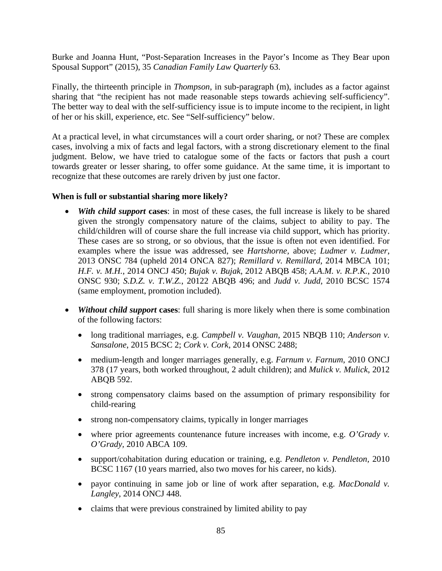Burke and Joanna Hunt, "Post-Separation Increases in the Payor's Income as They Bear upon Spousal Support" (2015), 35 *Canadian Family Law Quarterly* 63.

Finally, the thirteenth principle in *Thompson*, in sub-paragraph (m), includes as a factor against sharing that "the recipient has not made reasonable steps towards achieving self-sufficiency". The better way to deal with the self-sufficiency issue is to impute income to the recipient, in light of her or his skill, experience, etc. See "Self-sufficiency" below.

At a practical level, in what circumstances will a court order sharing, or not? These are complex cases, involving a mix of facts and legal factors, with a strong discretionary element to the final judgment. Below, we have tried to catalogue some of the facts or factors that push a court towards greater or lesser sharing, to offer some guidance. At the same time, it is important to recognize that these outcomes are rarely driven by just one factor.

#### **When is full or substantial sharing more likely?**

- *With child support* **cases**: in most of these cases, the full increase is likely to be shared given the strongly compensatory nature of the claims, subject to ability to pay. The child/children will of course share the full increase via child support, which has priority. These cases are so strong, or so obvious, that the issue is often not even identified. For examples where the issue was addressed, see *Hartshorne,* above; *Ludmer v. Ludmer*, 2013 ONSC 784 (upheld 2014 ONCA 827); *Remillard v. Remillard*, 2014 MBCA 101; *H.F. v. M.H.*, 2014 ONCJ 450; *Bujak v. Bujak*, 2012 ABQB 458; *A.A.M. v. R.P.K.*, 2010 ONSC 930; *S.D.Z. v. T.W.Z.*, 20122 ABQB 496; and *Judd v. Judd*, 2010 BCSC 1574 (same employment, promotion included).
- *Without child support* **cases**: full sharing is more likely when there is some combination of the following factors:
	- long traditional marriages, e.g. *Campbell v. Vaughan*, 2015 NBQB 110; *Anderson v. Sansalone*, 2015 BCSC 2; *Cork v. Cork*, 2014 ONSC 2488;
	- medium-length and longer marriages generally, e.g. *Farnum v. Farnum*, 2010 ONCJ 378 (17 years, both worked throughout, 2 adult children); and *Mulick v. Mulick*, 2012 ABQB 592.
	- strong compensatory claims based on the assumption of primary responsibility for child-rearing
	- strong non-compensatory claims, typically in longer marriages
	- where prior agreements countenance future increases with income, e.g. *O'Grady v. O'Grady,* 2010 ABCA 109.
	- support/cohabitation during education or training, e.g. *Pendleton v. Pendleton,* 2010 BCSC 1167 (10 years married, also two moves for his career, no kids).
	- payor continuing in same job or line of work after separation, e.g. *MacDonald v. Langley*, 2014 ONCJ 448.
	- claims that were previous constrained by limited ability to pay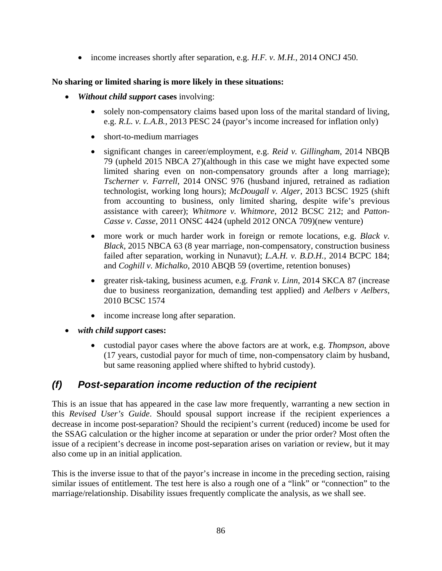income increases shortly after separation, e.g. *H.F. v. M.H.*, 2014 ONCJ 450.

#### **No sharing or limited sharing is more likely in these situations:**

- *Without child support* **cases** involving:
	- solely non-compensatory claims based upon loss of the marital standard of living, e.g. *R.L. v. L.A.B.*, 2013 PESC 24 (payor's income increased for inflation only)
	- short-to-medium marriages
	- significant changes in career/employment, e.g. *Reid v. Gillingham*, 2014 NBQB 79 (upheld 2015 NBCA 27)(although in this case we might have expected some limited sharing even on non-compensatory grounds after a long marriage); *Tscherner v. Farrell*, 2014 ONSC 976 (husband injured, retrained as radiation technologist, working long hours); *McDougall v. Alger*, 2013 BCSC 1925 (shift from accounting to business, only limited sharing, despite wife's previous assistance with career); *Whitmore v. Whitmore*, 2012 BCSC 212; and *Patton-Casse v. Casse,* 2011 ONSC 4424 (upheld 2012 ONCA 709)(new venture)
	- more work or much harder work in foreign or remote locations, e.g. *Black v. Black,* 2015 NBCA 63 (8 year marriage, non-compensatory, construction business failed after separation, working in Nunavut); *L.A.H. v. B.D.H.*, 2014 BCPC 184; and *Coghill v. Michalko*, 2010 ABQB 59 (overtime, retention bonuses)
	- greater risk-taking, business acumen, e.g. *Frank v. Linn*, 2014 SKCA 87 (increase due to business reorganization, demanding test applied) and *Aelbers v Aelbers*, 2010 BCSC 1574
	- income increase long after separation.
- *with child support* **cases:**
	- custodial payor cases where the above factors are at work, e.g. *Thompson*, above (17 years, custodial payor for much of time, non-compensatory claim by husband, but same reasoning applied where shifted to hybrid custody).

## *(f) Post-separation income reduction of the recipient*

This is an issue that has appeared in the case law more frequently, warranting a new section in this *Revised User's Guide*. Should spousal support increase if the recipient experiences a decrease in income post-separation? Should the recipient's current (reduced) income be used for the SSAG calculation or the higher income at separation or under the prior order? Most often the issue of a recipient's decrease in income post-separation arises on variation or review, but it may also come up in an initial application.

This is the inverse issue to that of the payor's increase in income in the preceding section, raising similar issues of entitlement. The test here is also a rough one of a "link" or "connection" to the marriage/relationship. Disability issues frequently complicate the analysis, as we shall see.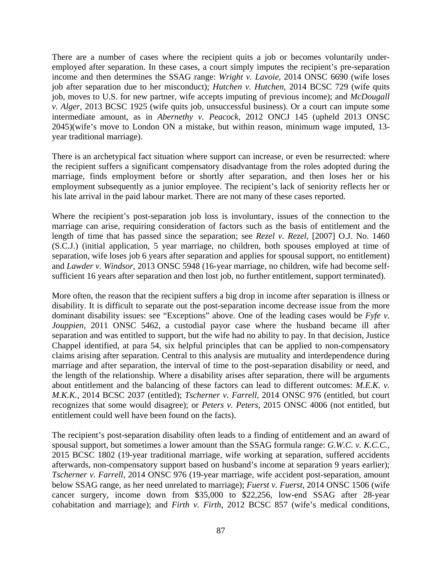There are a number of cases where the recipient quits a job or becomes voluntarily underemployed after separation. In these cases, a court simply imputes the recipient's pre-separation income and then determines the SSAG range: *Wright v. Lavoie*, 2014 ONSC 6690 (wife loses job after separation due to her misconduct); *Hutchen v. Hutchen*, 2014 BCSC 729 (wife quits job, moves to U.S. for new partner, wife accepts imputing of previous income); and *McDougall v. Alger*, 2013 BCSC 1925 (wife quits job, unsuccessful business). Or a court can impute some intermediate amount, as in *Abernethy v. Peacock*, 2012 ONCJ 145 (upheld 2013 ONSC 2045)(wife's move to London ON a mistake, but within reason, minimum wage imputed, 13 year traditional marriage).

There is an archetypical fact situation where support can increase, or even be resurrected: where the recipient suffers a significant compensatory disadvantage from the roles adopted during the marriage, finds employment before or shortly after separation, and then loses her or his employment subsequently as a junior employee. The recipient's lack of seniority reflects her or his late arrival in the paid labour market. There are not many of these cases reported.

Where the recipient's post-separation job loss is involuntary, issues of the connection to the marriage can arise, requiring consideration of factors such as the basis of entitlement and the length of time that has passed since the separation; see *Rezel v. Rezel*, [2007] O.J. No. 1460 (S.C.J.) (initial application, 5 year marriage, no children, both spouses employed at time of separation, wife loses job 6 years after separation and applies for spousal support, no entitlement) and *Lawder v. Windsor*, 2013 ONSC 5948 (16-year marriage, no children, wife had become selfsufficient 16 years after separation and then lost job, no further entitlement, support terminated).

More often, the reason that the recipient suffers a big drop in income after separation is illness or disability. It is difficult to separate out the post-separation income decrease issue from the more dominant disability issues: see "Exceptions" above. One of the leading cases would be *Fyfe v. Jouppien*, 2011 ONSC 5462, a custodial payor case where the husband became ill after separation and was entitled to support, but the wife had no ability to pay. In that decision, Justice Chappel identified, at para 54, six helpful principles that can be applied to non-compensatory claims arising after separation. Central to this analysis are mutuality and interdependence during marriage and after separation, the interval of time to the post-separation disability or need, and the length of the relationship. Where a disability arises after separation, there will be arguments about entitlement and the balancing of these factors can lead to different outcomes: *M.E.K. v. M.K.K.*, 2014 BCSC 2037 (entitled); *Tscherner v. Farrell,* 2014 ONSC 976 (entitled, but court recognizes that some would disagree); or *Peters v. Peters,* 2015 ONSC 4006 (not entitled, but entitlement could well have been found on the facts).

The recipient's post-separation disability often leads to a finding of entitlement and an award of spousal support, but sometimes a lower amount than the SSAG formula range: *G.W.C. v. K.C.C.*, 2015 BCSC 1802 (19-year traditional marriage, wife working at separation, suffered accidents afterwards, non-compensatory support based on husband's income at separation 9 years earlier); *Tscherner v. Farrell*, 2014 ONSC 976 (19-year marriage, wife accident post-separation, amount below SSAG range, as her need unrelated to marriage); *Fuerst v. Fuerst*, 2014 ONSC 1506 (wife cancer surgery, income down from \$35,000 to \$22,256, low-end SSAG after 28-year cohabitation and marriage); and *Firth v. Firth*, 2012 BCSC 857 (wife's medical conditions,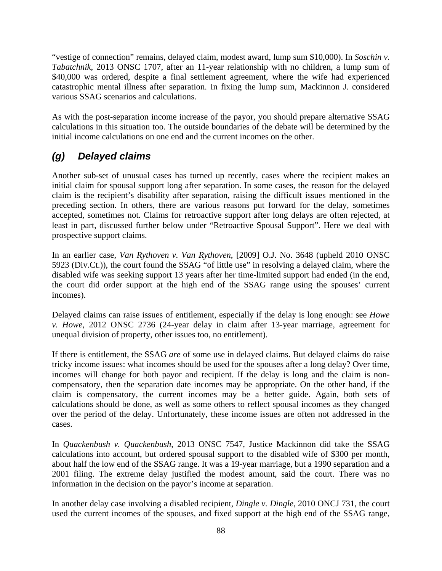"vestige of connection" remains, delayed claim, modest award, lump sum \$10,000). In *Soschin v. Tabatchnik*, 2013 ONSC 1707, after an 11-year relationship with no children, a lump sum of \$40,000 was ordered, despite a final settlement agreement, where the wife had experienced catastrophic mental illness after separation. In fixing the lump sum, Mackinnon J. considered various SSAG scenarios and calculations.

As with the post-separation income increase of the payor, you should prepare alternative SSAG calculations in this situation too. The outside boundaries of the debate will be determined by the initial income calculations on one end and the current incomes on the other.

## *(g) Delayed claims*

Another sub-set of unusual cases has turned up recently, cases where the recipient makes an initial claim for spousal support long after separation. In some cases, the reason for the delayed claim is the recipient's disability after separation, raising the difficult issues mentioned in the preceding section. In others, there are various reasons put forward for the delay, sometimes accepted, sometimes not. Claims for retroactive support after long delays are often rejected, at least in part, discussed further below under "Retroactive Spousal Support". Here we deal with prospective support claims.

In an earlier case, *Van Rythoven v. Van Rythoven*, [2009] O.J. No. 3648 (upheld 2010 ONSC 5923 (Div.Ct.)), the court found the SSAG "of little use" in resolving a delayed claim, where the disabled wife was seeking support 13 years after her time-limited support had ended (in the end, the court did order support at the high end of the SSAG range using the spouses' current incomes).

Delayed claims can raise issues of entitlement, especially if the delay is long enough: see *Howe v. Howe*, 2012 ONSC 2736 (24-year delay in claim after 13-year marriage, agreement for unequal division of property, other issues too, no entitlement).

If there is entitlement, the SSAG *are* of some use in delayed claims. But delayed claims do raise tricky income issues: what incomes should be used for the spouses after a long delay? Over time, incomes will change for both payor and recipient. If the delay is long and the claim is noncompensatory, then the separation date incomes may be appropriate. On the other hand, if the claim is compensatory, the current incomes may be a better guide. Again, both sets of calculations should be done, as well as some others to reflect spousal incomes as they changed over the period of the delay. Unfortunately, these income issues are often not addressed in the cases.

In *Quackenbush v. Quackenbush*, 2013 ONSC 7547, Justice Mackinnon did take the SSAG calculations into account, but ordered spousal support to the disabled wife of \$300 per month, about half the low end of the SSAG range. It was a 19-year marriage, but a 1990 separation and a 2001 filing. The extreme delay justified the modest amount, said the court. There was no information in the decision on the payor's income at separation.

In another delay case involving a disabled recipient, *Dingle v. Dingle,* 2010 ONCJ 731, the court used the current incomes of the spouses, and fixed support at the high end of the SSAG range,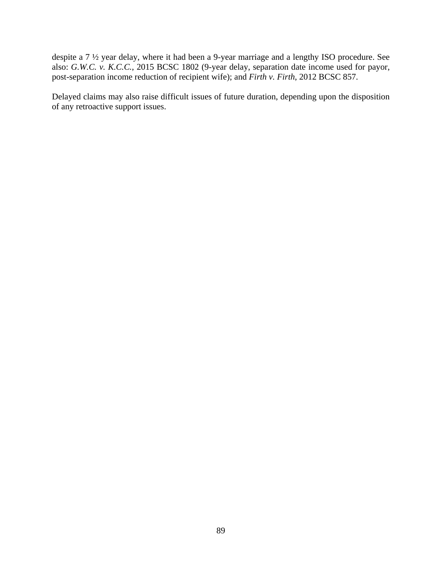despite a 7 ½ year delay, where it had been a 9-year marriage and a lengthy ISO procedure. See also: *G.W.C. v. K.C.C.*, 2015 BCSC 1802 (9-year delay, separation date income used for payor, post-separation income reduction of recipient wife); and *Firth v. Firth*, 2012 BCSC 857.

Delayed claims may also raise difficult issues of future duration, depending upon the disposition of any retroactive support issues.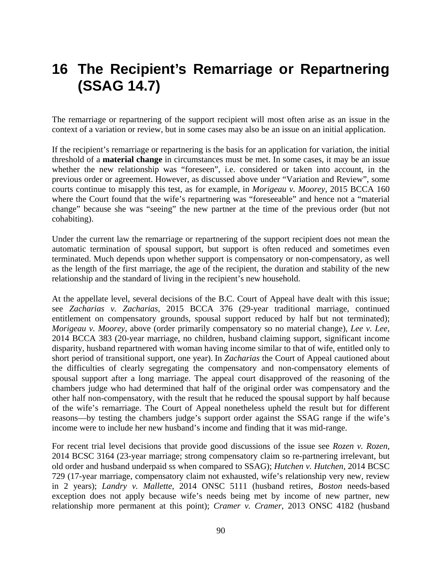# **16 The Recipient's Remarriage or Repartnering (SSAG 14.7)**

The remarriage or repartnering of the support recipient will most often arise as an issue in the context of a variation or review, but in some cases may also be an issue on an initial application.

If the recipient's remarriage or repartnering is the basis for an application for variation, the initial threshold of a **material change** in circumstances must be met. In some cases, it may be an issue whether the new relationship was "foreseen", i.e. considered or taken into account, in the previous order or agreement. However, as discussed above under "Variation and Review", some courts continue to misapply this test, as for example, in *Morigeau v. Moorey*, 2015 BCCA 160 where the Court found that the wife's repartnering was "foreseeable" and hence not a "material change" because she was "seeing" the new partner at the time of the previous order (but not cohabiting).

Under the current law the remarriage or repartnering of the support recipient does not mean the automatic termination of spousal support, but support is often reduced and sometimes even terminated. Much depends upon whether support is compensatory or non-compensatory, as well as the length of the first marriage, the age of the recipient, the duration and stability of the new relationship and the standard of living in the recipient's new household.

At the appellate level, several decisions of the B.C. Court of Appeal have dealt with this issue; see *Zacharias v. Zacharias*, 2015 BCCA 376 (29-year traditional marriage, continued entitlement on compensatory grounds, spousal support reduced by half but not terminated); *Morigeau v. Moorey*, above (order primarily compensatory so no material change), *Lee v. Lee*, 2014 BCCA 383 (20-year marriage, no children, husband claiming support, significant income disparity, husband repartnered with woman having income similar to that of wife, entitled only to short period of transitional support, one year). In *Zacharias* the Court of Appeal cautioned about the difficulties of clearly segregating the compensatory and non-compensatory elements of spousal support after a long marriage. The appeal court disapproved of the reasoning of the chambers judge who had determined that half of the original order was compensatory and the other half non-compensatory, with the result that he reduced the spousal support by half because of the wife's remarriage. The Court of Appeal nonetheless upheld the result but for different reasons—by testing the chambers judge's support order against the SSAG range if the wife's income were to include her new husband's income and finding that it was mid-range.

For recent trial level decisions that provide good discussions of the issue see *Rozen v. Rozen,* 2014 BCSC 3164 (23-year marriage; strong compensatory claim so re-partnering irrelevant, but old order and husband underpaid ss when compared to SSAG); *Hutchen v. Hutchen,* 2014 BCSC 729 (17-year marriage, compensatory claim not exhausted, wife's relationship very new, review in 2 years); *Landry v. Mallette*, 2014 ONSC 5111 (husband retires, *Boston* needs-based exception does not apply because wife's needs being met by income of new partner, new relationship more permanent at this point); *Cramer v. Cramer*, 2013 ONSC 4182 (husband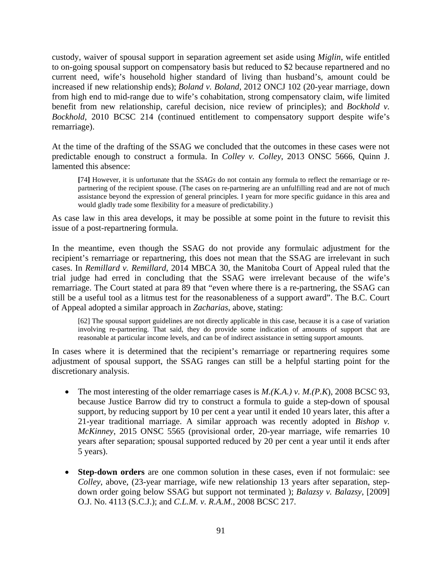custody, waiver of spousal support in separation agreement set aside using *Miglin*, wife entitled to on-going spousal support on compensatory basis but reduced to \$2 because repartnered and no current need, wife's household higher standard of living than husband's, amount could be increased if new relationship ends); *Boland v. Boland*, 2012 ONCJ 102 (20-year marriage, down from high end to mid-range due to wife's cohabitation, strong compensatory claim, wife limited benefit from new relationship, careful decision, nice review of principles); and *Bockhold v. Bockhold*, 2010 BCSC 214 (continued entitlement to compensatory support despite wife's remarriage).

At the time of the drafting of the SSAG we concluded that the outcomes in these cases were not predictable enough to construct a formula. In *Colley v. Colley*, 2013 ONSC 5666, Quinn J. lamented this absence:

**[**74**]** However, it is unfortunate that the *SSAGs* do not contain any formula to reflect the remarriage or repartnering of the recipient spouse. (The cases on re-partnering are an unfulfilling read and are not of much assistance beyond the expression of general principles. I yearn for more specific guidance in this area and would gladly trade some flexibility for a measure of predictability.)

As case law in this area develops, it may be possible at some point in the future to revisit this issue of a post-repartnering formula.

In the meantime, even though the SSAG do not provide any formulaic adjustment for the recipient's remarriage or repartnering, this does not mean that the SSAG are irrelevant in such cases. In *Remillard v. Remillard*, 2014 MBCA 30, the Manitoba Court of Appeal ruled that the trial judge had erred in concluding that the SSAG were irrelevant because of the wife's remarriage. The Court stated at para 89 that "even where there is a re-partnering, the SSAG can still be a useful tool as a litmus test for the reasonableness of a support award". The B.C. Court of Appeal adopted a similar approach in *Zacharias*, above, stating:

[62] The spousal support guidelines are not directly applicable in this case, because it is a case of variation involving re-partnering. That said, they do provide some indication of amounts of support that are reasonable at particular income levels, and can be of indirect assistance in setting support amounts.

In cases where it is determined that the recipient's remarriage or repartnering requires some adjustment of spousal support, the SSAG ranges can still be a helpful starting point for the discretionary analysis.

- The most interesting of the older remarriage cases is *M.(K.A.) v. M.(P.K*), 2008 BCSC 93, because Justice Barrow did try to construct a formula to guide a step-down of spousal support, by reducing support by 10 per cent a year until it ended 10 years later, this after a 21-year traditional marriage. A similar approach was recently adopted in *Bishop v. McKinney*, 2015 ONSC 5565 (provisional order, 20-year marriage, wife remarries 10 years after separation; spousal supported reduced by 20 per cent a year until it ends after 5 years).
- **Step-down orders** are one common solution in these cases, even if not formulaic: see *Colley*, above, (23-year marriage, wife new relationship 13 years after separation, stepdown order going below SSAG but support not terminated ); *Balazsy v. Balazsy*, [2009] O.J. No. 4113 (S.C.J.); and *C.L.M. v. R.A.M.*, 2008 BCSC 217.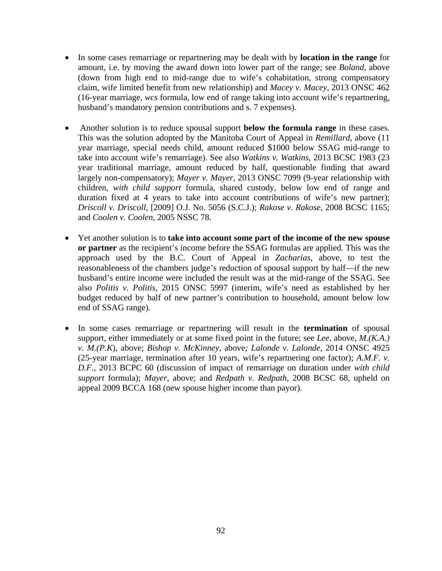- In some cases remarriage or repartnering may be dealt with by **location in the range** for amount, i.e. by moving the award down into lower part of the range; see *Boland*, above (down from high end to mid-range due to wife's cohabitation, strong compensatory claim, wife limited benefit from new relationship) and *Macey v. Macey*, 2013 ONSC 462 (16-year marriage, *wcs* formula, low end of range taking into account wife's repartnering, husband's mandatory pension contributions and s. 7 expenses).
- Another solution is to reduce spousal support **below the formula range** in these cases. This was the solution adopted by the Manitoba Court of Appeal in *Remillard,* above (11 year marriage, special needs child, amount reduced \$1000 below SSAG mid-range to take into account wife's remarriage). See also *Watkins v. Watkins*, 2013 BCSC 1983 (23 year traditional marriage, amount reduced by half, questionable finding that award largely non-compensatory); *Mayer v. Mayer*, 2013 ONSC 7099 (9-year relationship with children, *with child support* formula, shared custody, below low end of range and duration fixed at 4 years to take into account contributions of wife's new partner); *Driscoll v. Driscoll*, [2009] O.J. No. 5056 (S.C.J.); *Rakose v. Rakose*, 2008 BCSC 1165; and *Coolen v. Coolen*, 2005 NSSC 78.
- Yet another solution is to **take into account some part of the income of the new spouse or partner** as the recipient's income before the SSAG formulas are applied. This was the approach used by the B.C. Court of Appeal in *Zacharias*, above, to test the reasonableness of the chambers judge's reduction of spousal support by half—if the new husband's entire income were included the result was at the mid-range of the SSAG. See also *Politis v. Politis,* 2015 ONSC 5997 (interim, wife's need as established by her budget reduced by half of new partner's contribution to household, amount below low end of SSAG range).
- In some cases remarriage or repartnering will result in the **termination** of spousal support, either immediately or at some fixed point in the future; see *Lee*, above, *M.(K.A.) v. M.(P.K*), above; *Bishop v. McKinney,* above*; Lalonde v. Lalonde*, 2014 ONSC 4925 (25-year marriage, termination after 10 years, wife's repartnering one factor); *A.M.F. v. D.F.*, 2013 BCPC 60 (discussion of impact of remarriage on duration under *with child support* formula); *Mayer*, above; and *Redpath v. Redpath*, 2008 BCSC 68, upheld on appeal 2009 BCCA 168 (new spouse higher income than payor).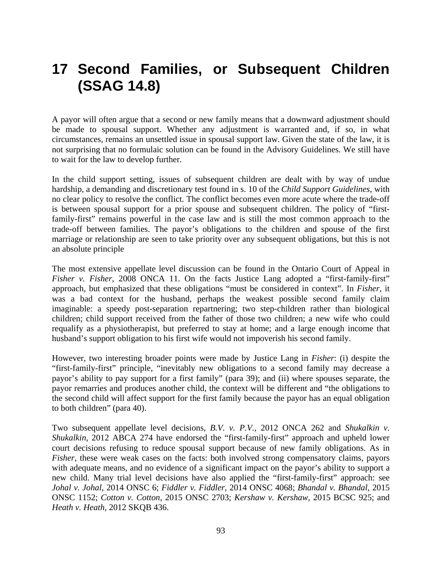# **17 Second Families, or Subsequent Children (SSAG 14.8)**

A payor will often argue that a second or new family means that a downward adjustment should be made to spousal support. Whether any adjustment is warranted and, if so, in what circumstances, remains an unsettled issue in spousal support law. Given the state of the law, it is not surprising that no formulaic solution can be found in the Advisory Guidelines. We still have to wait for the law to develop further.

In the child support setting, issues of subsequent children are dealt with by way of undue hardship, a demanding and discretionary test found in s. 10 of the *Child Support Guidelines*, with no clear policy to resolve the conflict. The conflict becomes even more acute where the trade-off is between spousal support for a prior spouse and subsequent children. The policy of "firstfamily-first" remains powerful in the case law and is still the most common approach to the trade-off between families. The payor's obligations to the children and spouse of the first marriage or relationship are seen to take priority over any subsequent obligations, but this is not an absolute principle

The most extensive appellate level discussion can be found in the Ontario Court of Appeal in *Fisher v. Fisher*, 2008 ONCA 11. On the facts Justice Lang adopted a "first-family-first" approach, but emphasized that these obligations "must be considered in context". In *Fisher*, it was a bad context for the husband, perhaps the weakest possible second family claim imaginable: a speedy post-separation repartnering; two step-children rather than biological children; child support received from the father of those two children; a new wife who could requalify as a physiotherapist, but preferred to stay at home; and a large enough income that husband's support obligation to his first wife would not impoverish his second family.

However, two interesting broader points were made by Justice Lang in *Fisher*: (i) despite the "first-family-first" principle, "inevitably new obligations to a second family may decrease a payor's ability to pay support for a first family" (para 39); and (ii) where spouses separate, the payor remarries and produces another child, the context will be different and "the obligations to the second child will affect support for the first family because the payor has an equal obligation to both children" (para 40).

Two subsequent appellate level decisions, *B.V. v. P.V.*, 2012 ONCA 262 and *Shukalkin v. Shukalkin*, 2012 ABCA 274 have endorsed the "first-family-first" approach and upheld lower court decisions refusing to reduce spousal support because of new family obligations. As in *Fisher*, these were weak cases on the facts: both involved strong compensatory claims, payors with adequate means, and no evidence of a significant impact on the payor's ability to support a new child. Many trial level decisions have also applied the "first-family-first" approach: see *Johal v. Johal*, 2014 ONSC 6; *Fiddler v. Fiddler,* 2014 ONSC 4068; *Bhandal v. Bhandal*, 2015 ONSC 1152; *Cotton v. Cotton*, 2015 ONSC 2703; *Kershaw v. Kershaw,* 2015 BCSC 925; and *Heath v. Heath,* 2012 SKQB 436.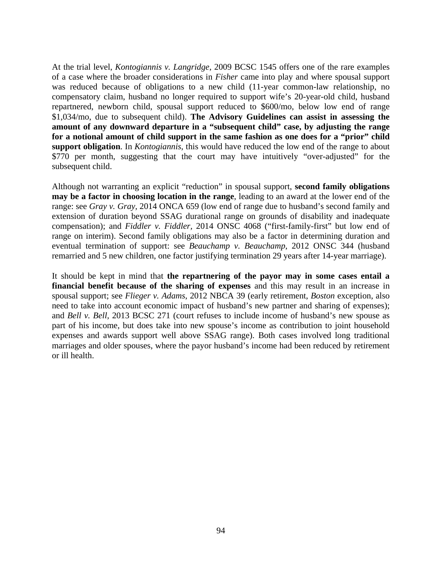At the trial level, *Kontogiannis v. Langridge*, 2009 BCSC 1545 offers one of the rare examples of a case where the broader considerations in *Fisher* came into play and where spousal support was reduced because of obligations to a new child (11-year common-law relationship, no compensatory claim, husband no longer required to support wife's 20-year-old child, husband repartnered, newborn child, spousal support reduced to \$600/mo, below low end of range \$1,034/mo, due to subsequent child). **The Advisory Guidelines can assist in assessing the amount of any downward departure in a "subsequent child" case, by adjusting the range for a notional amount of child support in the same fashion as one does for a "prior" child support obligation**. In *Kontogiannis*, this would have reduced the low end of the range to about \$770 per month, suggesting that the court may have intuitively "over-adjusted" for the subsequent child.

Although not warranting an explicit "reduction" in spousal support, **second family obligations may be a factor in choosing location in the range**, leading to an award at the lower end of the range: see *Gray v. Gray,* 2014 ONCA 659 (low end of range due to husband's second family and extension of duration beyond SSAG durational range on grounds of disability and inadequate compensation); and *Fiddler v. Fiddler,* 2014 ONSC 4068 ("first-family-first" but low end of range on interim). Second family obligations may also be a factor in determining duration and eventual termination of support: see *Beauchamp v. Beauchamp*, 2012 ONSC 344 (husband remarried and 5 new children, one factor justifying termination 29 years after 14-year marriage).

It should be kept in mind that **the repartnering of the payor may in some cases entail a financial benefit because of the sharing of expenses** and this may result in an increase in spousal support; see *Flieger v. Adams*, 2012 NBCA 39 (early retirement, *Boston* exception, also need to take into account economic impact of husband's new partner and sharing of expenses); and *Bell v. Bell,* 2013 BCSC 271 (court refuses to include income of husband's new spouse as part of his income, but does take into new spouse's income as contribution to joint household expenses and awards support well above SSAG range). Both cases involved long traditional marriages and older spouses, where the payor husband's income had been reduced by retirement or ill health.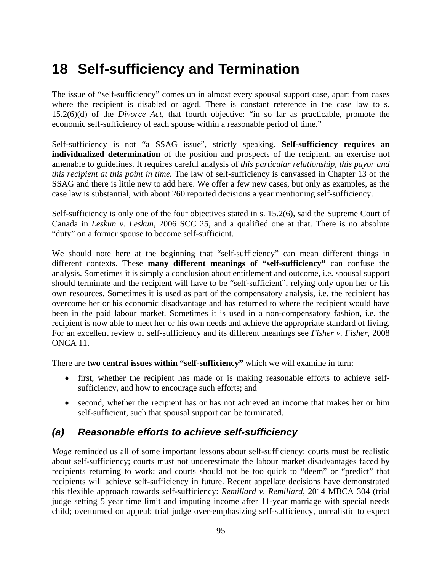# **18 Self-sufficiency and Termination**

The issue of "self-sufficiency" comes up in almost every spousal support case, apart from cases where the recipient is disabled or aged. There is constant reference in the case law to s. 15.2(6)(d) of the *Divorce Act*, that fourth objective: "in so far as practicable, promote the economic self-sufficiency of each spouse within a reasonable period of time."

Self-sufficiency is not "a SSAG issue", strictly speaking. **Self-sufficiency requires an individualized determination** of the position and prospects of the recipient, an exercise not amenable to guidelines. It requires careful analysis of *this particular relationship, this payor and this recipient at this point in time.* The law of self-sufficiency is canvassed in Chapter 13 of the SSAG and there is little new to add here. We offer a few new cases, but only as examples, as the case law is substantial, with about 260 reported decisions a year mentioning self-sufficiency.

Self-sufficiency is only one of the four objectives stated in s. 15.2(6), said the Supreme Court of Canada in *Leskun v. Leskun*, 2006 SCC 25, and a qualified one at that. There is no absolute "duty" on a former spouse to become self-sufficient.

We should note here at the beginning that "self-sufficiency" can mean different things in different contexts. These **many different meanings of "self-sufficiency"** can confuse the analysis. Sometimes it is simply a conclusion about entitlement and outcome, i.e. spousal support should terminate and the recipient will have to be "self-sufficient", relying only upon her or his own resources. Sometimes it is used as part of the compensatory analysis, i.e. the recipient has overcome her or his economic disadvantage and has returned to where the recipient would have been in the paid labour market. Sometimes it is used in a non-compensatory fashion, i.e. the recipient is now able to meet her or his own needs and achieve the appropriate standard of living. For an excellent review of self-sufficiency and its different meanings see *Fisher v. Fisher*, 2008 ONCA 11.

There are **two central issues within "self-sufficiency"** which we will examine in turn:

- first, whether the recipient has made or is making reasonable efforts to achieve selfsufficiency, and how to encourage such efforts; and
- second, whether the recipient has or has not achieved an income that makes her or him self-sufficient, such that spousal support can be terminated.

## *(a) Reasonable efforts to achieve self-sufficiency*

*Moge* reminded us all of some important lessons about self-sufficiency: courts must be realistic about self-sufficiency; courts must not underestimate the labour market disadvantages faced by recipients returning to work; and courts should not be too quick to "deem" or "predict" that recipients will achieve self-sufficiency in future. Recent appellate decisions have demonstrated this flexible approach towards self-sufficiency: *Remillard v. Remillard*, 2014 MBCA 304 (trial judge setting 5 year time limit and imputing income after 11-year marriage with special needs child; overturned on appeal; trial judge over-emphasizing self-sufficiency, unrealistic to expect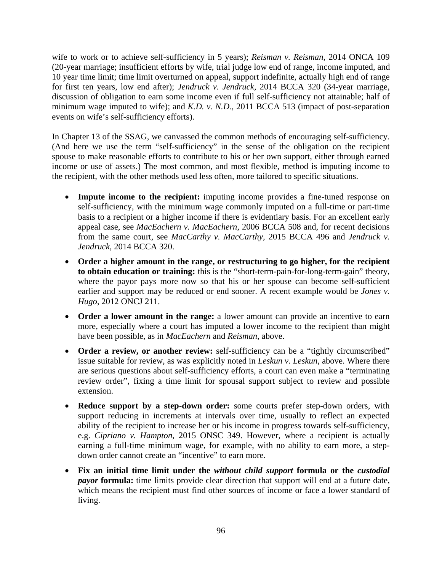wife to work or to achieve self-sufficiency in 5 years); *Reisman v. Reisman*, 2014 ONCA 109 (20-year marriage; insufficient efforts by wife, trial judge low end of range, income imputed, and 10 year time limit; time limit overturned on appeal, support indefinite, actually high end of range for first ten years, low end after); *Jendruck v. Jendruck,* 2014 BCCA 320 (34-year marriage, discussion of obligation to earn some income even if full self-sufficiency not attainable; half of minimum wage imputed to wife); and *K.D. v. N.D.,* 2011 BCCA 513 (impact of post-separation events on wife's self-sufficiency efforts).

In Chapter 13 of the SSAG, we canvassed the common methods of encouraging self-sufficiency. (And here we use the term "self-sufficiency" in the sense of the obligation on the recipient spouse to make reasonable efforts to contribute to his or her own support, either through earned income or use of assets.) The most common, and most flexible, method is imputing income to the recipient, with the other methods used less often, more tailored to specific situations.

- **Impute income to the recipient:** imputing income provides a fine-tuned response on self-sufficiency, with the minimum wage commonly imputed on a full-time or part-time basis to a recipient or a higher income if there is evidentiary basis. For an excellent early appeal case, see *MacEachern v. MacEachern*, 2006 BCCA 508 and, for recent decisions from the same court, see *MacCarthy v. MacCarthy*, 2015 BCCA 496 and *Jendruck v. Jendruck*, 2014 BCCA 320.
- **Order a higher amount in the range, or restructuring to go higher, for the recipient to obtain education or training:** this is the "short-term-pain-for-long-term-gain" theory, where the payor pays more now so that his or her spouse can become self-sufficient earlier and support may be reduced or end sooner. A recent example would be *Jones v. Hugo*, 2012 ONCJ 211.
- **Order a lower amount in the range:** a lower amount can provide an incentive to earn more, especially where a court has imputed a lower income to the recipient than might have been possible, as in *MacEachern* and *Reisman*, above.
- **Order a review, or another review:** self-sufficiency can be a "tightly circumscribed" issue suitable for review, as was explicitly noted in *Leskun v. Leskun*, above. Where there are serious questions about self-sufficiency efforts, a court can even make a "terminating review order", fixing a time limit for spousal support subject to review and possible extension.
- **Reduce support by a step-down order:** some courts prefer step-down orders, with support reducing in increments at intervals over time, usually to reflect an expected ability of the recipient to increase her or his income in progress towards self-sufficiency, e.g. *Cipriano v. Hampton*, 2015 ONSC 349. However, where a recipient is actually earning a full-time minimum wage, for example, with no ability to earn more, a stepdown order cannot create an "incentive" to earn more.
- **Fix an initial time limit under the** *without child support* **formula or the** *custodial payor* **formula:** time limits provide clear direction that support will end at a future date, which means the recipient must find other sources of income or face a lower standard of living.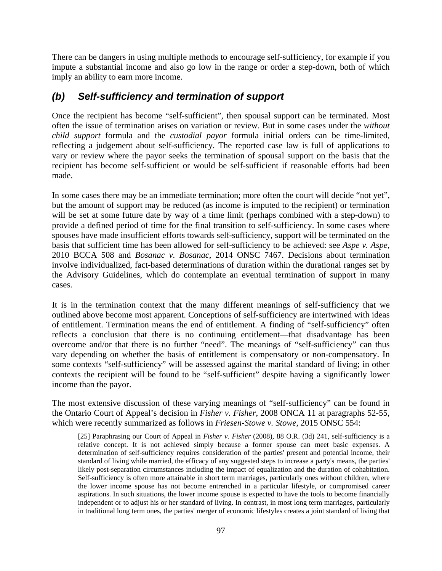There can be dangers in using multiple methods to encourage self-sufficiency, for example if you impute a substantial income and also go low in the range or order a step-down, both of which imply an ability to earn more income.

### *(b) Self-sufficiency and termination of support*

Once the recipient has become "self-sufficient", then spousal support can be terminated. Most often the issue of termination arises on variation or review. But in some cases under the *without child support* formula and the *custodial payor* formula initial orders can be time-limited, reflecting a judgement about self-sufficiency. The reported case law is full of applications to vary or review where the payor seeks the termination of spousal support on the basis that the recipient has become self-sufficient or would be self-sufficient if reasonable efforts had been made.

In some cases there may be an immediate termination; more often the court will decide "not yet", but the amount of support may be reduced (as income is imputed to the recipient) or termination will be set at some future date by way of a time limit (perhaps combined with a step-down) to provide a defined period of time for the final transition to self-sufficiency. In some cases where spouses have made insufficient efforts towards self-sufficiency, support will be terminated on the basis that sufficient time has been allowed for self-sufficiency to be achieved: see *Aspe v. Aspe*, 2010 BCCA 508 and *Bosanac v. Bosanac*, 2014 ONSC 7467. Decisions about termination involve individualized, fact-based determinations of duration within the durational ranges set by the Advisory Guidelines, which do contemplate an eventual termination of support in many cases.

It is in the termination context that the many different meanings of self-sufficiency that we outlined above become most apparent. Conceptions of self-sufficiency are intertwined with ideas of entitlement. Termination means the end of entitlement. A finding of "self-sufficiency" often reflects a conclusion that there is no continuing entitlement—that disadvantage has been overcome and/or that there is no further "need". The meanings of "self-sufficiency" can thus vary depending on whether the basis of entitlement is compensatory or non-compensatory. In some contexts "self-sufficiency" will be assessed against the marital standard of living; in other contexts the recipient will be found to be "self-sufficient" despite having a significantly lower income than the payor.

The most extensive discussion of these varying meanings of "self-sufficiency" can be found in the Ontario Court of Appeal's decision in *Fisher v. Fisher*, 2008 ONCA 11 at paragraphs 52-55, which were recently summarized as follows in *Friesen-Stowe v. Stowe*, 2015 ONSC 554:

[25] Paraphrasing our Court of Appeal in *Fisher v. Fisher* (2008), 88 O.R. (3d) 241, self-sufficiency is a relative concept. It is not achieved simply because a former spouse can meet basic expenses. A determination of self-sufficiency requires consideration of the parties' present and potential income, their standard of living while married, the efficacy of any suggested steps to increase a party's means, the parties' likely post-separation circumstances including the impact of equalization and the duration of cohabitation. Self-sufficiency is often more attainable in short term marriages, particularly ones without children, where the lower income spouse has not become entrenched in a particular lifestyle, or compromised career aspirations. In such situations, the lower income spouse is expected to have the tools to become financially independent or to adjust his or her standard of living. In contrast, in most long term marriages, particularly in traditional long term ones, the parties' merger of economic lifestyles creates a joint standard of living that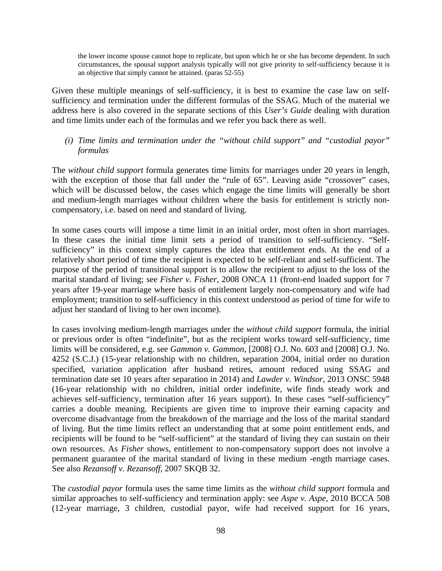the lower income spouse cannot hope to replicate, but upon which he or she has become dependent. In such circumstances, the spousal support analysis typically will not give priority to self-sufficiency because it is an objective that simply cannot be attained. (paras 52-55)

Given these multiple meanings of self-sufficiency, it is best to examine the case law on selfsufficiency and termination under the different formulas of the SSAG. Much of the material we address here is also covered in the separate sections of this *User's Guide* dealing with duration and time limits under each of the formulas and we refer you back there as well.

*(i) Time limits and termination under the "without child support" and "custodial payor" formulas* 

The *without child support* formula generates time limits for marriages under 20 years in length, with the exception of those that fall under the "rule of 65". Leaving aside "crossover" cases, which will be discussed below, the cases which engage the time limits will generally be short and medium-length marriages without children where the basis for entitlement is strictly noncompensatory, i.e. based on need and standard of living.

In some cases courts will impose a time limit in an initial order, most often in short marriages. In these cases the initial time limit sets a period of transition to self-sufficiency. "Selfsufficiency" in this context simply captures the idea that entitlement ends. At the end of a relatively short period of time the recipient is expected to be self-reliant and self-sufficient. The purpose of the period of transitional support is to allow the recipient to adjust to the loss of the marital standard of living; see *Fisher v. Fisher*, 2008 ONCA 11 (front-end loaded support for 7 years after 19-year marriage where basis of entitlement largely non-compensatory and wife had employment; transition to self-sufficiency in this context understood as period of time for wife to adjust her standard of living to her own income).

In cases involving medium-length marriages under the *without child support* formula, the initial or previous order is often "indefinite", but as the recipient works toward self-sufficiency, time limits will be considered, e.g. see *Gammon v. Gammon*, [2008] O.J. No. 603 and [2008] O.J. No. 4252 (S.C.J.) (15-year relationship with no children, separation 2004, initial order no duration specified, variation application after husband retires, amount reduced using SSAG and termination date set 10 years after separation in 2014) and *Lawder v. Windsor*, 2013 ONSC 5948 (16-year relationship with no children, initial order indefinite, wife finds steady work and achieves self-sufficiency, termination after 16 years support). In these cases "self-sufficiency" carries a double meaning. Recipients are given time to improve their earning capacity and overcome disadvantage from the breakdown of the marriage and the loss of the marital standard of living. But the time limits reflect an understanding that at some point entitlement ends, and recipients will be found to be "self-sufficient" at the standard of living they can sustain on their own resources. As *Fisher* shows, entitlement to non-compensatory support does not involve a permanent guarantee of the marital standard of living in these medium -ength marriage cases. See also *Rezansoff v. Rezansoff*, 2007 SKQB 32.

The *custodial payor* formula uses the same time limits as the *without child support* formula and similar approaches to self-sufficiency and termination apply: see *Aspe v. Aspe*, 2010 BCCA 508 (12-year marriage, 3 children, custodial payor, wife had received support for 16 years,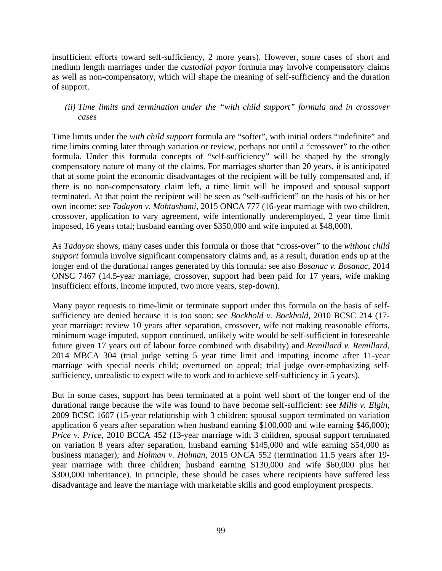insufficient efforts toward self-sufficiency, 2 more years). However, some cases of short and medium length marriages under the *custodial payor* formula may involve compensatory claims as well as non-compensatory, which will shape the meaning of self-sufficiency and the duration of support.

#### *(ii) Time limits and termination under the "with child support" formula and in crossover cases*

Time limits under the *with child support* formula are "softer", with initial orders "indefinite" and time limits coming later through variation or review, perhaps not until a "crossover" to the other formula. Under this formula concepts of "self-sufficiency" will be shaped by the strongly compensatory nature of many of the claims. For marriages shorter than 20 years, it is anticipated that at some point the economic disadvantages of the recipient will be fully compensated and, if there is no non-compensatory claim left, a time limit will be imposed and spousal support terminated. At that point the recipient will be seen as "self-sufficient" on the basis of his or her own income: see *Tadayon v. Mohtashami,* 2015 ONCA 777 (16-year marriage with two children, crossover, application to vary agreement, wife intentionally underemployed, 2 year time limit imposed, 16 years total; husband earning over \$350,000 and wife imputed at \$48,000).

As *Tadayon* shows, many cases under this formula or those that "cross-over" to the *without child support* formula involve significant compensatory claims and, as a result, duration ends up at the longer end of the durational ranges generated by this formula: see also *Bosanac v. Bosanac*, 2014 ONSC 7467 (14.5-year marriage, crossover, support had been paid for 17 years, wife making insufficient efforts, income imputed, two more years, step-down).

Many payor requests to time-limit or terminate support under this formula on the basis of selfsufficiency are denied because it is too soon: see *Bockhold v. Bockhold*, 2010 BCSC 214 (17 year marriage; review 10 years after separation, crossover, wife not making reasonable efforts, minimum wage imputed, support continued, unlikely wife would be self-sufficient in foreseeable future given 17 years out of labour force combined with disability) and *Remillard v. Remillard*, 2014 MBCA 304 (trial judge setting 5 year time limit and imputing income after 11-year marriage with special needs child; overturned on appeal; trial judge over-emphasizing selfsufficiency, unrealistic to expect wife to work and to achieve self-sufficiency in 5 years).

But in some cases, support has been terminated at a point well short of the longer end of the durational range because the wife was found to have become self-sufficient: see *Mills v. Elgin*, 2009 BCSC 1607 (15-year relationship with 3 children; spousal support terminated on variation application 6 years after separation when husband earning \$100,000 and wife earning \$46,000); *Price v. Price*, 2010 BCCA 452 (13-year marriage with 3 children, spousal support terminated on variation 8 years after separation, husband earning \$145,000 and wife earning \$54,000 as business manager); and *Holman v. Holman*, 2015 ONCA 552 (termination 11.5 years after 19 year marriage with three children; husband earning \$130,000 and wife \$60,000 plus her \$300,000 inheritance). In principle, these should be cases where recipients have suffered less disadvantage and leave the marriage with marketable skills and good employment prospects.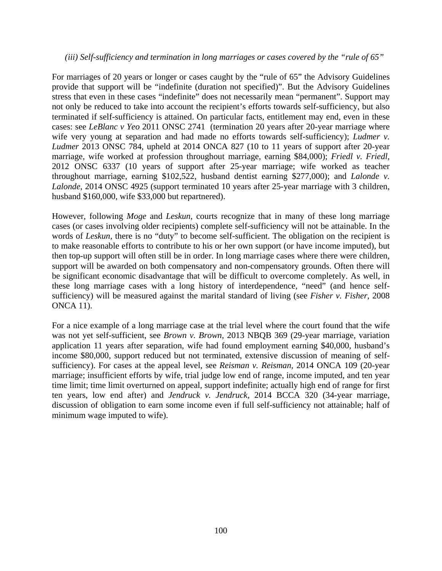#### *(iii) Self-sufficiency and termination in long marriages or cases covered by the "rule of 65"*

For marriages of 20 years or longer or cases caught by the "rule of 65" the Advisory Guidelines provide that support will be "indefinite (duration not specified)". But the Advisory Guidelines stress that even in these cases "indefinite" does not necessarily mean "permanent". Support may not only be reduced to take into account the recipient's efforts towards self-sufficiency, but also terminated if self-sufficiency is attained. On particular facts, entitlement may end, even in these cases: see *LeBlanc v Yeo* 2011 ONSC 2741 (termination 20 years after 20-year marriage where wife very young at separation and had made no efforts towards self-sufficiency); *Ludmer v. Ludmer* 2013 ONSC 784, upheld at 2014 ONCA 827 (10 to 11 years of support after 20-year marriage, wife worked at profession throughout marriage, earning \$84,000); *Friedl v. Friedl,* 2012 ONSC 6337 (10 years of support after 25-year marriage; wife worked as teacher throughout marriage, earning \$102,522, husband dentist earning \$277,000); and *Lalonde v. Lalonde*, 2014 ONSC 4925 (support terminated 10 years after 25-year marriage with 3 children, husband \$160,000, wife \$33,000 but repartnered).

However, following *Moge* and *Leskun*, courts recognize that in many of these long marriage cases (or cases involving older recipients) complete self-sufficiency will not be attainable. In the words of *Leskun*, there is no "duty" to become self-sufficient. The obligation on the recipient is to make reasonable efforts to contribute to his or her own support (or have income imputed), but then top-up support will often still be in order. In long marriage cases where there were children, support will be awarded on both compensatory and non-compensatory grounds. Often there will be significant economic disadvantage that will be difficult to overcome completely. As well, in these long marriage cases with a long history of interdependence, "need" (and hence selfsufficiency) will be measured against the marital standard of living (see *Fisher v. Fisher*, 2008 ONCA 11).

For a nice example of a long marriage case at the trial level where the court found that the wife was not yet self-sufficient, see *Brown v. Brown*, 2013 NBQB 369 (29-year marriage, variation application 11 years after separation, wife had found employment earning \$40,000, husband's income \$80,000, support reduced but not terminated, extensive discussion of meaning of selfsufficiency). For cases at the appeal level, see *Reisman v. Reisman*, 2014 ONCA 109 (20-year marriage; insufficient efforts by wife, trial judge low end of range, income imputed, and ten year time limit; time limit overturned on appeal, support indefinite; actually high end of range for first ten years, low end after) and *Jendruck v. Jendruck,* 2014 BCCA 320 (34-year marriage, discussion of obligation to earn some income even if full self-sufficiency not attainable; half of minimum wage imputed to wife).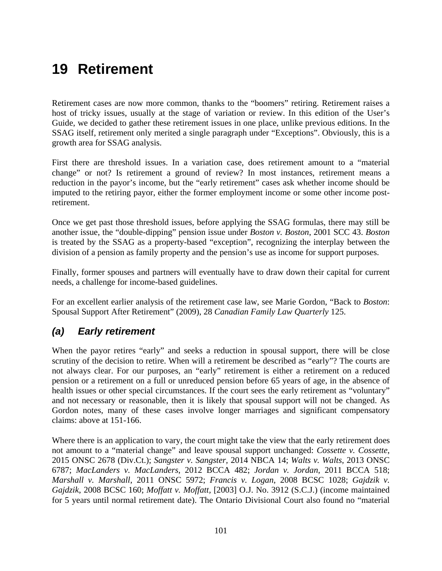# **19 Retirement**

Retirement cases are now more common, thanks to the "boomers" retiring. Retirement raises a host of tricky issues, usually at the stage of variation or review. In this edition of the User's Guide, we decided to gather these retirement issues in one place, unlike previous editions. In the SSAG itself, retirement only merited a single paragraph under "Exceptions". Obviously, this is a growth area for SSAG analysis.

First there are threshold issues. In a variation case, does retirement amount to a "material change" or not? Is retirement a ground of review? In most instances, retirement means a reduction in the payor's income, but the "early retirement" cases ask whether income should be imputed to the retiring payor, either the former employment income or some other income postretirement.

Once we get past those threshold issues, before applying the SSAG formulas, there may still be another issue, the "double-dipping" pension issue under *Boston v. Boston*, 2001 SCC 43. *Boston*  is treated by the SSAG as a property-based "exception", recognizing the interplay between the division of a pension as family property and the pension's use as income for support purposes.

Finally, former spouses and partners will eventually have to draw down their capital for current needs, a challenge for income-based guidelines.

For an excellent earlier analysis of the retirement case law, see Marie Gordon, "Back to *Boston*: Spousal Support After Retirement" (2009), 28 *Canadian Family Law Quarterly* 125.

### *(a) Early retirement*

When the payor retires "early" and seeks a reduction in spousal support, there will be close scrutiny of the decision to retire. When will a retirement be described as "early"? The courts are not always clear. For our purposes, an "early" retirement is either a retirement on a reduced pension or a retirement on a full or unreduced pension before 65 years of age, in the absence of health issues or other special circumstances. If the court sees the early retirement as "voluntary" and not necessary or reasonable, then it is likely that spousal support will not be changed. As Gordon notes, many of these cases involve longer marriages and significant compensatory claims: above at 151-166.

Where there is an application to vary, the court might take the view that the early retirement does not amount to a "material change" and leave spousal support unchanged: *Cossette v. Cossette*, 2015 ONSC 2678 (Div.Ct.); *Sangster v. Sangster,* 2014 NBCA 14; *Walts v. Walts*, 2013 ONSC 6787; *MacLanders v. MacLanders*, 2012 BCCA 482; *Jordan v. Jordan*, 2011 BCCA 518; *Marshall v. Marshall*, 2011 ONSC 5972; *Francis v. Logan*, 2008 BCSC 1028; *Gajdzik v. Gajdzik*, 2008 BCSC 160; *Moffatt v. Moffatt,* [2003] O.J. No. 3912 (S.C.J.) (income maintained for 5 years until normal retirement date). The Ontario Divisional Court also found no "material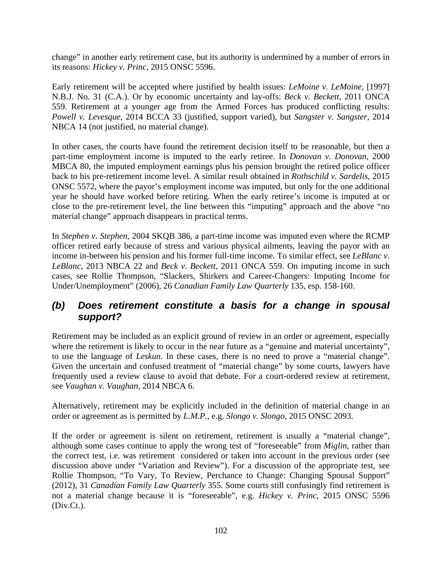change" in another early retirement case, but its authority is undermined by a number of errors in its reasons: *Hickey v. Princ*, 2015 ONSC 5596.

Early retirement will be accepted where justified by health issues: *LeMoine v. LeMoine*, [1997] N.B.J. No. 31 (C.A.). Or by economic uncertainty and lay-offs: *Beck v. Beckett,* 2011 ONCA 559. Retirement at a younger age from the Armed Forces has produced conflicting results: *Powell v. Levesque*, 2014 BCCA 33 (justified, support varied), but *Sangster v. Sangster*, 2014 NBCA 14 (not justified, no material change).

In other cases, the courts have found the retirement decision itself to be reasonable, but then a part-time employment income is imputed to the early retiree. In *Donovan v. Donovan,* 2000 MBCA 80, the imputed employment earnings plus his pension brought the retired police officer back to his pre-retirement income level. A similar result obtained in *Rothschild v. Sardelis*, 2015 ONSC 5572, where the payor's employment income was imputed, but only for the one additional year he should have worked before retiring. When the early retiree's income is imputed at or close to the pre-retirement level, the line between this "imputing" approach and the above "no material change" approach disappears in practical terms.

In *Stephen v. Stephen*, 2004 SKQB 386, a part-time income was imputed even where the RCMP officer retired early because of stress and various physical ailments, leaving the payor with an income in-between his pension and his former full-time income. To similar effect, see *LeBlanc v. LeBlanc*, 2013 NBCA 22 and *Beck v. Beckett*, 2011 ONCA 559. On imputing income in such cases, see Rollie Thompson, "Slackers, Shirkers and Career-Changers: Imputing Income for Under/Unemployment" (2006), 26 *Canadian Family Law Quarterly* 135, esp. 158-160.

### *(b) Does retirement constitute a basis for a change in spousal support?*

Retirement may be included as an explicit ground of review in an order or agreement, especially where the retirement is likely to occur in the near future as a "genuine and material uncertainty", to use the language of *Leskun*. In these cases, there is no need to prove a "material change". Given the uncertain and confused treatment of "material change" by some courts, lawyers have frequently used a review clause to avoid that debate. For a court-ordered review at retirement, see *Vaughan v. Vaughan,* 2014 NBCA 6.

Alternatively, retirement may be explicitly included in the definition of material change in an order or agreement as is permitted by *L.M.P.*, e.g. *Slongo v. Slongo*, 2015 ONSC 2093.

If the order or agreement is silent on retirement, retirement is usually a "material change", although some cases continue to apply the wrong test of "foreseeable" from *Miglin*, rather than the correct test, i.e. was retirement considered or taken into account in the previous order (see discussion above under "Variation and Review"). For a discussion of the appropriate test, see Rollie Thompson, "To Vary, To Review, Perchance to Change: Changing Spousal Support" (2012), 31 *Canadian Family Law Quarterly* 355. Some courts still confusingly find retirement is not a material change because it is "foreseeable", e.g. *Hickey v. Princ*, 2015 ONSC 5596 (Div.Ct.).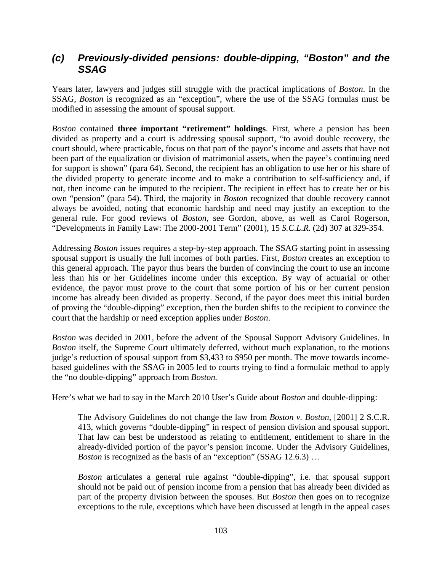### *(c) Previously-divided pensions: double-dipping, "Boston" and the SSAG*

Years later, lawyers and judges still struggle with the practical implications of *Boston*. In the SSAG, *Boston* is recognized as an "exception", where the use of the SSAG formulas must be modified in assessing the amount of spousal support.

*Boston* contained **three important "retirement" holdings**. First, where a pension has been divided as property and a court is addressing spousal support, "to avoid double recovery, the court should, where practicable, focus on that part of the payor's income and assets that have not been part of the equalization or division of matrimonial assets, when the payee's continuing need for support is shown" (para 64). Second, the recipient has an obligation to use her or his share of the divided property to generate income and to make a contribution to self-sufficiency and, if not, then income can be imputed to the recipient. The recipient in effect has to create her or his own "pension" (para 54). Third, the majority in *Boston* recognized that double recovery cannot always be avoided, noting that economic hardship and need may justify an exception to the general rule. For good reviews of *Boston*, see Gordon, above, as well as Carol Rogerson, "Developments in Family Law: The 2000-2001 Term" (2001), 15 *S.C.L.R.* (2d) 307 at 329-354.

Addressing *Boston* issues requires a step-by-step approach. The SSAG starting point in assessing spousal support is usually the full incomes of both parties. First, *Boston* creates an exception to this general approach. The payor thus bears the burden of convincing the court to use an income less than his or her Guidelines income under this exception. By way of actuarial or other evidence, the payor must prove to the court that some portion of his or her current pension income has already been divided as property. Second, if the payor does meet this initial burden of proving the "double-dipping" exception, then the burden shifts to the recipient to convince the court that the hardship or need exception applies under *Boston*.

*Boston* was decided in 2001, before the advent of the Spousal Support Advisory Guidelines. In *Boston* itself, the Supreme Court ultimately deferred, without much explanation, to the motions judge's reduction of spousal support from \$3,433 to \$950 per month. The move towards incomebased guidelines with the SSAG in 2005 led to courts trying to find a formulaic method to apply the "no double-dipping" approach from *Boston.*

Here's what we had to say in the March 2010 User's Guide about *Boston* and double-dipping:

The Advisory Guidelines do not change the law from *Boston v. Boston*, [2001] 2 S.C.R. 413, which governs "double-dipping" in respect of pension division and spousal support. That law can best be understood as relating to entitlement, entitlement to share in the already-divided portion of the payor's pension income. Under the Advisory Guidelines, *Boston* is recognized as the basis of an "exception" (SSAG 12.6.3) ...

*Boston* articulates a general rule against "double-dipping", i.e. that spousal support should not be paid out of pension income from a pension that has already been divided as part of the property division between the spouses. But *Boston* then goes on to recognize exceptions to the rule, exceptions which have been discussed at length in the appeal cases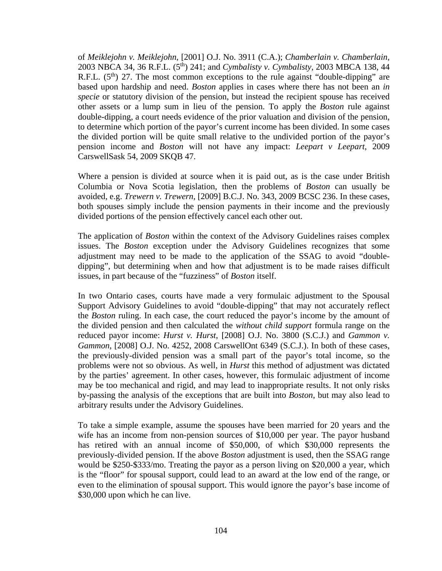of *Meiklejohn v. Meiklejohn*, [2001] O.J. No. 3911 (C.A.); *Chamberlain v. Chamberlain*, 2003 NBCA 34, 36 R.F.L. (5th) 241; and *Cymbalisty v. Cymbalisty*, 2003 MBCA 138, 44 R.F.L.  $(5^{th})$  27. The most common exceptions to the rule against "double-dipping" are based upon hardship and need. *Boston* applies in cases where there has not been an *in specie* or statutory division of the pension, but instead the recipient spouse has received other assets or a lump sum in lieu of the pension. To apply the *Boston* rule against double-dipping, a court needs evidence of the prior valuation and division of the pension, to determine which portion of the payor's current income has been divided. In some cases the divided portion will be quite small relative to the undivided portion of the payor's pension income and *Boston* will not have any impact: *Leepart v Leepart*, 2009 CarswellSask 54, 2009 SKQB 47.

Where a pension is divided at source when it is paid out, as is the case under British Columbia or Nova Scotia legislation, then the problems of *Boston* can usually be avoided, e.g. *Trewern v. Trewern*, [2009] B.C.J. No. 343, 2009 BCSC 236. In these cases, both spouses simply include the pension payments in their income and the previously divided portions of the pension effectively cancel each other out.

The application of *Boston* within the context of the Advisory Guidelines raises complex issues. The *Boston* exception under the Advisory Guidelines recognizes that some adjustment may need to be made to the application of the SSAG to avoid "doubledipping", but determining when and how that adjustment is to be made raises difficult issues, in part because of the "fuzziness" of *Boston* itself.

In two Ontario cases, courts have made a very formulaic adjustment to the Spousal Support Advisory Guidelines to avoid "double-dipping" that may not accurately reflect the *Boston* ruling. In each case, the court reduced the payor's income by the amount of the divided pension and then calculated the *without child support* formula range on the reduced payor income: *Hurst v. Hurst*, [2008] O.J. No. 3800 (S.C.J.) and *Gammon v. Gammon*, [2008] O.J. No. 4252, 2008 CarswellOnt 6349 (S.C.J.). In both of these cases, the previously-divided pension was a small part of the payor's total income, so the problems were not so obvious. As well, in *Hurst* this method of adjustment was dictated by the parties' agreement. In other cases, however, this formulaic adjustment of income may be too mechanical and rigid, and may lead to inappropriate results. It not only risks by-passing the analysis of the exceptions that are built into *Boston*, but may also lead to arbitrary results under the Advisory Guidelines.

To take a simple example, assume the spouses have been married for 20 years and the wife has an income from non-pension sources of \$10,000 per year. The payor husband has retired with an annual income of \$50,000, of which \$30,000 represents the previously-divided pension. If the above *Boston* adjustment is used, then the SSAG range would be \$250-\$333/mo. Treating the payor as a person living on \$20,000 a year, which is the "floor" for spousal support, could lead to an award at the low end of the range, or even to the elimination of spousal support. This would ignore the payor's base income of \$30,000 upon which he can live.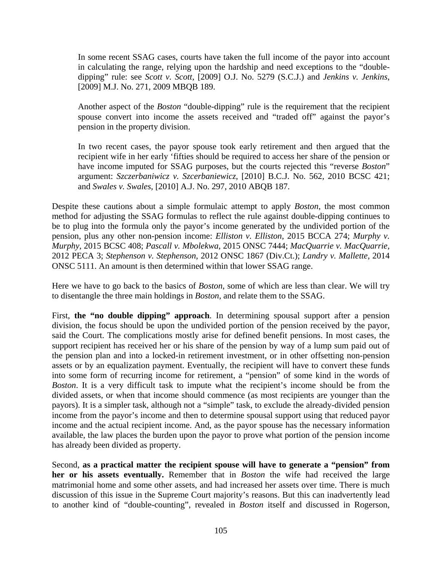In some recent SSAG cases, courts have taken the full income of the payor into account in calculating the range, relying upon the hardship and need exceptions to the "doubledipping" rule: see *Scott v. Scott*, [2009] O.J. No. 5279 (S.C.J.) and *Jenkins v. Jenkins*, [2009] M.J. No. 271, 2009 MBQB 189.

Another aspect of the *Boston* "double-dipping" rule is the requirement that the recipient spouse convert into income the assets received and "traded off" against the payor's pension in the property division.

In two recent cases, the payor spouse took early retirement and then argued that the recipient wife in her early 'fifties should be required to access her share of the pension or have income imputed for SSAG purposes, but the courts rejected this "reverse *Boston*" argument: *Szczerbaniwicz v. Szcerbaniewicz*, [2010] B.C.J. No. 562, 2010 BCSC 421; and *Swales v. Swales*, [2010] A.J. No. 297, 2010 ABQB 187.

Despite these cautions about a simple formulaic attempt to apply *Boston*, the most common method for adjusting the SSAG formulas to reflect the rule against double-dipping continues to be to plug into the formula only the payor's income generated by the undivided portion of the pension, plus any other non-pension income: *Elliston v. Elliston*, 2015 BCCA 274; *Murphy v. Murphy*, 2015 BCSC 408; *Pascall v. Mbolekwa*, 2015 ONSC 7444; *MacQuarrie v. MacQuarrie,*  2012 PECA 3; *Stephenson v. Stephenson*, 2012 ONSC 1867 (Div.Ct.); *Landry v. Mallette*, 2014 ONSC 5111. An amount is then determined within that lower SSAG range.

Here we have to go back to the basics of *Boston*, some of which are less than clear. We will try to disentangle the three main holdings in *Boston*, and relate them to the SSAG.

First, **the "no double dipping" approach**. In determining spousal support after a pension division, the focus should be upon the undivided portion of the pension received by the payor, said the Court. The complications mostly arise for defined benefit pensions. In most cases, the support recipient has received her or his share of the pension by way of a lump sum paid out of the pension plan and into a locked-in retirement investment, or in other offsetting non-pension assets or by an equalization payment. Eventually, the recipient will have to convert these funds into some form of recurring income for retirement, a "pension" of some kind in the words of *Boston*. It is a very difficult task to impute what the recipient's income should be from the divided assets, or when that income should commence (as most recipients are younger than the payors). It is a simpler task, although not a "simple" task, to exclude the already-divided pension income from the payor's income and then to determine spousal support using that reduced payor income and the actual recipient income. And, as the payor spouse has the necessary information available, the law places the burden upon the payor to prove what portion of the pension income has already been divided as property.

Second, **as a practical matter the recipient spouse will have to generate a "pension" from her or his assets eventually.** Remember that in *Boston* the wife had received the large matrimonial home and some other assets, and had increased her assets over time. There is much discussion of this issue in the Supreme Court majority's reasons. But this can inadvertently lead to another kind of "double-counting", revealed in *Boston* itself and discussed in Rogerson,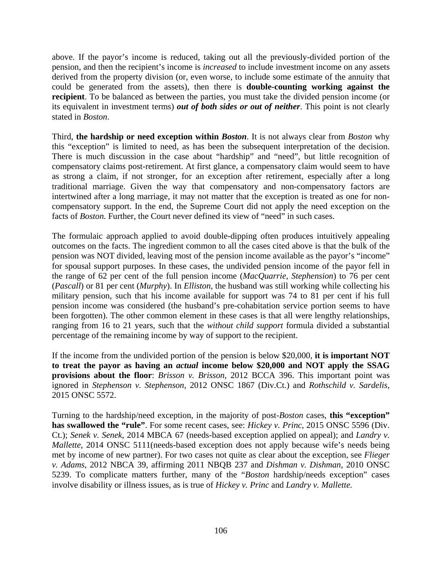above. If the payor's income is reduced, taking out all the previously-divided portion of the pension, and then the recipient's income is *increased* to include investment income on any assets derived from the property division (or, even worse, to include some estimate of the annuity that could be generated from the assets), then there is **double-counting working against the recipient**. To be balanced as between the parties, you must take the divided pension income (or its equivalent in investment terms) *out of both sides or out of neither*. This point is not clearly stated in *Boston*.

Third, **the hardship or need exception within** *Boston*. It is not always clear from *Boston* why this "exception" is limited to need, as has been the subsequent interpretation of the decision. There is much discussion in the case about "hardship" and "need", but little recognition of compensatory claims post-retirement. At first glance, a compensatory claim would seem to have as strong a claim, if not stronger, for an exception after retirement, especially after a long traditional marriage. Given the way that compensatory and non-compensatory factors are intertwined after a long marriage, it may not matter that the exception is treated as one for noncompensatory support. In the end, the Supreme Court did not apply the need exception on the facts of *Boston*. Further, the Court never defined its view of "need" in such cases.

The formulaic approach applied to avoid double-dipping often produces intuitively appealing outcomes on the facts. The ingredient common to all the cases cited above is that the bulk of the pension was NOT divided, leaving most of the pension income available as the payor's "income" for spousal support purposes. In these cases, the undivided pension income of the payor fell in the range of 62 per cent of the full pension income (*MacQuarrie, Stephension*) to 76 per cent (*Pascall*) or 81 per cent (*Murphy*). In *Elliston*, the husband was still working while collecting his military pension, such that his income available for support was 74 to 81 per cent if his full pension income was considered (the husband's pre-cohabitation service portion seems to have been forgotten). The other common element in these cases is that all were lengthy relationships, ranging from 16 to 21 years, such that the *without child support* formula divided a substantial percentage of the remaining income by way of support to the recipient.

If the income from the undivided portion of the pension is below \$20,000, **it is important NOT to treat the payor as having an** *actual* **income below \$20,000 and NOT apply the SSAG provisions about the floor**: *Brisson v. Brisson*, 2012 BCCA 396. This important point was ignored in *Stephenson v. Stephenson*, 2012 ONSC 1867 (Div.Ct.) and *Rothschild v. Sardelis*, 2015 ONSC 5572.

Turning to the hardship/need exception, in the majority of post-*Boston* cases, **this "exception" has swallowed the "rule"**. For some recent cases, see: *Hickey v. Princ*, 2015 ONSC 5596 (Div. Ct.); *Senek v. Senek*, 2014 MBCA 67 (needs-based exception applied on appeal); and *Landry v. Mallette*, 2014 ONSC 5111(needs-based exception does not apply because wife's needs being met by income of new partner). For two cases not quite as clear about the exception, see *Flieger v. Adams*, 2012 NBCA 39, affirming 2011 NBQB 237 and *Dishman v. Dishman*, 2010 ONSC 5239. To complicate matters further, many of the "*Boston* hardship/needs exception" cases involve disability or illness issues, as is true of *Hickey v. Princ* and *Landry v. Mallette.*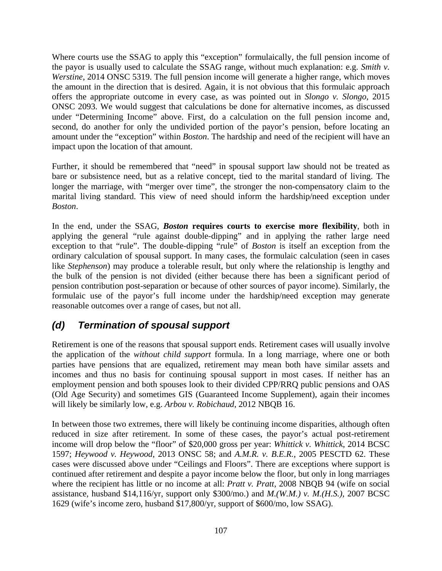Where courts use the SSAG to apply this "exception" formulaically, the full pension income of the payor is usually used to calculate the SSAG range, without much explanation: e.g. *Smith v. Werstine*, 2014 ONSC 5319. The full pension income will generate a higher range, which moves the amount in the direction that is desired. Again, it is not obvious that this formulaic approach offers the appropriate outcome in every case, as was pointed out in *Slongo v. Slongo*, 2015 ONSC 2093. We would suggest that calculations be done for alternative incomes, as discussed under "Determining Income" above. First, do a calculation on the full pension income and, second, do another for only the undivided portion of the payor's pension, before locating an amount under the "exception" within *Boston*. The hardship and need of the recipient will have an impact upon the location of that amount.

Further, it should be remembered that "need" in spousal support law should not be treated as bare or subsistence need, but as a relative concept, tied to the marital standard of living. The longer the marriage, with "merger over time", the stronger the non-compensatory claim to the marital living standard. This view of need should inform the hardship/need exception under *Boston*.

In the end, under the SSAG, *Boston* **requires courts to exercise more flexibility**, both in applying the general "rule against double-dipping" and in applying the rather large need exception to that "rule". The double-dipping "rule" of *Boston* is itself an exception from the ordinary calculation of spousal support. In many cases, the formulaic calculation (seen in cases like *Stephenson*) may produce a tolerable result, but only where the relationship is lengthy and the bulk of the pension is not divided (either because there has been a significant period of pension contribution post-separation or because of other sources of payor income). Similarly, the formulaic use of the payor's full income under the hardship/need exception may generate reasonable outcomes over a range of cases, but not all.

### *(d) Termination of spousal support*

Retirement is one of the reasons that spousal support ends. Retirement cases will usually involve the application of the *without child support* formula. In a long marriage, where one or both parties have pensions that are equalized, retirement may mean both have similar assets and incomes and thus no basis for continuing spousal support in most cases. If neither has an employment pension and both spouses look to their divided CPP/RRQ public pensions and OAS (Old Age Security) and sometimes GIS (Guaranteed Income Supplement), again their incomes will likely be similarly low, e.g. *Arbou v. Robichaud*, 2012 NBQB 16.

In between those two extremes, there will likely be continuing income disparities, although often reduced in size after retirement. In some of these cases, the payor's actual post-retirement income will drop below the "floor" of \$20,000 gross per year: *Whittick v. Whittick*, 2014 BCSC 1597; *Heywood v. Heywood*, 2013 ONSC 58; and *A.M.R. v. B.E.R.*, 2005 PESCTD 62. These cases were discussed above under "Ceilings and Floors". There are exceptions where support is continued after retirement and despite a payor income below the floor, but only in long marriages where the recipient has little or no income at all: *Pratt v. Pratt*, 2008 NBQB 94 (wife on social assistance, husband \$14,116/yr, support only \$300/mo.) and *M.(W.M.) v. M.(H.S.)*, 2007 BCSC 1629 (wife's income zero, husband \$17,800/yr, support of \$600/mo, low SSAG).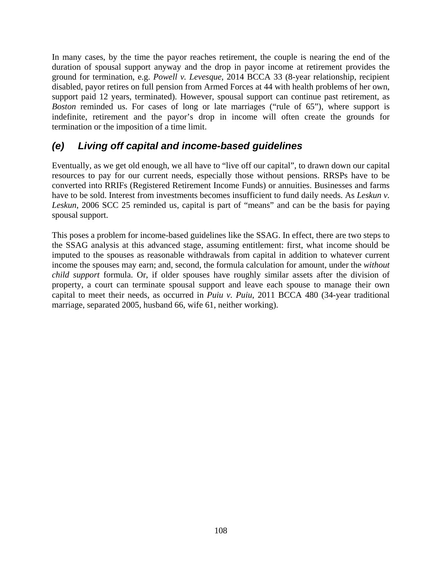In many cases, by the time the payor reaches retirement, the couple is nearing the end of the duration of spousal support anyway and the drop in payor income at retirement provides the ground for termination, e.g. *Powell v. Levesque*, 2014 BCCA 33 (8-year relationship, recipient disabled, payor retires on full pension from Armed Forces at 44 with health problems of her own, support paid 12 years, terminated). However, spousal support can continue past retirement, as *Boston* reminded us. For cases of long or late marriages ("rule of 65"), where support is indefinite, retirement and the payor's drop in income will often create the grounds for termination or the imposition of a time limit.

## *(e) Living off capital and income-based guidelines*

Eventually, as we get old enough, we all have to "live off our capital", to drawn down our capital resources to pay for our current needs, especially those without pensions. RRSPs have to be converted into RRIFs (Registered Retirement Income Funds) or annuities. Businesses and farms have to be sold. Interest from investments becomes insufficient to fund daily needs. As *Leskun v. Leskun*, 2006 SCC 25 reminded us, capital is part of "means" and can be the basis for paying spousal support.

This poses a problem for income-based guidelines like the SSAG. In effect, there are two steps to the SSAG analysis at this advanced stage, assuming entitlement: first, what income should be imputed to the spouses as reasonable withdrawals from capital in addition to whatever current income the spouses may earn; and, second, the formula calculation for amount, under the *without child support* formula. Or, if older spouses have roughly similar assets after the division of property, a court can terminate spousal support and leave each spouse to manage their own capital to meet their needs, as occurred in *Puiu v. Puiu*, 2011 BCCA 480 (34-year traditional marriage, separated 2005, husband 66, wife 61, neither working).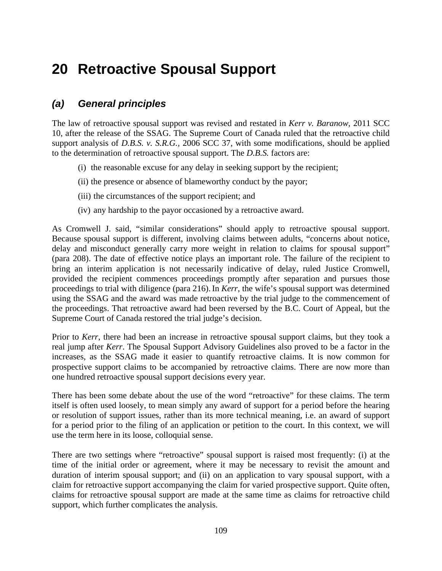# **20 Retroactive Spousal Support**

### *(a) General principles*

The law of retroactive spousal support was revised and restated in *Kerr v. Baranow,* 2011 SCC 10, after the release of the SSAG. The Supreme Court of Canada ruled that the retroactive child support analysis of *D.B.S. v. S.R.G.,* 2006 SCC 37, with some modifications, should be applied to the determination of retroactive spousal support. The *D.B.S.* factors are:

- (i) the reasonable excuse for any delay in seeking support by the recipient;
- (ii) the presence or absence of blameworthy conduct by the payor;
- (iii) the circumstances of the support recipient; and
- (iv) any hardship to the payor occasioned by a retroactive award.

As Cromwell J. said, "similar considerations" should apply to retroactive spousal support. Because spousal support is different, involving claims between adults, "concerns about notice, delay and misconduct generally carry more weight in relation to claims for spousal support" (para 208). The date of effective notice plays an important role. The failure of the recipient to bring an interim application is not necessarily indicative of delay, ruled Justice Cromwell, provided the recipient commences proceedings promptly after separation and pursues those proceedings to trial with diligence (para 216).In *Kerr*, the wife's spousal support was determined using the SSAG and the award was made retroactive by the trial judge to the commencement of the proceedings. That retroactive award had been reversed by the B.C. Court of Appeal, but the Supreme Court of Canada restored the trial judge's decision.

Prior to *Kerr*, there had been an increase in retroactive spousal support claims, but they took a real jump after *Kerr*. The Spousal Support Advisory Guidelines also proved to be a factor in the increases, as the SSAG made it easier to quantify retroactive claims. It is now common for prospective support claims to be accompanied by retroactive claims. There are now more than one hundred retroactive spousal support decisions every year.

There has been some debate about the use of the word "retroactive" for these claims. The term itself is often used loosely, to mean simply any award of support for a period before the hearing or resolution of support issues, rather than its more technical meaning, i.e. an award of support for a period prior to the filing of an application or petition to the court. In this context, we will use the term here in its loose, colloquial sense.

There are two settings where "retroactive" spousal support is raised most frequently: (i) at the time of the initial order or agreement, where it may be necessary to revisit the amount and duration of interim spousal support; and (ii) on an application to vary spousal support, with a claim for retroactive support accompanying the claim for varied prospective support. Quite often, claims for retroactive spousal support are made at the same time as claims for retroactive child support, which further complicates the analysis.